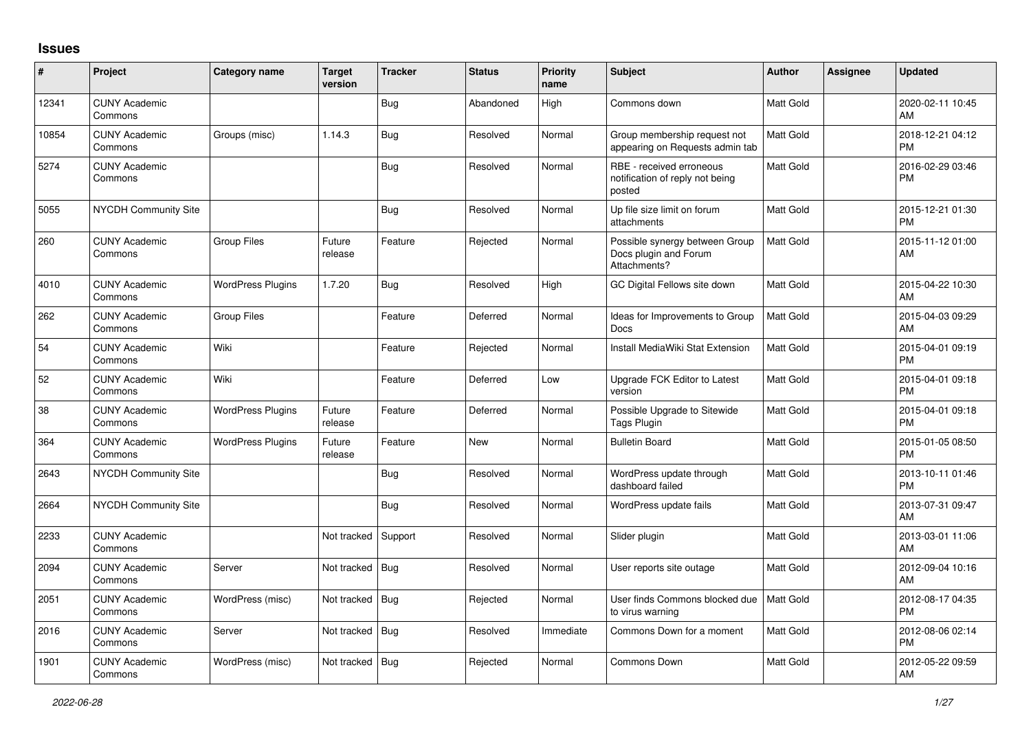## **Issues**

| $\sharp$ | Project                         | <b>Category name</b>     | <b>Target</b><br>version | <b>Tracker</b> | <b>Status</b> | <b>Priority</b><br>name | <b>Subject</b>                                                          | <b>Author</b>    | Assignee | <b>Updated</b>                |
|----------|---------------------------------|--------------------------|--------------------------|----------------|---------------|-------------------------|-------------------------------------------------------------------------|------------------|----------|-------------------------------|
| 12341    | <b>CUNY Academic</b><br>Commons |                          |                          | Bug            | Abandoned     | High                    | Commons down                                                            | <b>Matt Gold</b> |          | 2020-02-11 10:45<br>AM        |
| 10854    | <b>CUNY Academic</b><br>Commons | Groups (misc)            | 1.14.3                   | Bug            | Resolved      | Normal                  | Group membership request not<br>appearing on Requests admin tab         | <b>Matt Gold</b> |          | 2018-12-21 04:12<br><b>PM</b> |
| 5274     | <b>CUNY Academic</b><br>Commons |                          |                          | Bug            | Resolved      | Normal                  | RBE - received erroneous<br>notification of reply not being<br>posted   | <b>Matt Gold</b> |          | 2016-02-29 03:46<br><b>PM</b> |
| 5055     | <b>NYCDH Community Site</b>     |                          |                          | <b>Bug</b>     | Resolved      | Normal                  | Up file size limit on forum<br>attachments                              | <b>Matt Gold</b> |          | 2015-12-21 01:30<br><b>PM</b> |
| 260      | <b>CUNY Academic</b><br>Commons | <b>Group Files</b>       | Future<br>release        | Feature        | Rejected      | Normal                  | Possible synergy between Group<br>Docs plugin and Forum<br>Attachments? | <b>Matt Gold</b> |          | 2015-11-12 01:00<br>AM        |
| 4010     | <b>CUNY Academic</b><br>Commons | <b>WordPress Plugins</b> | 1.7.20                   | <b>Bug</b>     | Resolved      | High                    | GC Digital Fellows site down                                            | Matt Gold        |          | 2015-04-22 10:30<br>AM        |
| 262      | <b>CUNY Academic</b><br>Commons | <b>Group Files</b>       |                          | Feature        | Deferred      | Normal                  | Ideas for Improvements to Group<br>Docs                                 | <b>Matt Gold</b> |          | 2015-04-03 09:29<br>AM        |
| 54       | <b>CUNY Academic</b><br>Commons | Wiki                     |                          | Feature        | Rejected      | Normal                  | Install MediaWiki Stat Extension                                        | <b>Matt Gold</b> |          | 2015-04-01 09:19<br><b>PM</b> |
| 52       | <b>CUNY Academic</b><br>Commons | Wiki                     |                          | Feature        | Deferred      | Low                     | Upgrade FCK Editor to Latest<br>version                                 | <b>Matt Gold</b> |          | 2015-04-01 09:18<br><b>PM</b> |
| 38       | <b>CUNY Academic</b><br>Commons | <b>WordPress Plugins</b> | Future<br>release        | Feature        | Deferred      | Normal                  | Possible Upgrade to Sitewide<br>Tags Plugin                             | <b>Matt Gold</b> |          | 2015-04-01 09:18<br><b>PM</b> |
| 364      | <b>CUNY Academic</b><br>Commons | <b>WordPress Plugins</b> | Future<br>release        | Feature        | New           | Normal                  | <b>Bulletin Board</b>                                                   | <b>Matt Gold</b> |          | 2015-01-05 08:50<br><b>PM</b> |
| 2643     | <b>NYCDH Community Site</b>     |                          |                          | <b>Bug</b>     | Resolved      | Normal                  | WordPress update through<br>dashboard failed                            | <b>Matt Gold</b> |          | 2013-10-11 01:46<br><b>PM</b> |
| 2664     | <b>NYCDH Community Site</b>     |                          |                          | <b>Bug</b>     | Resolved      | Normal                  | WordPress update fails                                                  | <b>Matt Gold</b> |          | 2013-07-31 09:47<br>AM        |
| 2233     | <b>CUNY Academic</b><br>Commons |                          | Not tracked              | Support        | Resolved      | Normal                  | Slider plugin                                                           | <b>Matt Gold</b> |          | 2013-03-01 11:06<br>AM        |
| 2094     | <b>CUNY Academic</b><br>Commons | Server                   | Not tracked              | Bug            | Resolved      | Normal                  | User reports site outage                                                | <b>Matt Gold</b> |          | 2012-09-04 10:16<br>AM        |
| 2051     | <b>CUNY Academic</b><br>Commons | WordPress (misc)         | Not tracked              | Bug            | Rejected      | Normal                  | User finds Commons blocked due<br>to virus warning                      | Matt Gold        |          | 2012-08-17 04:35<br><b>PM</b> |
| 2016     | <b>CUNY Academic</b><br>Commons | Server                   | Not tracked              | Bug            | Resolved      | Immediate               | Commons Down for a moment                                               | <b>Matt Gold</b> |          | 2012-08-06 02:14<br><b>PM</b> |
| 1901     | <b>CUNY Academic</b><br>Commons | WordPress (misc)         | Not tracked              | Bug            | Rejected      | Normal                  | <b>Commons Down</b>                                                     | Matt Gold        |          | 2012-05-22 09:59<br><b>AM</b> |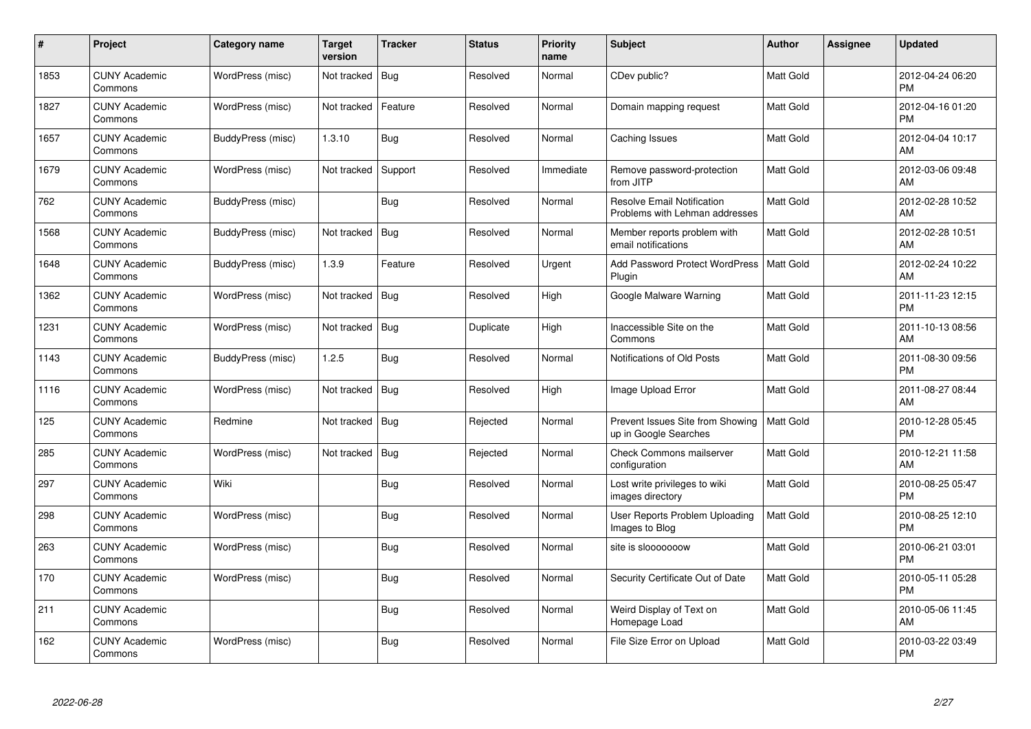| #    | Project                         | Category name     | Target<br>version | <b>Tracker</b> | <b>Status</b> | <b>Priority</b><br>name | <b>Subject</b>                                                      | <b>Author</b>    | <b>Assignee</b> | <b>Updated</b>                |
|------|---------------------------------|-------------------|-------------------|----------------|---------------|-------------------------|---------------------------------------------------------------------|------------------|-----------------|-------------------------------|
| 1853 | <b>CUNY Academic</b><br>Commons | WordPress (misc)  | Not tracked       | Bug            | Resolved      | Normal                  | CDev public?                                                        | Matt Gold        |                 | 2012-04-24 06:20<br><b>PM</b> |
| 1827 | <b>CUNY Academic</b><br>Commons | WordPress (misc)  | Not tracked       | Feature        | Resolved      | Normal                  | Domain mapping request                                              | <b>Matt Gold</b> |                 | 2012-04-16 01:20<br><b>PM</b> |
| 1657 | <b>CUNY Academic</b><br>Commons | BuddyPress (misc) | 1.3.10            | <b>Bug</b>     | Resolved      | Normal                  | Caching Issues                                                      | <b>Matt Gold</b> |                 | 2012-04-04 10:17<br>AM        |
| 1679 | <b>CUNY Academic</b><br>Commons | WordPress (misc)  | Not tracked       | Support        | Resolved      | Immediate               | Remove password-protection<br>from JITP                             | Matt Gold        |                 | 2012-03-06 09:48<br>AM        |
| 762  | <b>CUNY Academic</b><br>Commons | BuddyPress (misc) |                   | <b>Bug</b>     | Resolved      | Normal                  | <b>Resolve Email Notification</b><br>Problems with Lehman addresses | <b>Matt Gold</b> |                 | 2012-02-28 10:52<br>AM        |
| 1568 | <b>CUNY Academic</b><br>Commons | BuddyPress (misc) | Not tracked       | Bug            | Resolved      | Normal                  | Member reports problem with<br>email notifications                  | <b>Matt Gold</b> |                 | 2012-02-28 10:51<br>AM        |
| 1648 | <b>CUNY Academic</b><br>Commons | BuddyPress (misc) | 1.3.9             | Feature        | Resolved      | Urgent                  | <b>Add Password Protect WordPress</b><br>Plugin                     | <b>Matt Gold</b> |                 | 2012-02-24 10:22<br>AM        |
| 1362 | <b>CUNY Academic</b><br>Commons | WordPress (misc)  | Not tracked       | Bug            | Resolved      | High                    | Google Malware Warning                                              | <b>Matt Gold</b> |                 | 2011-11-23 12:15<br><b>PM</b> |
| 1231 | <b>CUNY Academic</b><br>Commons | WordPress (misc)  | Not tracked       | Bug            | Duplicate     | High                    | Inaccessible Site on the<br>Commons                                 | <b>Matt Gold</b> |                 | 2011-10-13 08:56<br>AM        |
| 1143 | <b>CUNY Academic</b><br>Commons | BuddyPress (misc) | 1.2.5             | <b>Bug</b>     | Resolved      | Normal                  | Notifications of Old Posts                                          | <b>Matt Gold</b> |                 | 2011-08-30 09:56<br><b>PM</b> |
| 1116 | <b>CUNY Academic</b><br>Commons | WordPress (misc)  | Not tracked       | Bug            | Resolved      | High                    | Image Upload Error                                                  | <b>Matt Gold</b> |                 | 2011-08-27 08:44<br>AM        |
| 125  | <b>CUNY Academic</b><br>Commons | Redmine           | Not tracked   Bug |                | Rejected      | Normal                  | Prevent Issues Site from Showing<br>up in Google Searches           | <b>Matt Gold</b> |                 | 2010-12-28 05:45<br>PM        |
| 285  | <b>CUNY Academic</b><br>Commons | WordPress (misc)  | Not tracked       | Bug            | Rejected      | Normal                  | <b>Check Commons mailserver</b><br>configuration                    | <b>Matt Gold</b> |                 | 2010-12-21 11:58<br>AM        |
| 297  | <b>CUNY Academic</b><br>Commons | Wiki              |                   | Bug            | Resolved      | Normal                  | Lost write privileges to wiki<br>images directory                   | <b>Matt Gold</b> |                 | 2010-08-25 05:47<br><b>PM</b> |
| 298  | <b>CUNY Academic</b><br>Commons | WordPress (misc)  |                   | <b>Bug</b>     | Resolved      | Normal                  | User Reports Problem Uploading<br>Images to Blog                    | Matt Gold        |                 | 2010-08-25 12:10<br><b>PM</b> |
| 263  | <b>CUNY Academic</b><br>Commons | WordPress (misc)  |                   | <b>Bug</b>     | Resolved      | Normal                  | site is slooooooow                                                  | <b>Matt Gold</b> |                 | 2010-06-21 03:01<br><b>PM</b> |
| 170  | <b>CUNY Academic</b><br>Commons | WordPress (misc)  |                   | Bug            | Resolved      | Normal                  | Security Certificate Out of Date                                    | <b>Matt Gold</b> |                 | 2010-05-11 05:28<br><b>PM</b> |
| 211  | <b>CUNY Academic</b><br>Commons |                   |                   | <b>Bug</b>     | Resolved      | Normal                  | Weird Display of Text on<br>Homepage Load                           | Matt Gold        |                 | 2010-05-06 11:45<br>AM        |
| 162  | CUNY Academic<br>Commons        | WordPress (misc)  |                   | <b>Bug</b>     | Resolved      | Normal                  | File Size Error on Upload                                           | <b>Matt Gold</b> |                 | 2010-03-22 03:49<br>PM        |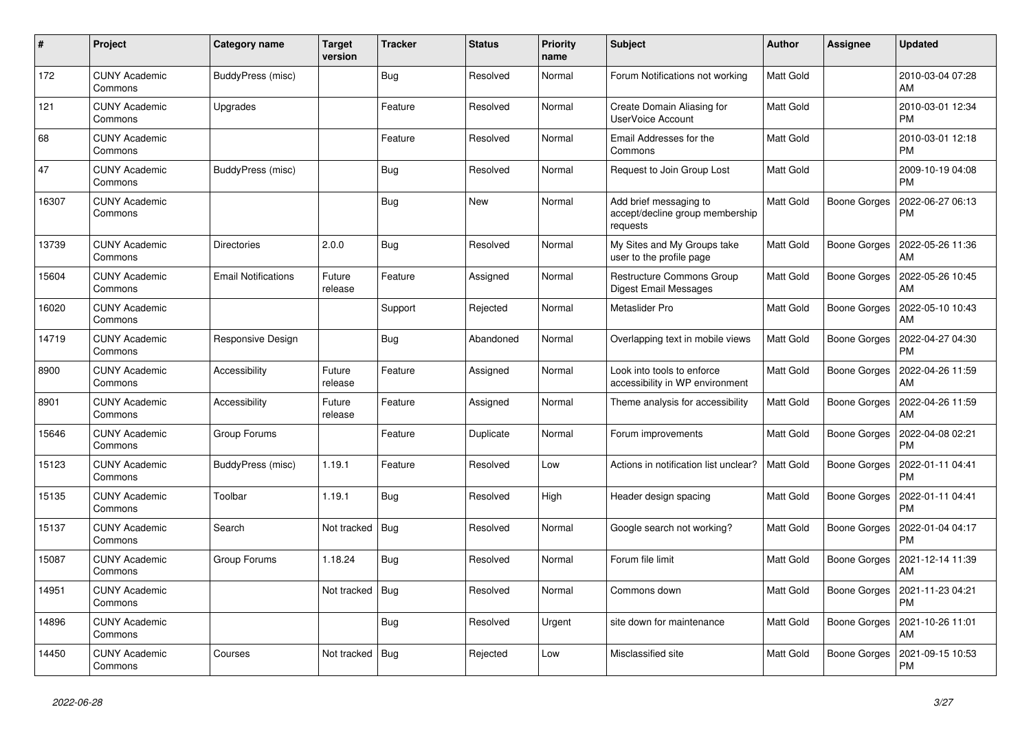| $\pmb{\sharp}$ | Project                         | Category name              | <b>Target</b><br>version | <b>Tracker</b> | <b>Status</b> | <b>Priority</b><br>name | <b>Subject</b>                                                        | <b>Author</b>    | Assignee            | <b>Updated</b>                |
|----------------|---------------------------------|----------------------------|--------------------------|----------------|---------------|-------------------------|-----------------------------------------------------------------------|------------------|---------------------|-------------------------------|
| 172            | <b>CUNY Academic</b><br>Commons | BuddyPress (misc)          |                          | <b>Bug</b>     | Resolved      | Normal                  | Forum Notifications not working                                       | Matt Gold        |                     | 2010-03-04 07:28<br>AM        |
| 121            | <b>CUNY Academic</b><br>Commons | Upgrades                   |                          | Feature        | Resolved      | Normal                  | Create Domain Aliasing for<br><b>UserVoice Account</b>                | <b>Matt Gold</b> |                     | 2010-03-01 12:34<br><b>PM</b> |
| 68             | <b>CUNY Academic</b><br>Commons |                            |                          | Feature        | Resolved      | Normal                  | Email Addresses for the<br>Commons                                    | Matt Gold        |                     | 2010-03-01 12:18<br><b>PM</b> |
| 47             | <b>CUNY Academic</b><br>Commons | BuddyPress (misc)          |                          | <b>Bug</b>     | Resolved      | Normal                  | Request to Join Group Lost                                            | Matt Gold        |                     | 2009-10-19 04:08<br><b>PM</b> |
| 16307          | <b>CUNY Academic</b><br>Commons |                            |                          | Bug            | New           | Normal                  | Add brief messaging to<br>accept/decline group membership<br>requests | <b>Matt Gold</b> | <b>Boone Gorges</b> | 2022-06-27 06:13<br>PM        |
| 13739          | <b>CUNY Academic</b><br>Commons | <b>Directories</b>         | 2.0.0                    | <b>Bug</b>     | Resolved      | Normal                  | My Sites and My Groups take<br>user to the profile page               | Matt Gold        | Boone Gorges        | 2022-05-26 11:36<br>AM        |
| 15604          | <b>CUNY Academic</b><br>Commons | <b>Email Notifications</b> | Future<br>release        | Feature        | Assigned      | Normal                  | <b>Restructure Commons Group</b><br>Digest Email Messages             | <b>Matt Gold</b> | <b>Boone Gorges</b> | 2022-05-26 10:45<br>AM        |
| 16020          | <b>CUNY Academic</b><br>Commons |                            |                          | Support        | Rejected      | Normal                  | Metaslider Pro                                                        | Matt Gold        | Boone Gorges        | 2022-05-10 10:43<br>AM        |
| 14719          | <b>CUNY Academic</b><br>Commons | Responsive Design          |                          | <b>Bug</b>     | Abandoned     | Normal                  | Overlapping text in mobile views                                      | <b>Matt Gold</b> | Boone Gorges        | 2022-04-27 04:30<br><b>PM</b> |
| 8900           | <b>CUNY Academic</b><br>Commons | Accessibility              | Future<br>release        | Feature        | Assigned      | Normal                  | Look into tools to enforce<br>accessibility in WP environment         | <b>Matt Gold</b> | Boone Gorges        | 2022-04-26 11:59<br>AM        |
| 8901           | <b>CUNY Academic</b><br>Commons | Accessibility              | Future<br>release        | Feature        | Assigned      | Normal                  | Theme analysis for accessibility                                      | Matt Gold        | Boone Gorges        | 2022-04-26 11:59<br>AM        |
| 15646          | <b>CUNY Academic</b><br>Commons | Group Forums               |                          | Feature        | Duplicate     | Normal                  | Forum improvements                                                    | Matt Gold        | Boone Gorges        | 2022-04-08 02:21<br><b>PM</b> |
| 15123          | <b>CUNY Academic</b><br>Commons | BuddyPress (misc)          | 1.19.1                   | Feature        | Resolved      | Low                     | Actions in notification list unclear?                                 | <b>Matt Gold</b> | <b>Boone Gorges</b> | 2022-01-11 04:41<br><b>PM</b> |
| 15135          | <b>CUNY Academic</b><br>Commons | Toolbar                    | 1.19.1                   | <b>Bug</b>     | Resolved      | High                    | Header design spacing                                                 | <b>Matt Gold</b> | <b>Boone Gorges</b> | 2022-01-11 04:41<br><b>PM</b> |
| 15137          | <b>CUNY Academic</b><br>Commons | Search                     | Not tracked              | Bug            | Resolved      | Normal                  | Google search not working?                                            | Matt Gold        | Boone Gorges        | 2022-01-04 04:17<br><b>PM</b> |
| 15087          | <b>CUNY Academic</b><br>Commons | Group Forums               | 1.18.24                  | <b>Bug</b>     | Resolved      | Normal                  | Forum file limit                                                      | Matt Gold        | Boone Gorges        | 2021-12-14 11:39<br>AM        |
| 14951          | <b>CUNY Academic</b><br>Commons |                            | Not tracked              | Bug            | Resolved      | Normal                  | Commons down                                                          | <b>Matt Gold</b> | Boone Gorges        | 2021-11-23 04:21<br><b>PM</b> |
| 14896          | <b>CUNY Academic</b><br>Commons |                            |                          | <b>Bug</b>     | Resolved      | Urgent                  | site down for maintenance                                             | <b>Matt Gold</b> | Boone Gorges        | 2021-10-26 11:01<br>AM        |
| 14450          | <b>CUNY Academic</b><br>Commons | Courses                    | Not tracked              | Bug            | Rejected      | Low                     | Misclassified site                                                    | Matt Gold        | Boone Gorges        | 2021-09-15 10:53<br><b>PM</b> |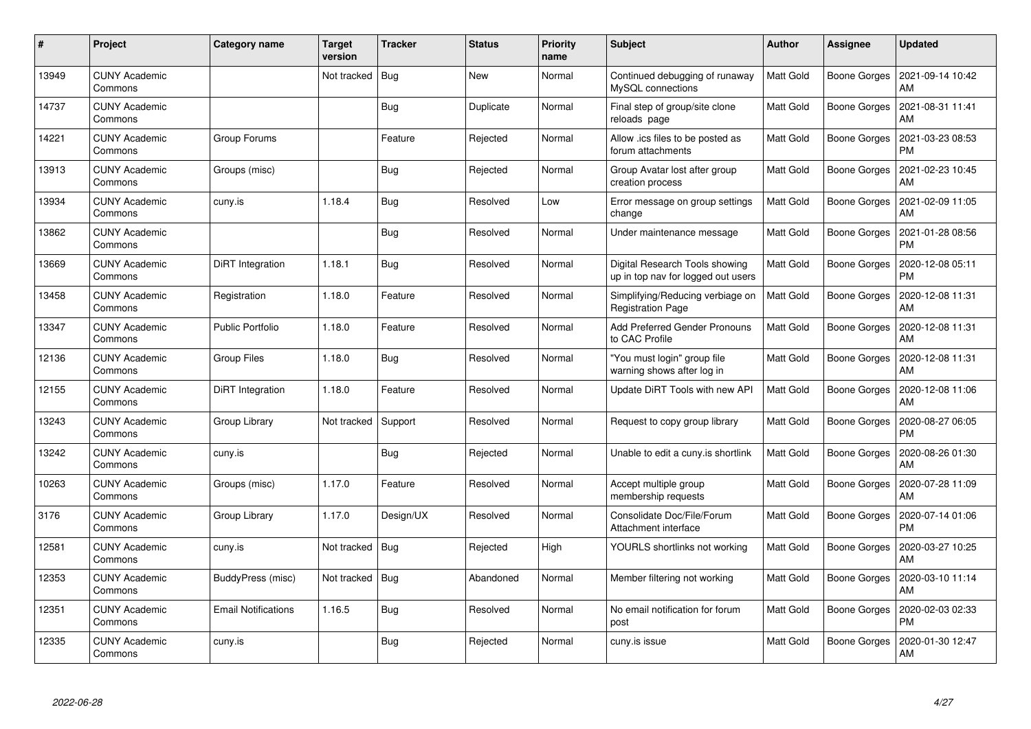| $\pmb{\#}$ | Project                         | Category name              | Target<br>version | <b>Tracker</b> | <b>Status</b> | <b>Priority</b><br>name | <b>Subject</b>                                                       | <b>Author</b>    | Assignee            | <b>Updated</b>                |
|------------|---------------------------------|----------------------------|-------------------|----------------|---------------|-------------------------|----------------------------------------------------------------------|------------------|---------------------|-------------------------------|
| 13949      | <b>CUNY Academic</b><br>Commons |                            | Not tracked       | Bug            | <b>New</b>    | Normal                  | Continued debugging of runaway<br>MySQL connections                  | <b>Matt Gold</b> | <b>Boone Gorges</b> | 2021-09-14 10:42<br>AM        |
| 14737      | CUNY Academic<br>Commons        |                            |                   | <b>Bug</b>     | Duplicate     | Normal                  | Final step of group/site clone<br>reloads page                       | <b>Matt Gold</b> | <b>Boone Gorges</b> | 2021-08-31 11:41<br>AM        |
| 14221      | <b>CUNY Academic</b><br>Commons | Group Forums               |                   | Feature        | Rejected      | Normal                  | Allow .ics files to be posted as<br>forum attachments                | <b>Matt Gold</b> | <b>Boone Gorges</b> | 2021-03-23 08:53<br><b>PM</b> |
| 13913      | <b>CUNY Academic</b><br>Commons | Groups (misc)              |                   | <b>Bug</b>     | Rejected      | Normal                  | Group Avatar lost after group<br>creation process                    | Matt Gold        | Boone Gorges        | 2021-02-23 10:45<br>AM        |
| 13934      | <b>CUNY Academic</b><br>Commons | cuny.is                    | 1.18.4            | <b>Bug</b>     | Resolved      | Low                     | Error message on group settings<br>change                            | <b>Matt Gold</b> | Boone Gorges        | 2021-02-09 11:05<br>AM        |
| 13862      | <b>CUNY Academic</b><br>Commons |                            |                   | <b>Bug</b>     | Resolved      | Normal                  | Under maintenance message                                            | <b>Matt Gold</b> | <b>Boone Gorges</b> | 2021-01-28 08:56<br><b>PM</b> |
| 13669      | <b>CUNY Academic</b><br>Commons | DiRT Integration           | 1.18.1            | Bug            | Resolved      | Normal                  | Digital Research Tools showing<br>up in top nav for logged out users | <b>Matt Gold</b> | <b>Boone Gorges</b> | 2020-12-08 05:11<br><b>PM</b> |
| 13458      | <b>CUNY Academic</b><br>Commons | Registration               | 1.18.0            | Feature        | Resolved      | Normal                  | Simplifying/Reducing verbiage on<br><b>Registration Page</b>         | <b>Matt Gold</b> | Boone Gorges        | 2020-12-08 11:31<br>AM        |
| 13347      | <b>CUNY Academic</b><br>Commons | <b>Public Portfolio</b>    | 1.18.0            | Feature        | Resolved      | Normal                  | Add Preferred Gender Pronouns<br>to CAC Profile                      | <b>Matt Gold</b> | <b>Boone Gorges</b> | 2020-12-08 11:31<br>AM        |
| 12136      | <b>CUNY Academic</b><br>Commons | Group Files                | 1.18.0            | Bug            | Resolved      | Normal                  | 'You must login" group file<br>warning shows after log in            | Matt Gold        | <b>Boone Gorges</b> | 2020-12-08 11:31<br>AM        |
| 12155      | <b>CUNY Academic</b><br>Commons | DiRT Integration           | 1.18.0            | Feature        | Resolved      | Normal                  | Update DiRT Tools with new API                                       | Matt Gold        | Boone Gorges        | 2020-12-08 11:06<br>AM        |
| 13243      | <b>CUNY Academic</b><br>Commons | Group Library              | Not tracked       | Support        | Resolved      | Normal                  | Request to copy group library                                        | <b>Matt Gold</b> | <b>Boone Gorges</b> | 2020-08-27 06:05<br><b>PM</b> |
| 13242      | <b>CUNY Academic</b><br>Commons | cuny.is                    |                   | <b>Bug</b>     | Rejected      | Normal                  | Unable to edit a cuny is shortlink                                   | <b>Matt Gold</b> | <b>Boone Gorges</b> | 2020-08-26 01:30<br>AM        |
| 10263      | <b>CUNY Academic</b><br>Commons | Groups (misc)              | 1.17.0            | Feature        | Resolved      | Normal                  | Accept multiple group<br>membership requests                         | <b>Matt Gold</b> | <b>Boone Gorges</b> | 2020-07-28 11:09<br>AM        |
| 3176       | <b>CUNY Academic</b><br>Commons | Group Library              | 1.17.0            | Design/UX      | Resolved      | Normal                  | Consolidate Doc/File/Forum<br>Attachment interface                   | <b>Matt Gold</b> | <b>Boone Gorges</b> | 2020-07-14 01:06<br><b>PM</b> |
| 12581      | <b>CUNY Academic</b><br>Commons | cuny.is                    | Not tracked   Bug |                | Rejected      | High                    | YOURLS shortlinks not working                                        | <b>Matt Gold</b> | Boone Gorges        | 2020-03-27 10:25<br>AM        |
| 12353      | <b>CUNY Academic</b><br>Commons | BuddyPress (misc)          | Not tracked       | Bug            | Abandoned     | Normal                  | Member filtering not working                                         | <b>Matt Gold</b> | Boone Gorges        | 2020-03-10 11:14<br>AM        |
| 12351      | <b>CUNY Academic</b><br>Commons | <b>Email Notifications</b> | 1.16.5            | <b>Bug</b>     | Resolved      | Normal                  | No email notification for forum<br>post                              | Matt Gold        | <b>Boone Gorges</b> | 2020-02-03 02:33<br><b>PM</b> |
| 12335      | <b>CUNY Academic</b><br>Commons | cuny.is                    |                   | <b>Bug</b>     | Rejected      | Normal                  | cuny.is issue                                                        | Matt Gold        | Boone Gorges        | 2020-01-30 12:47<br>AM        |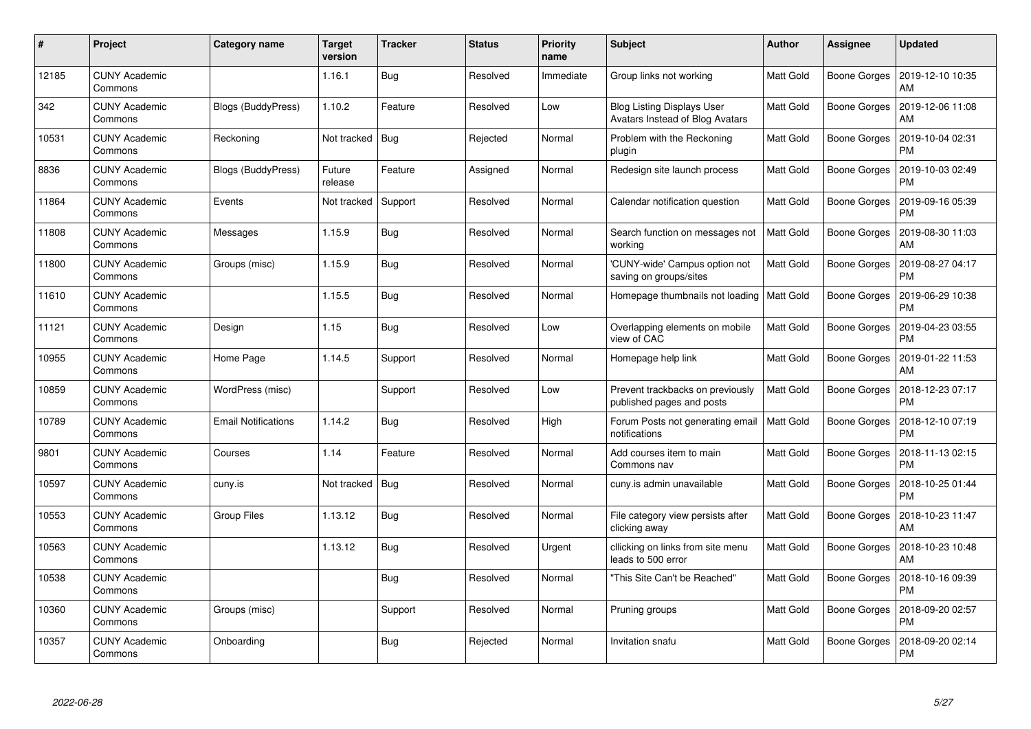| $\#$  | Project                         | Category name              | Target<br>version | <b>Tracker</b> | <b>Status</b> | <b>Priority</b><br>name | <b>Subject</b>                                                       | <b>Author</b>    | <b>Assignee</b>     | <b>Updated</b>                |
|-------|---------------------------------|----------------------------|-------------------|----------------|---------------|-------------------------|----------------------------------------------------------------------|------------------|---------------------|-------------------------------|
| 12185 | <b>CUNY Academic</b><br>Commons |                            | 1.16.1            | <b>Bug</b>     | Resolved      | Immediate               | Group links not working                                              | <b>Matt Gold</b> | <b>Boone Gorges</b> | 2019-12-10 10:35<br>AM        |
| 342   | <b>CUNY Academic</b><br>Commons | Blogs (BuddyPress)         | 1.10.2            | Feature        | Resolved      | Low                     | <b>Blog Listing Displays User</b><br>Avatars Instead of Blog Avatars | <b>Matt Gold</b> | <b>Boone Gorges</b> | 2019-12-06 11:08<br>AM        |
| 10531 | <b>CUNY Academic</b><br>Commons | Reckoning                  | Not tracked       | Bug            | Rejected      | Normal                  | Problem with the Reckoning<br>plugin                                 | Matt Gold        | <b>Boone Gorges</b> | 2019-10-04 02:31<br><b>PM</b> |
| 8836  | <b>CUNY Academic</b><br>Commons | Blogs (BuddyPress)         | Future<br>release | Feature        | Assigned      | Normal                  | Redesign site launch process                                         | Matt Gold        | Boone Gorges        | 2019-10-03 02:49<br><b>PM</b> |
| 11864 | <b>CUNY Academic</b><br>Commons | Events                     | Not tracked       | Support        | Resolved      | Normal                  | Calendar notification question                                       | <b>Matt Gold</b> | <b>Boone Gorges</b> | 2019-09-16 05:39<br><b>PM</b> |
| 11808 | <b>CUNY Academic</b><br>Commons | Messages                   | 1.15.9            | <b>Bug</b>     | Resolved      | Normal                  | Search function on messages not<br>working                           | <b>Matt Gold</b> | Boone Gorges        | 2019-08-30 11:03<br>AM        |
| 11800 | <b>CUNY Academic</b><br>Commons | Groups (misc)              | 1.15.9            | <b>Bug</b>     | Resolved      | Normal                  | 'CUNY-wide' Campus option not<br>saving on groups/sites              | <b>Matt Gold</b> | <b>Boone Gorges</b> | 2019-08-27 04:17<br><b>PM</b> |
| 11610 | <b>CUNY Academic</b><br>Commons |                            | 1.15.5            | <b>Bug</b>     | Resolved      | Normal                  | Homepage thumbnails not loading   Matt Gold                          |                  | Boone Gorges        | 2019-06-29 10:38<br><b>PM</b> |
| 11121 | <b>CUNY Academic</b><br>Commons | Design                     | 1.15              | <b>Bug</b>     | Resolved      | Low                     | Overlapping elements on mobile<br>view of CAC                        | <b>Matt Gold</b> | <b>Boone Gorges</b> | 2019-04-23 03:55<br><b>PM</b> |
| 10955 | <b>CUNY Academic</b><br>Commons | Home Page                  | 1.14.5            | Support        | Resolved      | Normal                  | Homepage help link                                                   | <b>Matt Gold</b> | Boone Gorges        | 2019-01-22 11:53<br>AM        |
| 10859 | <b>CUNY Academic</b><br>Commons | WordPress (misc)           |                   | Support        | Resolved      | Low                     | Prevent trackbacks on previously<br>published pages and posts        | <b>Matt Gold</b> | <b>Boone Gorges</b> | 2018-12-23 07:17<br><b>PM</b> |
| 10789 | <b>CUNY Academic</b><br>Commons | <b>Email Notifications</b> | 1.14.2            | Bug            | Resolved      | High                    | Forum Posts not generating email<br>notifications                    | <b>Matt Gold</b> | Boone Gorges        | 2018-12-10 07:19<br><b>PM</b> |
| 9801  | <b>CUNY Academic</b><br>Commons | Courses                    | 1.14              | Feature        | Resolved      | Normal                  | Add courses item to main<br>Commons nav                              | <b>Matt Gold</b> | Boone Gorges        | 2018-11-13 02:15<br>PM        |
| 10597 | <b>CUNY Academic</b><br>Commons | cuny.is                    | Not tracked       | Bug            | Resolved      | Normal                  | cuny.is admin unavailable                                            | <b>Matt Gold</b> | <b>Boone Gorges</b> | 2018-10-25 01:44<br><b>PM</b> |
| 10553 | <b>CUNY Academic</b><br>Commons | Group Files                | 1.13.12           | Bug            | Resolved      | Normal                  | File category view persists after<br>clicking away                   | Matt Gold        | <b>Boone Gorges</b> | 2018-10-23 11:47<br>AM        |
| 10563 | <b>CUNY Academic</b><br>Commons |                            | 1.13.12           | <b>Bug</b>     | Resolved      | Urgent                  | cllicking on links from site menu<br>leads to 500 error              | Matt Gold        | Boone Gorges        | 2018-10-23 10:48<br>AM        |
| 10538 | <b>CUNY Academic</b><br>Commons |                            |                   | <b>Bug</b>     | Resolved      | Normal                  | "This Site Can't be Reached"                                         | <b>Matt Gold</b> | <b>Boone Gorges</b> | 2018-10-16 09:39<br><b>PM</b> |
| 10360 | <b>CUNY Academic</b><br>Commons | Groups (misc)              |                   | Support        | Resolved      | Normal                  | Pruning groups                                                       | <b>Matt Gold</b> | <b>Boone Gorges</b> | 2018-09-20 02:57<br><b>PM</b> |
| 10357 | <b>CUNY Academic</b><br>Commons | Onboarding                 |                   | <b>Bug</b>     | Rejected      | Normal                  | Invitation snafu                                                     | Matt Gold        | Boone Gorges        | 2018-09-20 02:14<br>PM        |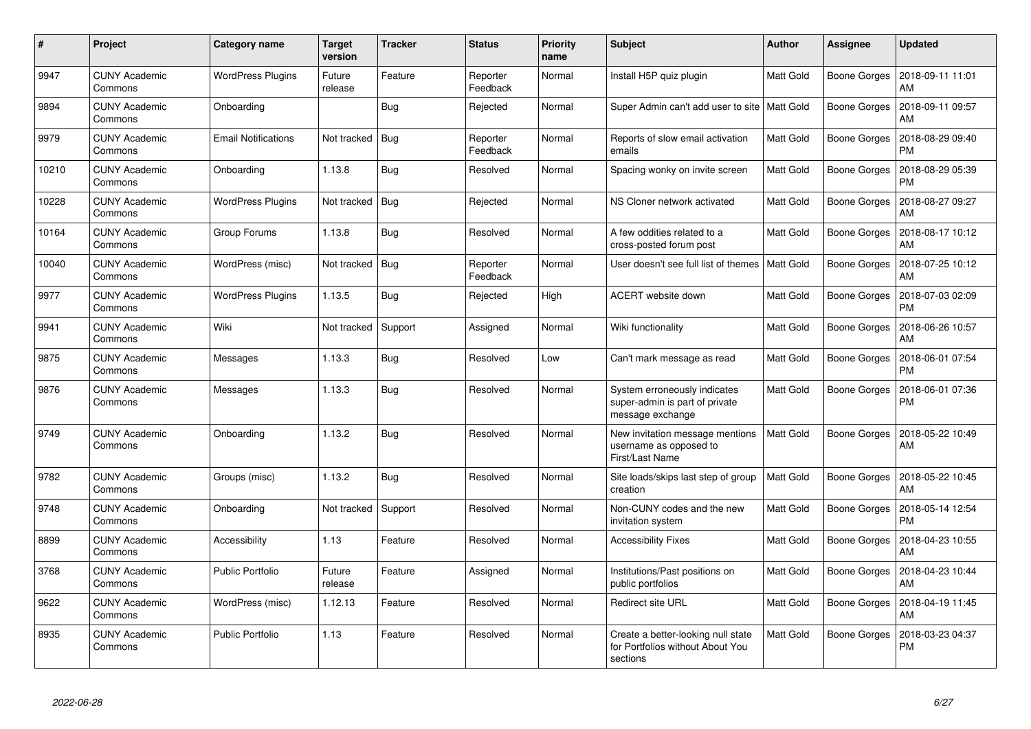| #     | Project                         | Category name              | <b>Target</b><br>version | <b>Tracker</b> | <b>Status</b>        | <b>Priority</b><br>name | <b>Subject</b>                                                                     | <b>Author</b>    | Assignee            | <b>Updated</b>                |
|-------|---------------------------------|----------------------------|--------------------------|----------------|----------------------|-------------------------|------------------------------------------------------------------------------------|------------------|---------------------|-------------------------------|
| 9947  | <b>CUNY Academic</b><br>Commons | <b>WordPress Plugins</b>   | Future<br>release        | Feature        | Reporter<br>Feedback | Normal                  | Install H5P quiz plugin                                                            | Matt Gold        | <b>Boone Gorges</b> | 2018-09-11 11:01<br>AM        |
| 9894  | <b>CUNY Academic</b><br>Commons | Onboarding                 |                          | Bug            | Rejected             | Normal                  | Super Admin can't add user to site   Matt Gold                                     |                  | <b>Boone Gorges</b> | 2018-09-11 09:57<br>AM        |
| 9979  | <b>CUNY Academic</b><br>Commons | <b>Email Notifications</b> | Not tracked              | Bua            | Reporter<br>Feedback | Normal                  | Reports of slow email activation<br>emails                                         | <b>Matt Gold</b> | <b>Boone Gorges</b> | 2018-08-29 09:40<br><b>PM</b> |
| 10210 | <b>CUNY Academic</b><br>Commons | Onboarding                 | 1.13.8                   | Bug            | Resolved             | Normal                  | Spacing wonky on invite screen                                                     | Matt Gold        | <b>Boone Gorges</b> | 2018-08-29 05:39<br><b>PM</b> |
| 10228 | <b>CUNY Academic</b><br>Commons | <b>WordPress Plugins</b>   | Not tracked              | Bug            | Rejected             | Normal                  | NS Cloner network activated                                                        | <b>Matt Gold</b> | <b>Boone Gorges</b> | 2018-08-27 09:27<br>AM        |
| 10164 | <b>CUNY Academic</b><br>Commons | Group Forums               | 1.13.8                   | <b>Bug</b>     | Resolved             | Normal                  | A few oddities related to a<br>cross-posted forum post                             | Matt Gold        | <b>Boone Gorges</b> | 2018-08-17 10:12<br>AM        |
| 10040 | <b>CUNY Academic</b><br>Commons | WordPress (misc)           | Not tracked              | Bug            | Reporter<br>Feedback | Normal                  | User doesn't see full list of themes                                               | Matt Gold        | <b>Boone Gorges</b> | 2018-07-25 10:12<br>AM        |
| 9977  | <b>CUNY Academic</b><br>Commons | <b>WordPress Plugins</b>   | 1.13.5                   | <b>Bug</b>     | Rejected             | High                    | ACERT website down                                                                 | Matt Gold        | <b>Boone Gorges</b> | 2018-07-03 02:09<br><b>PM</b> |
| 9941  | <b>CUNY Academic</b><br>Commons | Wiki                       | Not tracked              | Support        | Assigned             | Normal                  | Wiki functionality                                                                 | Matt Gold        | <b>Boone Gorges</b> | 2018-06-26 10:57<br>AM        |
| 9875  | <b>CUNY Academic</b><br>Commons | Messages                   | 1.13.3                   | <b>Bug</b>     | Resolved             | Low                     | Can't mark message as read                                                         | <b>Matt Gold</b> | <b>Boone Gorges</b> | 2018-06-01 07:54<br><b>PM</b> |
| 9876  | <b>CUNY Academic</b><br>Commons | Messages                   | 1.13.3                   | <b>Bug</b>     | Resolved             | Normal                  | System erroneously indicates<br>super-admin is part of private<br>message exchange | Matt Gold        | <b>Boone Gorges</b> | 2018-06-01 07:36<br><b>PM</b> |
| 9749  | <b>CUNY Academic</b><br>Commons | Onboarding                 | 1.13.2                   | <b>Bug</b>     | Resolved             | Normal                  | New invitation message mentions<br>username as opposed to<br>First/Last Name       | <b>Matt Gold</b> | Boone Gorges        | 2018-05-22 10:49<br>AM        |
| 9782  | <b>CUNY Academic</b><br>Commons | Groups (misc)              | 1.13.2                   | Bug            | Resolved             | Normal                  | Site loads/skips last step of group<br>creation                                    | <b>Matt Gold</b> | <b>Boone Gorges</b> | 2018-05-22 10:45<br>AM        |
| 9748  | <b>CUNY Academic</b><br>Commons | Onboarding                 | Not tracked              | Support        | Resolved             | Normal                  | Non-CUNY codes and the new<br>invitation system                                    | <b>Matt Gold</b> | Boone Gorges        | 2018-05-14 12:54<br><b>PM</b> |
| 8899  | <b>CUNY Academic</b><br>Commons | Accessibility              | 1.13                     | Feature        | Resolved             | Normal                  | <b>Accessibility Fixes</b>                                                         | <b>Matt Gold</b> | Boone Gorges        | 2018-04-23 10:55<br>AM        |
| 3768  | <b>CUNY Academic</b><br>Commons | <b>Public Portfolio</b>    | Future<br>release        | Feature        | Assigned             | Normal                  | Institutions/Past positions on<br>public portfolios                                | <b>Matt Gold</b> | <b>Boone Gorges</b> | 2018-04-23 10:44<br>AM        |
| 9622  | <b>CUNY Academic</b><br>Commons | WordPress (misc)           | 1.12.13                  | Feature        | Resolved             | Normal                  | <b>Redirect site URL</b>                                                           | <b>Matt Gold</b> | <b>Boone Gorges</b> | 2018-04-19 11:45<br>AM        |
| 8935  | <b>CUNY Academic</b><br>Commons | <b>Public Portfolio</b>    | 1.13                     | Feature        | Resolved             | Normal                  | Create a better-looking null state<br>for Portfolios without About You<br>sections | Matt Gold        | <b>Boone Gorges</b> | 2018-03-23 04:37<br><b>PM</b> |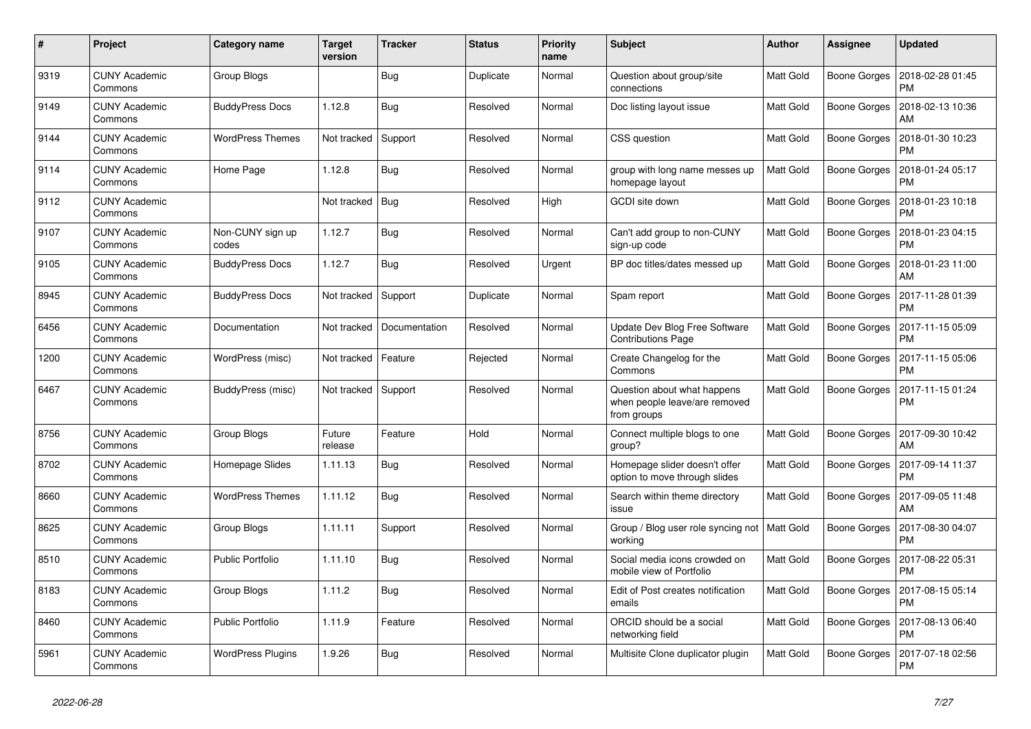| #    | Project                         | Category name             | <b>Target</b><br>version | <b>Tracker</b> | <b>Status</b> | <b>Priority</b><br>name | <b>Subject</b>                                                              | <b>Author</b>    | Assignee            | <b>Updated</b>                |
|------|---------------------------------|---------------------------|--------------------------|----------------|---------------|-------------------------|-----------------------------------------------------------------------------|------------------|---------------------|-------------------------------|
| 9319 | <b>CUNY Academic</b><br>Commons | Group Blogs               |                          | Bug            | Duplicate     | Normal                  | Question about group/site<br>connections                                    | <b>Matt Gold</b> | <b>Boone Gorges</b> | 2018-02-28 01:45<br><b>PM</b> |
| 9149 | <b>CUNY Academic</b><br>Commons | <b>BuddyPress Docs</b>    | 1.12.8                   | Bug            | Resolved      | Normal                  | Doc listing layout issue                                                    | <b>Matt Gold</b> | <b>Boone Gorges</b> | 2018-02-13 10:36<br>AM        |
| 9144 | <b>CUNY Academic</b><br>Commons | WordPress Themes          | Not tracked              | Support        | Resolved      | Normal                  | CSS question                                                                | Matt Gold        | Boone Gorges        | 2018-01-30 10:23<br><b>PM</b> |
| 9114 | <b>CUNY Academic</b><br>Commons | Home Page                 | 1.12.8                   | <b>Bug</b>     | Resolved      | Normal                  | group with long name messes up<br>homepage layout                           | <b>Matt Gold</b> | <b>Boone Gorges</b> | 2018-01-24 05:17<br><b>PM</b> |
| 9112 | <b>CUNY Academic</b><br>Commons |                           | Not tracked              | Bug            | Resolved      | High                    | <b>GCDI</b> site down                                                       | Matt Gold        | <b>Boone Gorges</b> | 2018-01-23 10:18<br><b>PM</b> |
| 9107 | <b>CUNY Academic</b><br>Commons | Non-CUNY sign up<br>codes | 1.12.7                   | Bug            | Resolved      | Normal                  | Can't add group to non-CUNY<br>sign-up code                                 | <b>Matt Gold</b> | <b>Boone Gorges</b> | 2018-01-23 04:15<br><b>PM</b> |
| 9105 | <b>CUNY Academic</b><br>Commons | <b>BuddyPress Docs</b>    | 1.12.7                   | Bug            | Resolved      | Urgent                  | BP doc titles/dates messed up                                               | Matt Gold        | <b>Boone Gorges</b> | 2018-01-23 11:00<br>AM        |
| 8945 | <b>CUNY Academic</b><br>Commons | <b>BuddyPress Docs</b>    | Not tracked              | Support        | Duplicate     | Normal                  | Spam report                                                                 | Matt Gold        | <b>Boone Gorges</b> | 2017-11-28 01:39<br><b>PM</b> |
| 6456 | <b>CUNY Academic</b><br>Commons | Documentation             | Not tracked              | Documentation  | Resolved      | Normal                  | Update Dev Blog Free Software<br><b>Contributions Page</b>                  | <b>Matt Gold</b> | <b>Boone Gorges</b> | 2017-11-15 05:09<br><b>PM</b> |
| 1200 | <b>CUNY Academic</b><br>Commons | WordPress (misc)          | Not tracked              | Feature        | Rejected      | Normal                  | Create Changelog for the<br>Commons                                         | <b>Matt Gold</b> | Boone Gorges        | 2017-11-15 05:06<br><b>PM</b> |
| 6467 | <b>CUNY Academic</b><br>Commons | BuddyPress (misc)         | Not tracked              | Support        | Resolved      | Normal                  | Question about what happens<br>when people leave/are removed<br>from groups | Matt Gold        | <b>Boone Gorges</b> | 2017-11-15 01:24<br><b>PM</b> |
| 8756 | <b>CUNY Academic</b><br>Commons | Group Blogs               | Future<br>release        | Feature        | Hold          | Normal                  | Connect multiple blogs to one<br>group?                                     | Matt Gold        | <b>Boone Gorges</b> | 2017-09-30 10:42<br>AM        |
| 8702 | <b>CUNY Academic</b><br>Commons | Homepage Slides           | 1.11.13                  | <b>Bug</b>     | Resolved      | Normal                  | Homepage slider doesn't offer<br>option to move through slides              | Matt Gold        | <b>Boone Gorges</b> | 2017-09-14 11:37<br><b>PM</b> |
| 8660 | <b>CUNY Academic</b><br>Commons | <b>WordPress Themes</b>   | 1.11.12                  | Bug            | Resolved      | Normal                  | Search within theme directory<br>issue                                      | Matt Gold        | <b>Boone Gorges</b> | 2017-09-05 11:48<br>AM        |
| 8625 | <b>CUNY Academic</b><br>Commons | Group Blogs               | 1.11.11                  | Support        | Resolved      | Normal                  | Group / Blog user role syncing not<br>working                               | <b>Matt Gold</b> | <b>Boone Gorges</b> | 2017-08-30 04:07<br>PM        |
| 8510 | <b>CUNY Academic</b><br>Commons | <b>Public Portfolio</b>   | 1.11.10                  | <b>Bug</b>     | Resolved      | Normal                  | Social media icons crowded on<br>mobile view of Portfolio                   | Matt Gold        | <b>Boone Gorges</b> | 2017-08-22 05:31<br><b>PM</b> |
| 8183 | <b>CUNY Academic</b><br>Commons | Group Blogs               | 1.11.2                   | Bug            | Resolved      | Normal                  | Edit of Post creates notification<br>emails                                 | <b>Matt Gold</b> | <b>Boone Gorges</b> | 2017-08-15 05:14<br><b>PM</b> |
| 8460 | <b>CUNY Academic</b><br>Commons | <b>Public Portfolio</b>   | 1.11.9                   | Feature        | Resolved      | Normal                  | ORCID should be a social<br>networking field                                | <b>Matt Gold</b> | <b>Boone Gorges</b> | 2017-08-13 06:40<br><b>PM</b> |
| 5961 | <b>CUNY Academic</b><br>Commons | <b>WordPress Plugins</b>  | 1.9.26                   | Bug            | Resolved      | Normal                  | Multisite Clone duplicator plugin                                           | Matt Gold        | <b>Boone Gorges</b> | 2017-07-18 02:56<br><b>PM</b> |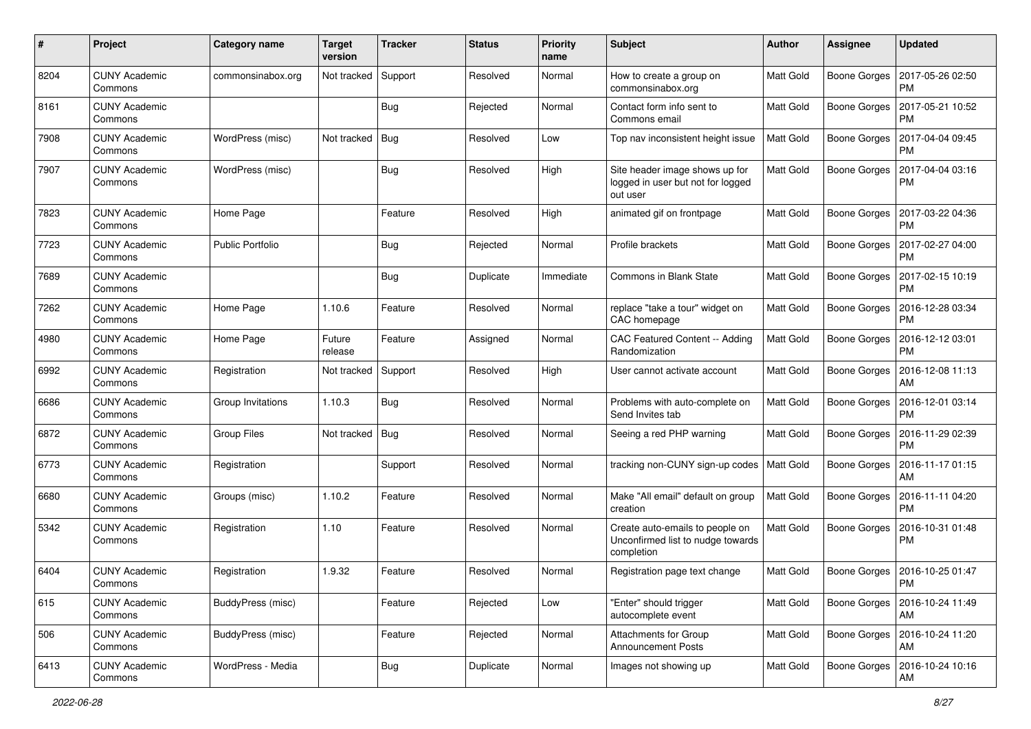| #    | Project                         | <b>Category name</b>    | <b>Target</b><br>version | <b>Tracker</b> | <b>Status</b> | <b>Priority</b><br>name | <b>Subject</b>                                                                     | <b>Author</b>    | <b>Assignee</b>     | <b>Updated</b>                |
|------|---------------------------------|-------------------------|--------------------------|----------------|---------------|-------------------------|------------------------------------------------------------------------------------|------------------|---------------------|-------------------------------|
| 8204 | <b>CUNY Academic</b><br>Commons | commonsinabox.org       | Not tracked              | Support        | Resolved      | Normal                  | How to create a group on<br>commonsinabox.org                                      | <b>Matt Gold</b> | <b>Boone Gorges</b> | 2017-05-26 02:50<br><b>PM</b> |
| 8161 | <b>CUNY Academic</b><br>Commons |                         |                          | Bug            | Rejected      | Normal                  | Contact form info sent to<br>Commons email                                         | <b>Matt Gold</b> | <b>Boone Gorges</b> | 2017-05-21 10:52<br><b>PM</b> |
| 7908 | <b>CUNY Academic</b><br>Commons | WordPress (misc)        | Not tracked              | Bug            | Resolved      | Low                     | Top nav inconsistent height issue                                                  | <b>Matt Gold</b> | <b>Boone Gorges</b> | 2017-04-04 09:45<br><b>PM</b> |
| 7907 | <b>CUNY Academic</b><br>Commons | WordPress (misc)        |                          | Bug            | Resolved      | High                    | Site header image shows up for<br>logged in user but not for logged<br>out user    | <b>Matt Gold</b> | <b>Boone Gorges</b> | 2017-04-04 03:16<br>PM        |
| 7823 | <b>CUNY Academic</b><br>Commons | Home Page               |                          | Feature        | Resolved      | High                    | animated gif on frontpage                                                          | <b>Matt Gold</b> | <b>Boone Gorges</b> | 2017-03-22 04:36<br>PM        |
| 7723 | <b>CUNY Academic</b><br>Commons | <b>Public Portfolio</b> |                          | Bug            | Rejected      | Normal                  | Profile brackets                                                                   | <b>Matt Gold</b> | <b>Boone Gorges</b> | 2017-02-27 04:00<br><b>PM</b> |
| 7689 | <b>CUNY Academic</b><br>Commons |                         |                          | Bug            | Duplicate     | Immediate               | <b>Commons in Blank State</b>                                                      | Matt Gold        | <b>Boone Gorges</b> | 2017-02-15 10:19<br><b>PM</b> |
| 7262 | <b>CUNY Academic</b><br>Commons | Home Page               | 1.10.6                   | Feature        | Resolved      | Normal                  | replace "take a tour" widget on<br>CAC homepage                                    | Matt Gold        | Boone Gorges        | 2016-12-28 03:34<br><b>PM</b> |
| 4980 | <b>CUNY Academic</b><br>Commons | Home Page               | Future<br>release        | Feature        | Assigned      | Normal                  | CAC Featured Content -- Adding<br>Randomization                                    | <b>Matt Gold</b> | <b>Boone Gorges</b> | 2016-12-12 03:01<br><b>PM</b> |
| 6992 | <b>CUNY Academic</b><br>Commons | Registration            | Not tracked              | Support        | Resolved      | High                    | User cannot activate account                                                       | <b>Matt Gold</b> | <b>Boone Gorges</b> | 2016-12-08 11:13<br>AM        |
| 6686 | <b>CUNY Academic</b><br>Commons | Group Invitations       | 1.10.3                   | Bug            | Resolved      | Normal                  | Problems with auto-complete on<br>Send Invites tab                                 | Matt Gold        | <b>Boone Gorges</b> | 2016-12-01 03:14<br><b>PM</b> |
| 6872 | <b>CUNY Academic</b><br>Commons | <b>Group Files</b>      | Not tracked              | Bug            | Resolved      | Normal                  | Seeing a red PHP warning                                                           | <b>Matt Gold</b> | <b>Boone Gorges</b> | 2016-11-29 02:39<br><b>PM</b> |
| 6773 | <b>CUNY Academic</b><br>Commons | Registration            |                          | Support        | Resolved      | Normal                  | tracking non-CUNY sign-up codes   Matt Gold                                        |                  | Boone Gorges        | 2016-11-17 01:15<br>AM        |
| 6680 | <b>CUNY Academic</b><br>Commons | Groups (misc)           | 1.10.2                   | Feature        | Resolved      | Normal                  | Make "All email" default on group<br>creation                                      | <b>Matt Gold</b> | Boone Gorges        | 2016-11-11 04:20<br><b>PM</b> |
| 5342 | <b>CUNY Academic</b><br>Commons | Registration            | 1.10                     | Feature        | Resolved      | Normal                  | Create auto-emails to people on<br>Unconfirmed list to nudge towards<br>completion | Matt Gold        | <b>Boone Gorges</b> | 2016-10-31 01:48<br><b>PM</b> |
| 6404 | <b>CUNY Academic</b><br>Commons | Registration            | 1.9.32                   | Feature        | Resolved      | Normal                  | Registration page text change                                                      | Matt Gold        | Boone Gorges        | 2016-10-25 01:47<br>PM        |
| 615  | <b>CUNY Academic</b><br>Commons | BuddyPress (misc)       |                          | Feature        | Rejected      | Low                     | "Enter" should trigger<br>autocomplete event                                       | <b>Matt Gold</b> | <b>Boone Gorges</b> | 2016-10-24 11:49<br>AM        |
| 506  | <b>CUNY Academic</b><br>Commons | BuddyPress (misc)       |                          | Feature        | Rejected      | Normal                  | <b>Attachments for Group</b><br><b>Announcement Posts</b>                          | <b>Matt Gold</b> | Boone Gorges        | 2016-10-24 11:20<br>AM        |
| 6413 | <b>CUNY Academic</b><br>Commons | WordPress - Media       |                          | <b>Bug</b>     | Duplicate     | Normal                  | Images not showing up                                                              | Matt Gold        | <b>Boone Gorges</b> | 2016-10-24 10:16<br>AM        |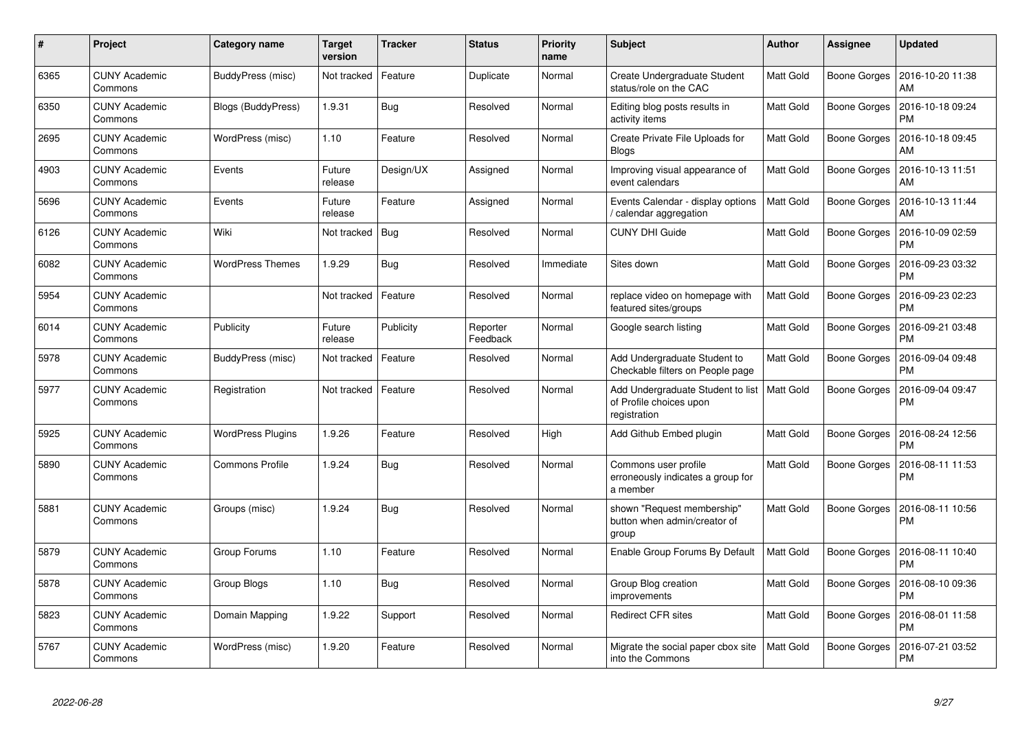| #    | Project                         | Category name            | Target<br>version | <b>Tracker</b> | <b>Status</b>        | <b>Priority</b><br>name | <b>Subject</b>                                                               | <b>Author</b>    | Assignee            | <b>Updated</b>                |
|------|---------------------------------|--------------------------|-------------------|----------------|----------------------|-------------------------|------------------------------------------------------------------------------|------------------|---------------------|-------------------------------|
| 6365 | <b>CUNY Academic</b><br>Commons | BuddyPress (misc)        | Not tracked       | Feature        | Duplicate            | Normal                  | Create Undergraduate Student<br>status/role on the CAC                       | <b>Matt Gold</b> | <b>Boone Gorges</b> | 2016-10-20 11:38<br>AM        |
| 6350 | <b>CUNY Academic</b><br>Commons | Blogs (BuddyPress)       | 1.9.31            | Bug            | Resolved             | Normal                  | Editing blog posts results in<br>activity items                              | <b>Matt Gold</b> | <b>Boone Gorges</b> | 2016-10-18 09:24<br><b>PM</b> |
| 2695 | <b>CUNY Academic</b><br>Commons | WordPress (misc)         | 1.10              | Feature        | Resolved             | Normal                  | Create Private File Uploads for<br><b>Blogs</b>                              | <b>Matt Gold</b> | <b>Boone Gorges</b> | 2016-10-18 09:45<br>AM        |
| 4903 | <b>CUNY Academic</b><br>Commons | Events                   | Future<br>release | Design/UX      | Assigned             | Normal                  | Improving visual appearance of<br>event calendars                            | Matt Gold        | Boone Gorges        | 2016-10-13 11:51<br>AM        |
| 5696 | <b>CUNY Academic</b><br>Commons | Events                   | Future<br>release | Feature        | Assigned             | Normal                  | Events Calendar - display options<br>calendar aggregation                    | <b>Matt Gold</b> | <b>Boone Gorges</b> | 2016-10-13 11:44<br>AM        |
| 6126 | <b>CUNY Academic</b><br>Commons | Wiki                     | Not tracked       | Bug            | Resolved             | Normal                  | <b>CUNY DHI Guide</b>                                                        | <b>Matt Gold</b> | <b>Boone Gorges</b> | 2016-10-09 02:59<br><b>PM</b> |
| 6082 | <b>CUNY Academic</b><br>Commons | <b>WordPress Themes</b>  | 1.9.29            | <b>Bug</b>     | Resolved             | Immediate               | Sites down                                                                   | Matt Gold        | <b>Boone Gorges</b> | 2016-09-23 03:32<br><b>PM</b> |
| 5954 | <b>CUNY Academic</b><br>Commons |                          | Not tracked       | Feature        | Resolved             | Normal                  | replace video on homepage with<br>featured sites/groups                      | Matt Gold        | <b>Boone Gorges</b> | 2016-09-23 02:23<br><b>PM</b> |
| 6014 | <b>CUNY Academic</b><br>Commons | Publicity                | Future<br>release | Publicity      | Reporter<br>Feedback | Normal                  | Google search listing                                                        | Matt Gold        | <b>Boone Gorges</b> | 2016-09-21 03:48<br><b>PM</b> |
| 5978 | <b>CUNY Academic</b><br>Commons | BuddyPress (misc)        | Not tracked       | Feature        | Resolved             | Normal                  | Add Undergraduate Student to<br>Checkable filters on People page             | <b>Matt Gold</b> | <b>Boone Gorges</b> | 2016-09-04 09:48<br><b>PM</b> |
| 5977 | <b>CUNY Academic</b><br>Commons | Registration             | Not tracked       | Feature        | Resolved             | Normal                  | Add Undergraduate Student to list<br>of Profile choices upon<br>registration | Matt Gold        | <b>Boone Gorges</b> | 2016-09-04 09:47<br><b>PM</b> |
| 5925 | <b>CUNY Academic</b><br>Commons | <b>WordPress Plugins</b> | 1.9.26            | Feature        | Resolved             | High                    | Add Github Embed plugin                                                      | <b>Matt Gold</b> | <b>Boone Gorges</b> | 2016-08-24 12:56<br><b>PM</b> |
| 5890 | <b>CUNY Academic</b><br>Commons | <b>Commons Profile</b>   | 1.9.24            | Bug            | Resolved             | Normal                  | Commons user profile<br>erroneously indicates a group for<br>a member        | <b>Matt Gold</b> | <b>Boone Gorges</b> | 2016-08-11 11:53<br><b>PM</b> |
| 5881 | <b>CUNY Academic</b><br>Commons | Groups (misc)            | 1.9.24            | Bug            | Resolved             | Normal                  | shown "Request membership"<br>button when admin/creator of<br>group          | <b>Matt Gold</b> | <b>Boone Gorges</b> | 2016-08-11 10:56<br><b>PM</b> |
| 5879 | <b>CUNY Academic</b><br>Commons | Group Forums             | 1.10              | Feature        | Resolved             | Normal                  | Enable Group Forums By Default                                               | <b>Matt Gold</b> | <b>Boone Gorges</b> | 2016-08-11 10:40<br><b>PM</b> |
| 5878 | <b>CUNY Academic</b><br>Commons | Group Blogs              | 1.10              | <b>Bug</b>     | Resolved             | Normal                  | Group Blog creation<br>improvements                                          | Matt Gold        | <b>Boone Gorges</b> | 2016-08-10 09:36<br><b>PM</b> |
| 5823 | <b>CUNY Academic</b><br>Commons | Domain Mapping           | 1.9.22            | Support        | Resolved             | Normal                  | Redirect CFR sites                                                           | Matt Gold        | <b>Boone Gorges</b> | 2016-08-01 11:58<br><b>PM</b> |
| 5767 | <b>CUNY Academic</b><br>Commons | WordPress (misc)         | 1.9.20            | Feature        | Resolved             | Normal                  | Migrate the social paper cbox site<br>into the Commons                       | Matt Gold        | <b>Boone Gorges</b> | 2016-07-21 03:52<br><b>PM</b> |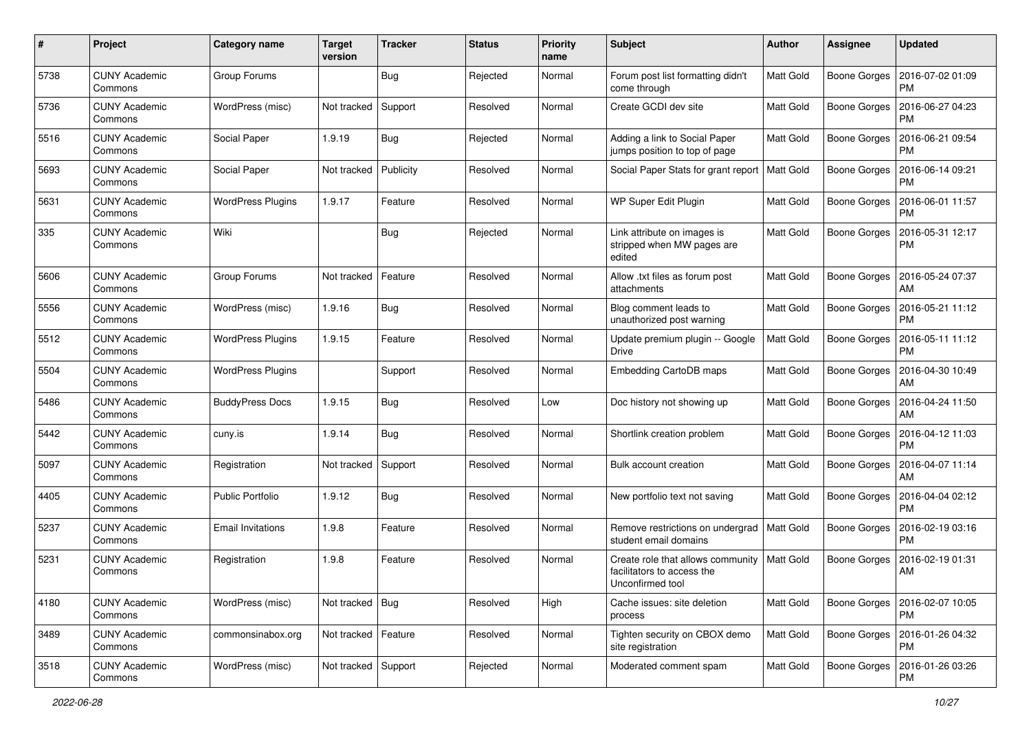| #    | Project                         | <b>Category name</b>     | <b>Target</b><br>version | <b>Tracker</b> | <b>Status</b> | <b>Priority</b><br>name | Subject                                                                             | <b>Author</b>    | <b>Assignee</b>     | <b>Updated</b>                |
|------|---------------------------------|--------------------------|--------------------------|----------------|---------------|-------------------------|-------------------------------------------------------------------------------------|------------------|---------------------|-------------------------------|
| 5738 | <b>CUNY Academic</b><br>Commons | Group Forums             |                          | <b>Bug</b>     | Rejected      | Normal                  | Forum post list formatting didn't<br>come through                                   | Matt Gold        | <b>Boone Gorges</b> | 2016-07-02 01:09<br><b>PM</b> |
| 5736 | <b>CUNY Academic</b><br>Commons | WordPress (misc)         | Not tracked              | Support        | Resolved      | Normal                  | Create GCDI dev site                                                                | Matt Gold        | <b>Boone Gorges</b> | 2016-06-27 04:23<br><b>PM</b> |
| 5516 | CUNY Academic<br>Commons        | Social Paper             | 1.9.19                   | <b>Bug</b>     | Rejected      | Normal                  | Adding a link to Social Paper<br>jumps position to top of page                      | <b>Matt Gold</b> | <b>Boone Gorges</b> | 2016-06-21 09:54<br><b>PM</b> |
| 5693 | <b>CUNY Academic</b><br>Commons | Social Paper             | Not tracked              | Publicity      | Resolved      | Normal                  | Social Paper Stats for grant report   Matt Gold                                     |                  | <b>Boone Gorges</b> | 2016-06-14 09:21<br><b>PM</b> |
| 5631 | <b>CUNY Academic</b><br>Commons | <b>WordPress Plugins</b> | 1.9.17                   | Feature        | Resolved      | Normal                  | WP Super Edit Plugin                                                                | <b>Matt Gold</b> | <b>Boone Gorges</b> | 2016-06-01 11:57<br><b>PM</b> |
| 335  | <b>CUNY Academic</b><br>Commons | Wiki                     |                          | <b>Bug</b>     | Rejected      | Normal                  | Link attribute on images is<br>stripped when MW pages are<br>edited                 | Matt Gold        | <b>Boone Gorges</b> | 2016-05-31 12:17<br><b>PM</b> |
| 5606 | <b>CUNY Academic</b><br>Commons | Group Forums             | Not tracked              | Feature        | Resolved      | Normal                  | Allow .txt files as forum post<br>attachments                                       | <b>Matt Gold</b> | <b>Boone Gorges</b> | 2016-05-24 07:37<br>AM        |
| 5556 | <b>CUNY Academic</b><br>Commons | WordPress (misc)         | 1.9.16                   | Bug            | Resolved      | Normal                  | Blog comment leads to<br>unauthorized post warning                                  | Matt Gold        | Boone Gorges        | 2016-05-21 11:12<br><b>PM</b> |
| 5512 | <b>CUNY Academic</b><br>Commons | <b>WordPress Plugins</b> | 1.9.15                   | Feature        | Resolved      | Normal                  | Update premium plugin -- Google<br><b>Drive</b>                                     | Matt Gold        | <b>Boone Gorges</b> | 2016-05-11 11:12<br>PM        |
| 5504 | <b>CUNY Academic</b><br>Commons | <b>WordPress Plugins</b> |                          | Support        | Resolved      | Normal                  | Embedding CartoDB maps                                                              | <b>Matt Gold</b> | Boone Gorges        | 2016-04-30 10:49<br>AM        |
| 5486 | <b>CUNY Academic</b><br>Commons | <b>BuddyPress Docs</b>   | 1.9.15                   | <b>Bug</b>     | Resolved      | Low                     | Doc history not showing up                                                          | Matt Gold        | <b>Boone Gorges</b> | 2016-04-24 11:50<br>AM        |
| 5442 | <b>CUNY Academic</b><br>Commons | cuny.is                  | 1.9.14                   | Bug            | Resolved      | Normal                  | Shortlink creation problem                                                          | <b>Matt Gold</b> | <b>Boone Gorges</b> | 2016-04-12 11:03<br><b>PM</b> |
| 5097 | <b>CUNY Academic</b><br>Commons | Registration             | Not tracked              | Support        | Resolved      | Normal                  | Bulk account creation                                                               | <b>Matt Gold</b> | <b>Boone Gorges</b> | 2016-04-07 11:14<br>AM        |
| 4405 | <b>CUNY Academic</b><br>Commons | <b>Public Portfolio</b>  | 1.9.12                   | Bug            | Resolved      | Normal                  | New portfolio text not saving                                                       | <b>Matt Gold</b> | <b>Boone Gorges</b> | 2016-04-04 02:12<br><b>PM</b> |
| 5237 | <b>CUNY Academic</b><br>Commons | Email Invitations        | 1.9.8                    | Feature        | Resolved      | Normal                  | Remove restrictions on undergrad   Matt Gold<br>student email domains               |                  | Boone Gorges        | 2016-02-19 03:16<br><b>PM</b> |
| 5231 | <b>CUNY Academic</b><br>Commons | Registration             | 1.9.8                    | Feature        | Resolved      | Normal                  | Create role that allows community<br>facilitators to access the<br>Unconfirmed tool | Matt Gold        | <b>Boone Gorges</b> | 2016-02-19 01:31<br>AM        |
| 4180 | <b>CUNY Academic</b><br>Commons | WordPress (misc)         | Not tracked   Bug        |                | Resolved      | High                    | Cache issues: site deletion<br>process                                              | <b>Matt Gold</b> | <b>Boone Gorges</b> | 2016-02-07 10:05<br><b>PM</b> |
| 3489 | <b>CUNY Academic</b><br>Commons | commonsinabox.org        | Not tracked   Feature    |                | Resolved      | Normal                  | Tighten security on CBOX demo<br>site registration                                  | <b>Matt Gold</b> | <b>Boone Gorges</b> | 2016-01-26 04:32<br><b>PM</b> |
| 3518 | <b>CUNY Academic</b><br>Commons | WordPress (misc)         | Not tracked Support      |                | Rejected      | Normal                  | Moderated comment spam                                                              | Matt Gold        | <b>Boone Gorges</b> | 2016-01-26 03:26<br>PM        |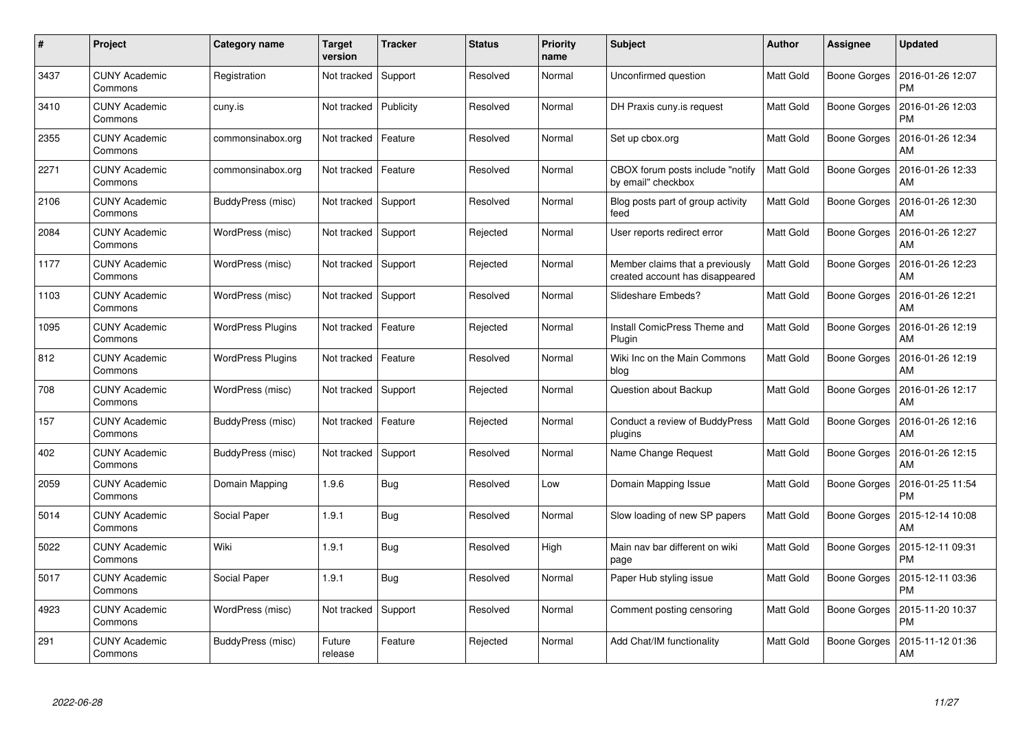| #    | Project                         | Category name            | Target<br>version | <b>Tracker</b> | <b>Status</b> | <b>Priority</b><br>name | <b>Subject</b>                                                     | Author           | Assignee            | <b>Updated</b>                |
|------|---------------------------------|--------------------------|-------------------|----------------|---------------|-------------------------|--------------------------------------------------------------------|------------------|---------------------|-------------------------------|
| 3437 | <b>CUNY Academic</b><br>Commons | Registration             | Not tracked       | Support        | Resolved      | Normal                  | Unconfirmed question                                               | <b>Matt Gold</b> | <b>Boone Gorges</b> | 2016-01-26 12:07<br><b>PM</b> |
| 3410 | <b>CUNY Academic</b><br>Commons | cuny.is                  | Not tracked       | Publicity      | Resolved      | Normal                  | DH Praxis cuny is request                                          | <b>Matt Gold</b> | <b>Boone Gorges</b> | 2016-01-26 12:03<br><b>PM</b> |
| 2355 | <b>CUNY Academic</b><br>Commons | commonsinabox.org        | Not tracked       | Feature        | Resolved      | Normal                  | Set up cbox.org                                                    | <b>Matt Gold</b> | <b>Boone Gorges</b> | 2016-01-26 12:34<br>AM        |
| 2271 | <b>CUNY Academic</b><br>Commons | commonsinabox.org        | Not tracked       | Feature        | Resolved      | Normal                  | CBOX forum posts include "notify<br>by email" checkbox             | Matt Gold        | Boone Gorges        | 2016-01-26 12:33<br>AM        |
| 2106 | <b>CUNY Academic</b><br>Commons | BuddyPress (misc)        | Not tracked       | Support        | Resolved      | Normal                  | Blog posts part of group activity<br>feed                          | Matt Gold        | <b>Boone Gorges</b> | 2016-01-26 12:30<br>AM        |
| 2084 | <b>CUNY Academic</b><br>Commons | WordPress (misc)         | Not tracked       | Support        | Rejected      | Normal                  | User reports redirect error                                        | Matt Gold        | <b>Boone Gorges</b> | 2016-01-26 12:27<br>AM        |
| 1177 | <b>CUNY Academic</b><br>Commons | WordPress (misc)         | Not tracked       | Support        | Rejected      | Normal                  | Member claims that a previously<br>created account has disappeared | <b>Matt Gold</b> | <b>Boone Gorges</b> | 2016-01-26 12:23<br>AM        |
| 1103 | <b>CUNY Academic</b><br>Commons | WordPress (misc)         | Not tracked       | Support        | Resolved      | Normal                  | Slideshare Embeds?                                                 | Matt Gold        | Boone Gorges        | 2016-01-26 12:21<br>AM        |
| 1095 | <b>CUNY Academic</b><br>Commons | <b>WordPress Plugins</b> | Not tracked       | Feature        | Rejected      | Normal                  | Install ComicPress Theme and<br>Plugin                             | <b>Matt Gold</b> | <b>Boone Gorges</b> | 2016-01-26 12:19<br>AM        |
| 812  | <b>CUNY Academic</b><br>Commons | WordPress Plugins        | Not tracked       | Feature        | Resolved      | Normal                  | Wiki Inc on the Main Commons<br>blog                               | <b>Matt Gold</b> | <b>Boone Gorges</b> | 2016-01-26 12:19<br>AM        |
| 708  | <b>CUNY Academic</b><br>Commons | WordPress (misc)         | Not tracked       | Support        | Rejected      | Normal                  | Question about Backup                                              | Matt Gold        | <b>Boone Gorges</b> | 2016-01-26 12:17<br>AM        |
| 157  | <b>CUNY Academic</b><br>Commons | BuddyPress (misc)        | Not tracked       | Feature        | Rejected      | Normal                  | Conduct a review of BuddyPress<br>plugins                          | Matt Gold        | <b>Boone Gorges</b> | 2016-01-26 12:16<br>AM        |
| 402  | <b>CUNY Academic</b><br>Commons | BuddyPress (misc)        | Not tracked       | Support        | Resolved      | Normal                  | Name Change Request                                                | <b>Matt Gold</b> | <b>Boone Gorges</b> | 2016-01-26 12:15<br>AM        |
| 2059 | <b>CUNY Academic</b><br>Commons | Domain Mapping           | 1.9.6             | Bug            | Resolved      | Low                     | Domain Mapping Issue                                               | Matt Gold        | <b>Boone Gorges</b> | 2016-01-25 11:54<br><b>PM</b> |
| 5014 | <b>CUNY Academic</b><br>Commons | Social Paper             | 1.9.1             | <b>Bug</b>     | Resolved      | Normal                  | Slow loading of new SP papers                                      | Matt Gold        | <b>Boone Gorges</b> | 2015-12-14 10:08<br>AM        |
| 5022 | <b>CUNY Academic</b><br>Commons | Wiki                     | 1.9.1             | Bug            | Resolved      | High                    | Main nav bar different on wiki<br>page                             | Matt Gold        | <b>Boone Gorges</b> | 2015-12-11 09:31<br><b>PM</b> |
| 5017 | <b>CUNY Academic</b><br>Commons | Social Paper             | 1.9.1             | Bug            | Resolved      | Normal                  | Paper Hub styling issue                                            | Matt Gold        | Boone Gorges        | 2015-12-11 03:36<br><b>PM</b> |
| 4923 | <b>CUNY Academic</b><br>Commons | WordPress (misc)         | Not tracked       | Support        | Resolved      | Normal                  | Comment posting censoring                                          | Matt Gold        | <b>Boone Gorges</b> | 2015-11-20 10:37<br><b>PM</b> |
| 291  | CUNY Academic<br>Commons        | BuddyPress (misc)        | Future<br>release | Feature        | Rejected      | Normal                  | Add Chat/IM functionality                                          | Matt Gold        | Boone Gorges        | 2015-11-12 01:36<br>AM        |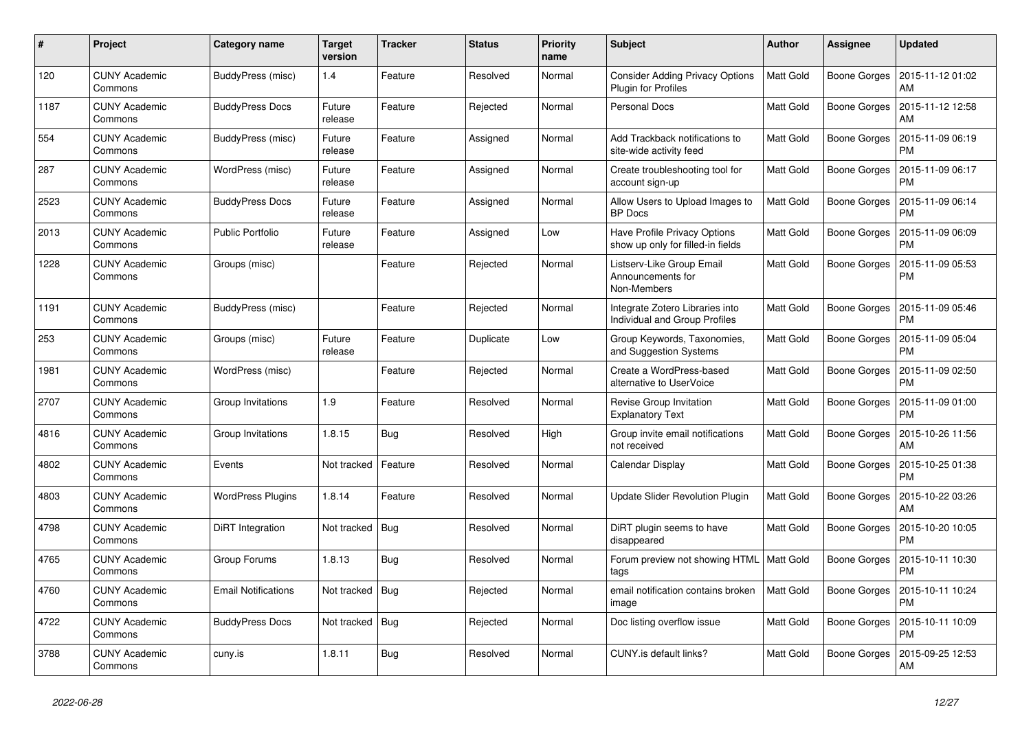| #    | Project                         | Category name              | <b>Target</b><br>version | <b>Tracker</b> | <b>Status</b> | <b>Priority</b><br>name | <b>Subject</b>                                                           | <b>Author</b>    | <b>Assignee</b>     | <b>Updated</b>                |
|------|---------------------------------|----------------------------|--------------------------|----------------|---------------|-------------------------|--------------------------------------------------------------------------|------------------|---------------------|-------------------------------|
| 120  | <b>CUNY Academic</b><br>Commons | BuddyPress (misc)          | 1.4                      | Feature        | Resolved      | Normal                  | <b>Consider Adding Privacy Options</b><br>Plugin for Profiles            | <b>Matt Gold</b> | <b>Boone Gorges</b> | 2015-11-12 01:02<br>AM        |
| 1187 | <b>CUNY Academic</b><br>Commons | <b>BuddyPress Docs</b>     | Future<br>release        | Feature        | Rejected      | Normal                  | <b>Personal Docs</b>                                                     | Matt Gold        | <b>Boone Gorges</b> | 2015-11-12 12:58<br>AM        |
| 554  | <b>CUNY Academic</b><br>Commons | BuddyPress (misc)          | Future<br>release        | Feature        | Assigned      | Normal                  | Add Trackback notifications to<br>site-wide activity feed                | <b>Matt Gold</b> | <b>Boone Gorges</b> | 2015-11-09 06:19<br><b>PM</b> |
| 287  | <b>CUNY Academic</b><br>Commons | WordPress (misc)           | Future<br>release        | Feature        | Assigned      | Normal                  | Create troubleshooting tool for<br>account sign-up                       | Matt Gold        | Boone Gorges        | 2015-11-09 06:17<br><b>PM</b> |
| 2523 | <b>CUNY Academic</b><br>Commons | <b>BuddyPress Docs</b>     | Future<br>release        | Feature        | Assigned      | Normal                  | Allow Users to Upload Images to<br><b>BP</b> Docs                        | <b>Matt Gold</b> | <b>Boone Gorges</b> | 2015-11-09 06:14<br><b>PM</b> |
| 2013 | <b>CUNY Academic</b><br>Commons | <b>Public Portfolio</b>    | Future<br>release        | Feature        | Assigned      | Low                     | <b>Have Profile Privacy Options</b><br>show up only for filled-in fields | Matt Gold        | <b>Boone Gorges</b> | 2015-11-09 06:09<br><b>PM</b> |
| 1228 | <b>CUNY Academic</b><br>Commons | Groups (misc)              |                          | Feature        | Rejected      | Normal                  | Listserv-Like Group Email<br>Announcements for<br>Non-Members            | Matt Gold        | Boone Gorges        | 2015-11-09 05:53<br><b>PM</b> |
| 1191 | <b>CUNY Academic</b><br>Commons | BuddyPress (misc)          |                          | Feature        | Rejected      | Normal                  | Integrate Zotero Libraries into<br>Individual and Group Profiles         | <b>Matt Gold</b> | Boone Gorges        | 2015-11-09 05:46<br><b>PM</b> |
| 253  | <b>CUNY Academic</b><br>Commons | Groups (misc)              | Future<br>release        | Feature        | Duplicate     | Low                     | Group Keywords, Taxonomies,<br>and Suggestion Systems                    | <b>Matt Gold</b> | <b>Boone Gorges</b> | 2015-11-09 05:04<br><b>PM</b> |
| 1981 | <b>CUNY Academic</b><br>Commons | WordPress (misc)           |                          | Feature        | Rejected      | Normal                  | Create a WordPress-based<br>alternative to UserVoice                     | <b>Matt Gold</b> | <b>Boone Gorges</b> | 2015-11-09 02:50<br><b>PM</b> |
| 2707 | <b>CUNY Academic</b><br>Commons | Group Invitations          | 1.9                      | Feature        | Resolved      | Normal                  | Revise Group Invitation<br><b>Explanatory Text</b>                       | Matt Gold        | Boone Gorges        | 2015-11-09 01:00<br><b>PM</b> |
| 4816 | <b>CUNY Academic</b><br>Commons | Group Invitations          | 1.8.15                   | <b>Bug</b>     | Resolved      | High                    | Group invite email notifications<br>not received                         | Matt Gold        | <b>Boone Gorges</b> | 2015-10-26 11:56<br>AM        |
| 4802 | <b>CUNY Academic</b><br>Commons | Events                     | Not tracked              | Feature        | Resolved      | Normal                  | Calendar Display                                                         | <b>Matt Gold</b> | <b>Boone Gorges</b> | 2015-10-25 01:38<br><b>PM</b> |
| 4803 | <b>CUNY Academic</b><br>Commons | <b>WordPress Plugins</b>   | 1.8.14                   | Feature        | Resolved      | Normal                  | Update Slider Revolution Plugin                                          | <b>Matt Gold</b> | Boone Gorges        | 2015-10-22 03:26<br>AM        |
| 4798 | <b>CUNY Academic</b><br>Commons | DiRT Integration           | Not tracked              | Bug            | Resolved      | Normal                  | DiRT plugin seems to have<br>disappeared                                 | <b>Matt Gold</b> | Boone Gorges        | 2015-10-20 10:05<br><b>PM</b> |
| 4765 | <b>CUNY Academic</b><br>Commons | Group Forums               | 1.8.13                   | Bug            | Resolved      | Normal                  | Forum preview not showing HTML<br>tags                                   | <b>Matt Gold</b> | <b>Boone Gorges</b> | 2015-10-11 10:30<br><b>PM</b> |
| 4760 | <b>CUNY Academic</b><br>Commons | <b>Email Notifications</b> | Not tracked              | Bug            | Rejected      | Normal                  | email notification contains broken<br>image                              | <b>Matt Gold</b> | <b>Boone Gorges</b> | 2015-10-11 10:24<br><b>PM</b> |
| 4722 | <b>CUNY Academic</b><br>Commons | <b>BuddyPress Docs</b>     | Not tracked              | Bug            | Rejected      | Normal                  | Doc listing overflow issue                                               | <b>Matt Gold</b> | Boone Gorges        | 2015-10-11 10:09<br><b>PM</b> |
| 3788 | <b>CUNY Academic</b><br>Commons | cuny.is                    | 1.8.11                   | Bug            | Resolved      | Normal                  | CUNY.is default links?                                                   | Matt Gold        | Boone Gorges        | 2015-09-25 12:53<br>AM        |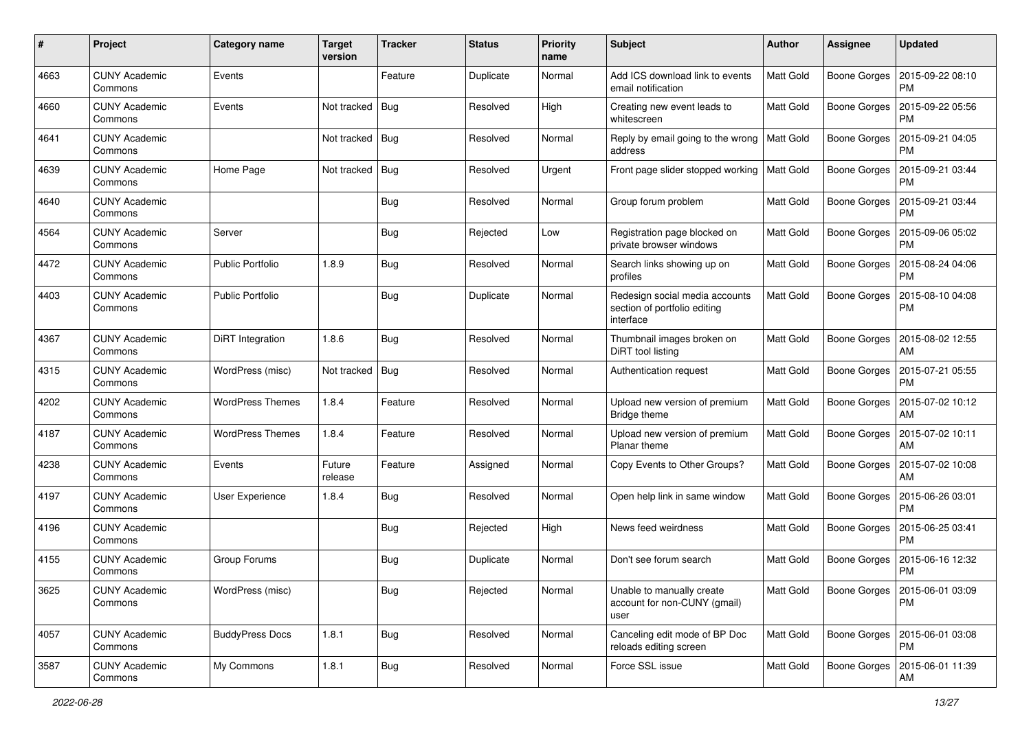| #    | Project                         | <b>Category name</b>    | <b>Target</b><br>version | <b>Tracker</b> | <b>Status</b> | <b>Priority</b><br>name | <b>Subject</b>                                                              | <b>Author</b>    | <b>Assignee</b>     | <b>Updated</b>                               |
|------|---------------------------------|-------------------------|--------------------------|----------------|---------------|-------------------------|-----------------------------------------------------------------------------|------------------|---------------------|----------------------------------------------|
| 4663 | <b>CUNY Academic</b><br>Commons | Events                  |                          | Feature        | Duplicate     | Normal                  | Add ICS download link to events<br>email notification                       | <b>Matt Gold</b> | <b>Boone Gorges</b> | 2015-09-22 08:10<br>PM                       |
| 4660 | <b>CUNY Academic</b><br>Commons | Events                  | Not tracked              | Bug            | Resolved      | High                    | Creating new event leads to<br>whitescreen                                  | <b>Matt Gold</b> | <b>Boone Gorges</b> | 2015-09-22 05:56<br><b>PM</b>                |
| 4641 | <b>CUNY Academic</b><br>Commons |                         | Not tracked              | Bug            | Resolved      | Normal                  | Reply by email going to the wrong<br>address                                | Matt Gold        | <b>Boone Gorges</b> | 2015-09-21 04:05<br><b>PM</b>                |
| 4639 | <b>CUNY Academic</b><br>Commons | Home Page               | Not tracked              | Bug            | Resolved      | Urgent                  | Front page slider stopped working   Matt Gold                               |                  | <b>Boone Gorges</b> | 2015-09-21 03:44<br><b>PM</b>                |
| 4640 | <b>CUNY Academic</b><br>Commons |                         |                          | <b>Bug</b>     | Resolved      | Normal                  | Group forum problem                                                         | <b>Matt Gold</b> | <b>Boone Gorges</b> | 2015-09-21 03:44<br>PM                       |
| 4564 | <b>CUNY Academic</b><br>Commons | Server                  |                          | <b>Bug</b>     | Rejected      | Low                     | Registration page blocked on<br>private browser windows                     | Matt Gold        | <b>Boone Gorges</b> | 2015-09-06 05:02<br><b>PM</b>                |
| 4472 | <b>CUNY Academic</b><br>Commons | <b>Public Portfolio</b> | 1.8.9                    | <b>Bug</b>     | Resolved      | Normal                  | Search links showing up on<br>profiles                                      | <b>Matt Gold</b> | Boone Gorges        | 2015-08-24 04:06<br><b>PM</b>                |
| 4403 | <b>CUNY Academic</b><br>Commons | <b>Public Portfolio</b> |                          | <b>Bug</b>     | Duplicate     | Normal                  | Redesign social media accounts<br>section of portfolio editing<br>interface | <b>Matt Gold</b> | <b>Boone Gorges</b> | 2015-08-10 04:08<br><b>PM</b>                |
| 4367 | <b>CUNY Academic</b><br>Commons | DiRT Integration        | 1.8.6                    | <b>Bug</b>     | Resolved      | Normal                  | Thumbnail images broken on<br>DiRT tool listing                             | Matt Gold        | <b>Boone Gorges</b> | 2015-08-02 12:55<br>AM                       |
| 4315 | <b>CUNY Academic</b><br>Commons | WordPress (misc)        | Not tracked              | <b>Bug</b>     | Resolved      | Normal                  | Authentication request                                                      | <b>Matt Gold</b> | Boone Gorges        | 2015-07-21 05:55<br><b>PM</b>                |
| 4202 | <b>CUNY Academic</b><br>Commons | <b>WordPress Themes</b> | 1.8.4                    | Feature        | Resolved      | Normal                  | Upload new version of premium<br>Bridge theme                               | <b>Matt Gold</b> | Boone Gorges        | 2015-07-02 10:12<br>AM                       |
| 4187 | <b>CUNY Academic</b><br>Commons | <b>WordPress Themes</b> | 1.8.4                    | Feature        | Resolved      | Normal                  | Upload new version of premium<br>Planar theme                               | <b>Matt Gold</b> | <b>Boone Gorges</b> | 2015-07-02 10:11<br>AM                       |
| 4238 | <b>CUNY Academic</b><br>Commons | Events                  | Future<br>release        | Feature        | Assigned      | Normal                  | Copy Events to Other Groups?                                                | <b>Matt Gold</b> | <b>Boone Gorges</b> | 2015-07-02 10:08<br>AM                       |
| 4197 | <b>CUNY Academic</b><br>Commons | User Experience         | 1.8.4                    | <b>Bug</b>     | Resolved      | Normal                  | Open help link in same window                                               | <b>Matt Gold</b> | <b>Boone Gorges</b> | 2015-06-26 03:01<br><b>PM</b>                |
| 4196 | <b>CUNY Academic</b><br>Commons |                         |                          | <b>Bug</b>     | Rejected      | High                    | News feed weirdness                                                         | <b>Matt Gold</b> | <b>Boone Gorges</b> | 2015-06-25 03:41<br><b>PM</b>                |
| 4155 | <b>CUNY Academic</b><br>Commons | Group Forums            |                          | <b>Bug</b>     | Duplicate     | Normal                  | Don't see forum search                                                      | <b>Matt Gold</b> | <b>Boone Gorges</b> | 2015-06-16 12:32<br><b>PM</b>                |
| 3625 | <b>CUNY Academic</b><br>Commons | WordPress (misc)        |                          | Bug            | Rejected      | Normal                  | Unable to manually create<br>account for non-CUNY (gmail)<br>user           | Matt Gold        |                     | Boone Gorges   2015-06-01 03:09<br><b>PM</b> |
| 4057 | <b>CUNY Academic</b><br>Commons | <b>BuddyPress Docs</b>  | 1.8.1                    | Bug            | Resolved      | Normal                  | Canceling edit mode of BP Doc<br>reloads editing screen                     | <b>Matt Gold</b> | <b>Boone Gorges</b> | 2015-06-01 03:08<br>PM                       |
| 3587 | <b>CUNY Academic</b><br>Commons | My Commons              | 1.8.1                    | <b>Bug</b>     | Resolved      | Normal                  | Force SSL issue                                                             | Matt Gold        | <b>Boone Gorges</b> | 2015-06-01 11:39<br>AM                       |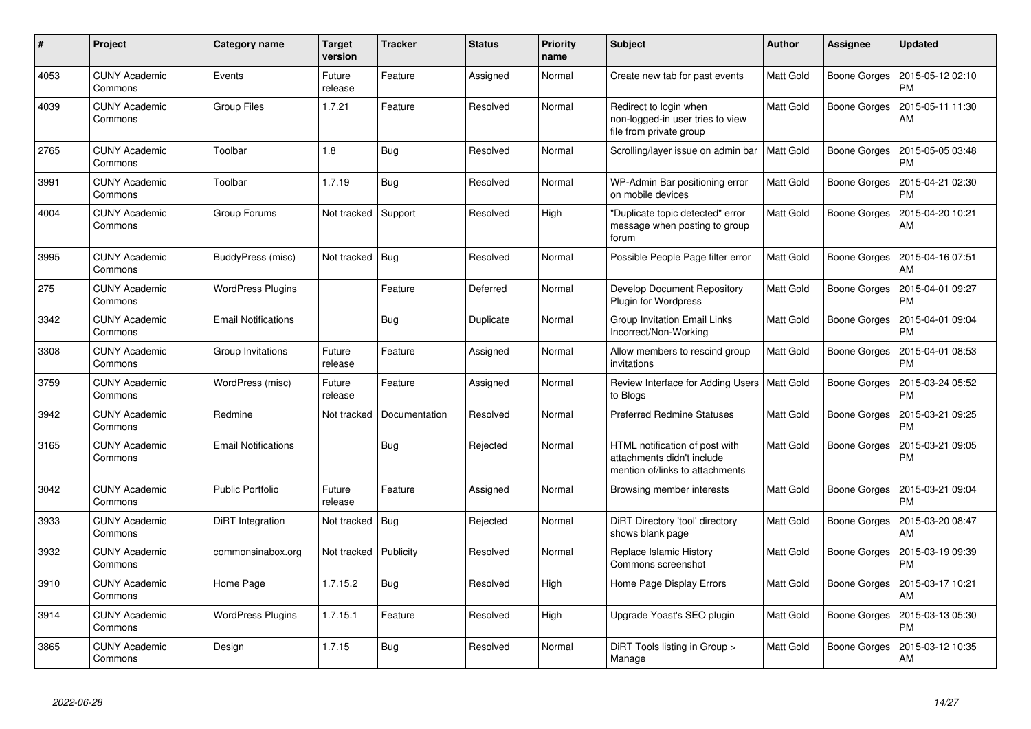| $\pmb{\#}$ | Project                         | Category name              | <b>Target</b><br>version | <b>Tracker</b> | <b>Status</b> | <b>Priority</b><br>name | <b>Subject</b>                                                                                  | <b>Author</b>    | <b>Assignee</b>     | <b>Updated</b>                |
|------------|---------------------------------|----------------------------|--------------------------|----------------|---------------|-------------------------|-------------------------------------------------------------------------------------------------|------------------|---------------------|-------------------------------|
| 4053       | <b>CUNY Academic</b><br>Commons | Events                     | Future<br>release        | Feature        | Assigned      | Normal                  | Create new tab for past events                                                                  | <b>Matt Gold</b> | Boone Gorges        | 2015-05-12 02:10<br><b>PM</b> |
| 4039       | CUNY Academic<br>Commons        | <b>Group Files</b>         | 1.7.21                   | Feature        | Resolved      | Normal                  | Redirect to login when<br>non-logged-in user tries to view<br>file from private group           | <b>Matt Gold</b> | <b>Boone Gorges</b> | 2015-05-11 11:30<br>AM        |
| 2765       | <b>CUNY Academic</b><br>Commons | Toolbar                    | 1.8                      | Bug            | Resolved      | Normal                  | Scrolling/layer issue on admin bar                                                              | <b>Matt Gold</b> | Boone Gorges        | 2015-05-05 03:48<br><b>PM</b> |
| 3991       | <b>CUNY Academic</b><br>Commons | Toolbar                    | 1.7.19                   | <b>Bug</b>     | Resolved      | Normal                  | WP-Admin Bar positioning error<br>on mobile devices                                             | <b>Matt Gold</b> | <b>Boone Gorges</b> | 2015-04-21 02:30<br><b>PM</b> |
| 4004       | <b>CUNY Academic</b><br>Commons | Group Forums               | Not tracked              | Support        | Resolved      | High                    | "Duplicate topic detected" error<br>message when posting to group<br>forum                      | <b>Matt Gold</b> | Boone Gorges        | 2015-04-20 10:21<br>AM        |
| 3995       | <b>CUNY Academic</b><br>Commons | BuddyPress (misc)          | Not tracked              | Bug            | Resolved      | Normal                  | Possible People Page filter error                                                               | <b>Matt Gold</b> | <b>Boone Gorges</b> | 2015-04-16 07:51<br>AM        |
| 275        | <b>CUNY Academic</b><br>Commons | <b>WordPress Plugins</b>   |                          | Feature        | Deferred      | Normal                  | Develop Document Repository<br><b>Plugin for Wordpress</b>                                      | <b>Matt Gold</b> | Boone Gorges        | 2015-04-01 09:27<br><b>PM</b> |
| 3342       | <b>CUNY Academic</b><br>Commons | <b>Email Notifications</b> |                          | <b>Bug</b>     | Duplicate     | Normal                  | Group Invitation Email Links<br>Incorrect/Non-Working                                           | <b>Matt Gold</b> | Boone Gorges        | 2015-04-01 09:04<br><b>PM</b> |
| 3308       | <b>CUNY Academic</b><br>Commons | Group Invitations          | Future<br>release        | Feature        | Assigned      | Normal                  | Allow members to rescind group<br>invitations                                                   | <b>Matt Gold</b> | <b>Boone Gorges</b> | 2015-04-01 08:53<br><b>PM</b> |
| 3759       | <b>CUNY Academic</b><br>Commons | WordPress (misc)           | Future<br>release        | Feature        | Assigned      | Normal                  | Review Interface for Adding Users<br>to Blogs                                                   | <b>Matt Gold</b> | Boone Gorges        | 2015-03-24 05:52<br><b>PM</b> |
| 3942       | <b>CUNY Academic</b><br>Commons | Redmine                    | Not tracked              | Documentation  | Resolved      | Normal                  | <b>Preferred Redmine Statuses</b>                                                               | <b>Matt Gold</b> | Boone Gorges        | 2015-03-21 09:25<br><b>PM</b> |
| 3165       | CUNY Academic<br>Commons        | <b>Email Notifications</b> |                          | <b>Bug</b>     | Rejected      | Normal                  | HTML notification of post with<br>attachments didn't include<br>mention of/links to attachments | <b>Matt Gold</b> | <b>Boone Gorges</b> | 2015-03-21 09:05<br><b>PM</b> |
| 3042       | <b>CUNY Academic</b><br>Commons | <b>Public Portfolio</b>    | Future<br>release        | Feature        | Assigned      | Normal                  | Browsing member interests                                                                       | <b>Matt Gold</b> | Boone Gorges        | 2015-03-21 09:04<br><b>PM</b> |
| 3933       | <b>CUNY Academic</b><br>Commons | <b>DiRT</b> Integration    | Not tracked              | Bug            | Rejected      | Normal                  | DiRT Directory 'tool' directory<br>shows blank page                                             | <b>Matt Gold</b> | <b>Boone Gorges</b> | 2015-03-20 08:47<br>AM        |
| 3932       | <b>CUNY Academic</b><br>Commons | commonsinabox.org          | Not tracked              | Publicity      | Resolved      | Normal                  | Replace Islamic History<br>Commons screenshot                                                   | <b>Matt Gold</b> | Boone Gorges        | 2015-03-19 09:39<br><b>PM</b> |
| 3910       | <b>CUNY Academic</b><br>Commons | Home Page                  | 1.7.15.2                 | <b>Bug</b>     | Resolved      | High                    | Home Page Display Errors                                                                        | Matt Gold        | Boone Gorges        | 2015-03-17 10:21<br>AM        |
| 3914       | <b>CUNY Academic</b><br>Commons | <b>WordPress Plugins</b>   | 1.7.15.1                 | Feature        | Resolved      | High                    | Upgrade Yoast's SEO plugin                                                                      | Matt Gold        | Boone Gorges        | 2015-03-13 05:30<br><b>PM</b> |
| 3865       | <b>CUNY Academic</b><br>Commons | Design                     | 1.7.15                   | <b>Bug</b>     | Resolved      | Normal                  | DiRT Tools listing in Group ><br>Manage                                                         | <b>Matt Gold</b> | <b>Boone Gorges</b> | 2015-03-12 10:35<br><b>AM</b> |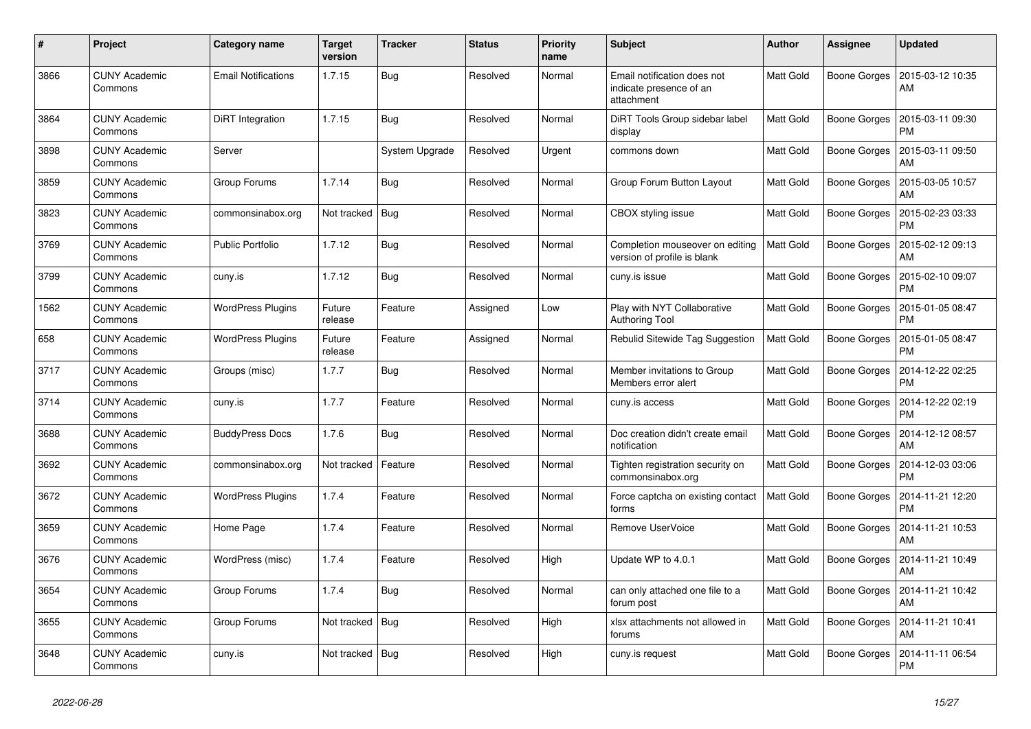| $\pmb{\#}$ | Project                         | Category name              | <b>Target</b><br>version | <b>Tracker</b> | <b>Status</b> | <b>Priority</b><br>name | <b>Subject</b>                                                       | <b>Author</b>    | Assignee            | <b>Updated</b>                |
|------------|---------------------------------|----------------------------|--------------------------|----------------|---------------|-------------------------|----------------------------------------------------------------------|------------------|---------------------|-------------------------------|
| 3866       | <b>CUNY Academic</b><br>Commons | <b>Email Notifications</b> | 1.7.15                   | <b>Bug</b>     | Resolved      | Normal                  | Email notification does not<br>indicate presence of an<br>attachment | <b>Matt Gold</b> | Boone Gorges        | 2015-03-12 10:35<br>AM        |
| 3864       | <b>CUNY Academic</b><br>Commons | <b>DiRT</b> Integration    | 1.7.15                   | Bug            | Resolved      | Normal                  | DiRT Tools Group sidebar label<br>display                            | <b>Matt Gold</b> | Boone Gorges        | 2015-03-11 09:30<br><b>PM</b> |
| 3898       | <b>CUNY Academic</b><br>Commons | Server                     |                          | System Upgrade | Resolved      | Urgent                  | commons down                                                         | Matt Gold        | Boone Gorges        | 2015-03-11 09:50<br>AM        |
| 3859       | <b>CUNY Academic</b><br>Commons | Group Forums               | 1.7.14                   | Bug            | Resolved      | Normal                  | Group Forum Button Layout                                            | Matt Gold        | Boone Gorges        | 2015-03-05 10:57<br>AM        |
| 3823       | <b>CUNY Academic</b><br>Commons | commonsinabox.org          | Not tracked              | Bug            | Resolved      | Normal                  | CBOX styling issue                                                   | <b>Matt Gold</b> | Boone Gorges        | 2015-02-23 03:33<br><b>PM</b> |
| 3769       | <b>CUNY Academic</b><br>Commons | <b>Public Portfolio</b>    | 1.7.12                   | Bug            | Resolved      | Normal                  | Completion mouseover on editing<br>version of profile is blank       | <b>Matt Gold</b> | Boone Gorges        | 2015-02-12 09:13<br>AM        |
| 3799       | <b>CUNY Academic</b><br>Commons | cuny.is                    | 1.7.12                   | <b>Bug</b>     | Resolved      | Normal                  | cuny.is issue                                                        | Matt Gold        | <b>Boone Gorges</b> | 2015-02-10 09:07<br><b>PM</b> |
| 1562       | <b>CUNY Academic</b><br>Commons | <b>WordPress Plugins</b>   | Future<br>release        | Feature        | Assigned      | Low                     | Play with NYT Collaborative<br><b>Authoring Tool</b>                 | <b>Matt Gold</b> | Boone Gorges        | 2015-01-05 08:47<br><b>PM</b> |
| 658        | <b>CUNY Academic</b><br>Commons | <b>WordPress Plugins</b>   | Future<br>release        | Feature        | Assigned      | Normal                  | Rebulid Sitewide Tag Suggestion                                      | Matt Gold        | Boone Gorges        | 2015-01-05 08:47<br><b>PM</b> |
| 3717       | <b>CUNY Academic</b><br>Commons | Groups (misc)              | 1.7.7                    | <b>Bug</b>     | Resolved      | Normal                  | Member invitations to Group<br>Members error alert                   | Matt Gold        | <b>Boone Gorges</b> | 2014-12-22 02:25<br><b>PM</b> |
| 3714       | <b>CUNY Academic</b><br>Commons | cuny.is                    | 1.7.7                    | Feature        | Resolved      | Normal                  | cuny.is access                                                       | Matt Gold        | Boone Gorges        | 2014-12-22 02:19<br><b>PM</b> |
| 3688       | <b>CUNY Academic</b><br>Commons | <b>BuddyPress Docs</b>     | 1.7.6                    | Bug            | Resolved      | Normal                  | Doc creation didn't create email<br>notification                     | Matt Gold        | Boone Gorges        | 2014-12-12 08:57<br>AM        |
| 3692       | <b>CUNY Academic</b><br>Commons | commonsinabox.org          | Not tracked              | Feature        | Resolved      | Normal                  | Tighten registration security on<br>commonsinabox.org                | Matt Gold        | Boone Gorges        | 2014-12-03 03:06<br><b>PM</b> |
| 3672       | <b>CUNY Academic</b><br>Commons | <b>WordPress Plugins</b>   | 1.7.4                    | Feature        | Resolved      | Normal                  | Force captcha on existing contact<br>forms                           | <b>Matt Gold</b> | Boone Gorges        | 2014-11-21 12:20<br><b>PM</b> |
| 3659       | <b>CUNY Academic</b><br>Commons | Home Page                  | 1.7.4                    | Feature        | Resolved      | Normal                  | Remove UserVoice                                                     | <b>Matt Gold</b> | Boone Gorges        | 2014-11-21 10:53<br>AM        |
| 3676       | <b>CUNY Academic</b><br>Commons | WordPress (misc)           | 1.7.4                    | Feature        | Resolved      | High                    | Update WP to 4.0.1                                                   | Matt Gold        | Boone Gorges        | 2014-11-21 10:49<br>AM        |
| 3654       | <b>CUNY Academic</b><br>Commons | Group Forums               | 1.7.4                    | <b>Bug</b>     | Resolved      | Normal                  | can only attached one file to a<br>forum post                        | <b>Matt Gold</b> | Boone Gorges        | 2014-11-21 10:42<br>AM        |
| 3655       | <b>CUNY Academic</b><br>Commons | Group Forums               | Not tracked              | Bug            | Resolved      | High                    | xlsx attachments not allowed in<br>forums                            | <b>Matt Gold</b> | Boone Gorges        | 2014-11-21 10:41<br>AM        |
| 3648       | <b>CUNY Academic</b><br>Commons | cuny.is                    | Not tracked              | Bug            | Resolved      | High                    | cuny.is request                                                      | Matt Gold        | Boone Gorges        | 2014-11-11 06:54<br>PM        |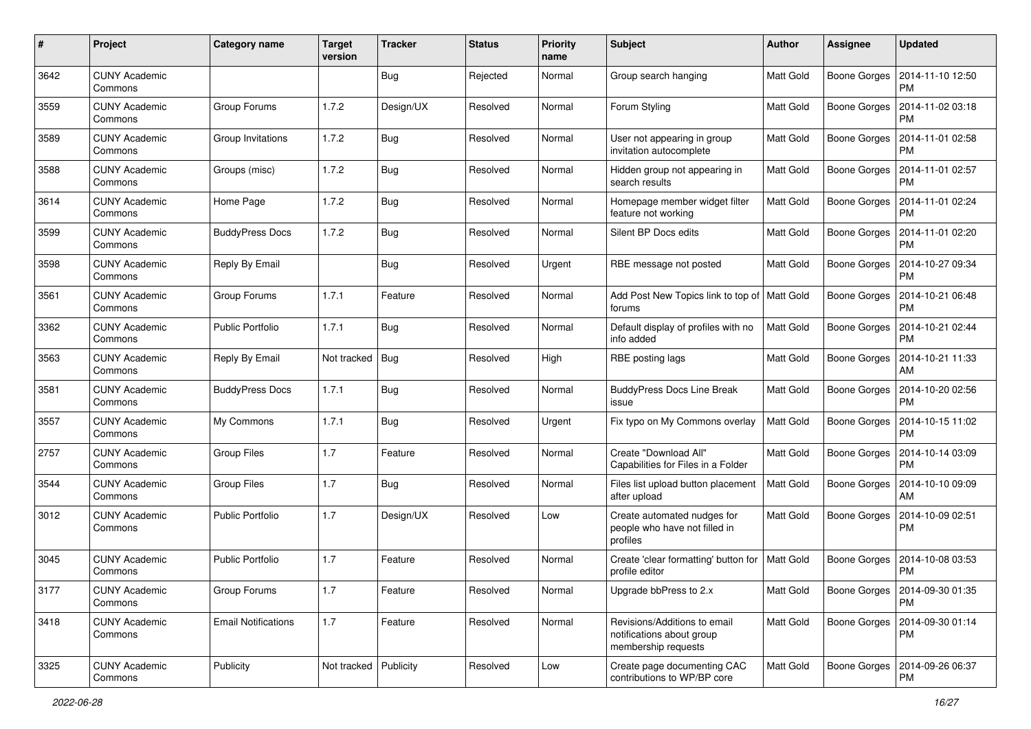| #    | Project                         | <b>Category name</b>       | <b>Target</b><br>version | <b>Tracker</b> | <b>Status</b> | <b>Priority</b><br>name | <b>Subject</b>                                                                   | <b>Author</b>    | <b>Assignee</b>     | <b>Updated</b>                               |
|------|---------------------------------|----------------------------|--------------------------|----------------|---------------|-------------------------|----------------------------------------------------------------------------------|------------------|---------------------|----------------------------------------------|
| 3642 | <b>CUNY Academic</b><br>Commons |                            |                          | Bug            | Rejected      | Normal                  | Group search hanging                                                             | Matt Gold        | <b>Boone Gorges</b> | 2014-11-10 12:50<br><b>PM</b>                |
| 3559 | <b>CUNY Academic</b><br>Commons | Group Forums               | 1.7.2                    | Design/UX      | Resolved      | Normal                  | Forum Styling                                                                    | Matt Gold        | <b>Boone Gorges</b> | 2014-11-02 03:18<br><b>PM</b>                |
| 3589 | <b>CUNY Academic</b><br>Commons | Group Invitations          | 1.7.2                    | Bug            | Resolved      | Normal                  | User not appearing in group<br>invitation autocomplete                           | Matt Gold        | <b>Boone Gorges</b> | 2014-11-01 02:58<br><b>PM</b>                |
| 3588 | <b>CUNY Academic</b><br>Commons | Groups (misc)              | 1.7.2                    | Bug            | Resolved      | Normal                  | Hidden group not appearing in<br>search results                                  | <b>Matt Gold</b> | <b>Boone Gorges</b> | 2014-11-01 02:57<br><b>PM</b>                |
| 3614 | <b>CUNY Academic</b><br>Commons | Home Page                  | 1.7.2                    | Bug            | Resolved      | Normal                  | Homepage member widget filter<br>feature not working                             | <b>Matt Gold</b> | <b>Boone Gorges</b> | 2014-11-01 02:24<br>PM                       |
| 3599 | <b>CUNY Academic</b><br>Commons | <b>BuddyPress Docs</b>     | 1.7.2                    | Bug            | Resolved      | Normal                  | Silent BP Docs edits                                                             | Matt Gold        | Boone Gorges        | 2014-11-01 02:20<br><b>PM</b>                |
| 3598 | <b>CUNY Academic</b><br>Commons | Reply By Email             |                          | Bug            | Resolved      | Urgent                  | RBE message not posted                                                           | Matt Gold        | Boone Gorges        | 2014-10-27 09:34<br><b>PM</b>                |
| 3561 | <b>CUNY Academic</b><br>Commons | Group Forums               | 1.7.1                    | Feature        | Resolved      | Normal                  | Add Post New Topics link to top of   Matt Gold<br>forums                         |                  | <b>Boone Gorges</b> | 2014-10-21 06:48<br>PM                       |
| 3362 | <b>CUNY Academic</b><br>Commons | <b>Public Portfolio</b>    | 1.7.1                    | Bug            | Resolved      | Normal                  | Default display of profiles with no<br>info added                                | Matt Gold        | <b>Boone Gorges</b> | 2014-10-21 02:44<br><b>PM</b>                |
| 3563 | <b>CUNY Academic</b><br>Commons | Reply By Email             | Not tracked              | <b>Bug</b>     | Resolved      | High                    | RBE posting lags                                                                 | Matt Gold        | <b>Boone Gorges</b> | 2014-10-21 11:33<br>AM                       |
| 3581 | <b>CUNY Academic</b><br>Commons | <b>BuddyPress Docs</b>     | 1.7.1                    | Bug            | Resolved      | Normal                  | <b>BuddyPress Docs Line Break</b><br>issue                                       | <b>Matt Gold</b> | <b>Boone Gorges</b> | 2014-10-20 02:56<br><b>PM</b>                |
| 3557 | <b>CUNY Academic</b><br>Commons | My Commons                 | 1.7.1                    | Bug            | Resolved      | Urgent                  | Fix typo on My Commons overlay                                                   | <b>Matt Gold</b> | <b>Boone Gorges</b> | 2014-10-15 11:02<br><b>PM</b>                |
| 2757 | <b>CUNY Academic</b><br>Commons | Group Files                | 1.7                      | Feature        | Resolved      | Normal                  | Create "Download All"<br>Capabilities for Files in a Folder                      | <b>Matt Gold</b> | Boone Gorges        | 2014-10-14 03:09<br><b>PM</b>                |
| 3544 | <b>CUNY Academic</b><br>Commons | Group Files                | 1.7                      | Bug            | Resolved      | Normal                  | Files list upload button placement<br>after upload                               | <b>Matt Gold</b> | Boone Gorges        | 2014-10-10 09:09<br>AM                       |
| 3012 | <b>CUNY Academic</b><br>Commons | <b>Public Portfolio</b>    | 1.7                      | Design/UX      | Resolved      | Low                     | Create automated nudges for<br>people who have not filled in<br>profiles         | Matt Gold        | <b>Boone Gorges</b> | 2014-10-09 02:51<br><b>PM</b>                |
| 3045 | <b>CUNY Academic</b><br>Commons | <b>Public Portfolio</b>    | 1.7                      | Feature        | Resolved      | Normal                  | Create 'clear formatting' button for<br>profile editor                           | <b>Matt Gold</b> | <b>Boone Gorges</b> | 2014-10-08 03:53<br><b>PM</b>                |
| 3177 | <b>CUNY Academic</b><br>Commons | <b>Group Forums</b>        | 1.7                      | Feature        | Resolved      | Normal                  | Upgrade bbPress to 2.x                                                           | <b>Matt Gold</b> |                     | Boone Gorges   2014-09-30 01:35<br><b>PM</b> |
| 3418 | <b>CUNY Academic</b><br>Commons | <b>Email Notifications</b> | 1.7                      | Feature        | Resolved      | Normal                  | Revisions/Additions to email<br>notifications about group<br>membership requests | Matt Gold        | <b>Boone Gorges</b> | 2014-09-30 01:14<br><b>PM</b>                |
| 3325 | <b>CUNY Academic</b><br>Commons | Publicity                  | Not tracked Publicity    |                | Resolved      | Low                     | Create page documenting CAC<br>contributions to WP/BP core                       | Matt Gold        | <b>Boone Gorges</b> | 2014-09-26 06:37<br>PM                       |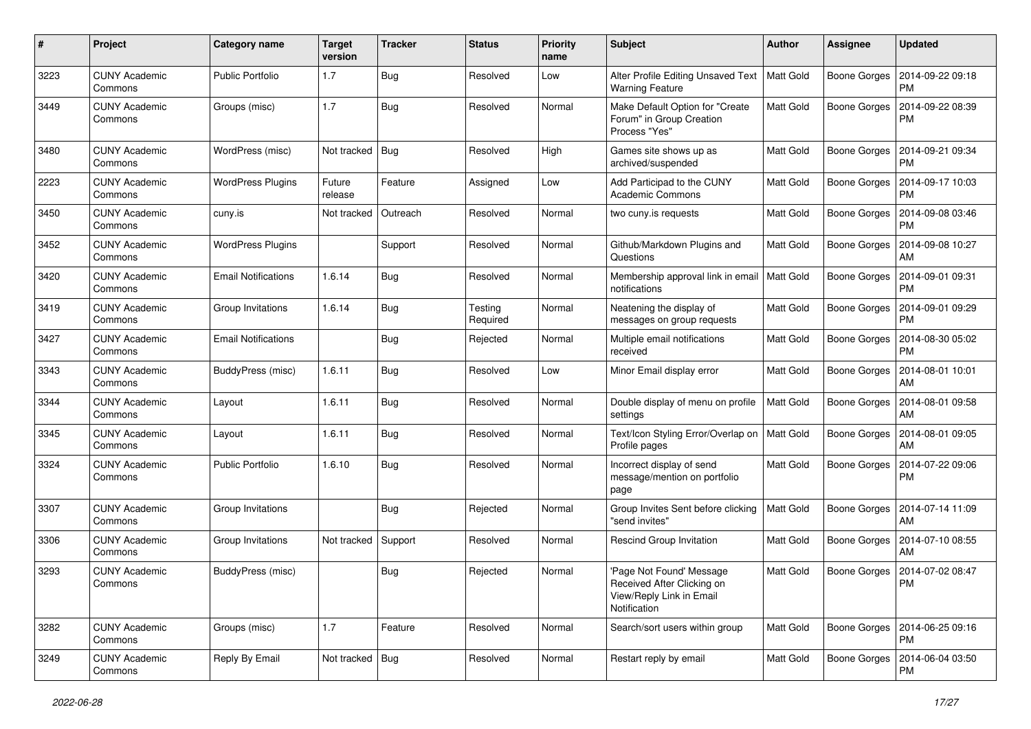| #    | Project                         | Category name              | <b>Target</b><br>version | <b>Tracker</b> | <b>Status</b>       | <b>Priority</b><br>name | Subject                                                                                            | <b>Author</b>    | <b>Assignee</b>     | <b>Updated</b>                               |
|------|---------------------------------|----------------------------|--------------------------|----------------|---------------------|-------------------------|----------------------------------------------------------------------------------------------------|------------------|---------------------|----------------------------------------------|
| 3223 | <b>CUNY Academic</b><br>Commons | <b>Public Portfolio</b>    | 1.7                      | Bug            | Resolved            | Low                     | Alter Profile Editing Unsaved Text<br><b>Warning Feature</b>                                       | Matt Gold        | <b>Boone Gorges</b> | 2014-09-22 09:18<br><b>PM</b>                |
| 3449 | <b>CUNY Academic</b><br>Commons | Groups (misc)              | 1.7                      | Bug            | Resolved            | Normal                  | Make Default Option for "Create<br>Forum" in Group Creation<br>Process "Yes"                       | <b>Matt Gold</b> | <b>Boone Gorges</b> | 2014-09-22 08:39<br>PM                       |
| 3480 | <b>CUNY Academic</b><br>Commons | WordPress (misc)           | Not tracked              | Bug            | Resolved            | High                    | Games site shows up as<br>archived/suspended                                                       | <b>Matt Gold</b> | Boone Gorges        | 2014-09-21 09:34<br><b>PM</b>                |
| 2223 | <b>CUNY Academic</b><br>Commons | <b>WordPress Plugins</b>   | Future<br>release        | Feature        | Assigned            | Low                     | Add Participad to the CUNY<br><b>Academic Commons</b>                                              | Matt Gold        | <b>Boone Gorges</b> | 2014-09-17 10:03<br><b>PM</b>                |
| 3450 | <b>CUNY Academic</b><br>Commons | cuny.is                    | Not tracked              | Outreach       | Resolved            | Normal                  | two cuny.is requests                                                                               | Matt Gold        | <b>Boone Gorges</b> | 2014-09-08 03:46<br><b>PM</b>                |
| 3452 | <b>CUNY Academic</b><br>Commons | <b>WordPress Plugins</b>   |                          | Support        | Resolved            | Normal                  | Github/Markdown Plugins and<br>Questions                                                           | <b>Matt Gold</b> | Boone Gorges        | 2014-09-08 10:27<br>AM                       |
| 3420 | <b>CUNY Academic</b><br>Commons | <b>Email Notifications</b> | 1.6.14                   | Bug            | Resolved            | Normal                  | Membership approval link in email<br>notifications                                                 | Matt Gold        | Boone Gorges        | 2014-09-01 09:31<br><b>PM</b>                |
| 3419 | <b>CUNY Academic</b><br>Commons | Group Invitations          | 1.6.14                   | Bug            | Testing<br>Required | Normal                  | Neatening the display of<br>messages on group requests                                             | Matt Gold        | Boone Gorges        | 2014-09-01 09:29<br><b>PM</b>                |
| 3427 | <b>CUNY Academic</b><br>Commons | <b>Email Notifications</b> |                          | Bug            | Rejected            | Normal                  | Multiple email notifications<br>received                                                           | Matt Gold        | <b>Boone Gorges</b> | 2014-08-30 05:02<br><b>PM</b>                |
| 3343 | <b>CUNY Academic</b><br>Commons | BuddyPress (misc)          | 1.6.11                   | Bug            | Resolved            | Low                     | Minor Email display error                                                                          | Matt Gold        | Boone Gorges        | 2014-08-01 10:01<br>AM                       |
| 3344 | <b>CUNY Academic</b><br>Commons | Layout                     | 1.6.11                   | Bug            | Resolved            | Normal                  | Double display of menu on profile<br>settings                                                      | Matt Gold        | Boone Gorges        | 2014-08-01 09:58<br>AM                       |
| 3345 | <b>CUNY Academic</b><br>Commons | Layout                     | 1.6.11                   | Bug            | Resolved            | Normal                  | Text/Icon Styling Error/Overlap on<br>Profile pages                                                | Matt Gold        | Boone Gorges        | 2014-08-01 09:05<br>AM                       |
| 3324 | <b>CUNY Academic</b><br>Commons | <b>Public Portfolio</b>    | 1.6.10                   | Bug            | Resolved            | Normal                  | Incorrect display of send<br>message/mention on portfolio<br>page                                  | <b>Matt Gold</b> | Boone Gorges        | 2014-07-22 09:06<br><b>PM</b>                |
| 3307 | <b>CUNY Academic</b><br>Commons | Group Invitations          |                          | Bug            | Rejected            | Normal                  | Group Invites Sent before clicking<br>"send invites"                                               | <b>Matt Gold</b> | Boone Gorges        | 2014-07-14 11:09<br>AM                       |
| 3306 | <b>CUNY Academic</b><br>Commons | Group Invitations          | Not tracked              | Support        | Resolved            | Normal                  | <b>Rescind Group Invitation</b>                                                                    | Matt Gold        | Boone Gorges        | 2014-07-10 08:55<br>AM                       |
| 3293 | <b>CUNY Academic</b><br>Commons | BuddyPress (misc)          |                          | Bug            | Rejected            | Normal                  | 'Page Not Found' Message<br>Received After Clicking on<br>View/Reply Link in Email<br>Notification | Matt Gold        |                     | Boone Gorges   2014-07-02 08:47<br>PM        |
| 3282 | <b>CUNY Academic</b><br>Commons | Groups (misc)              | 1.7                      | Feature        | Resolved            | Normal                  | Search/sort users within group                                                                     | Matt Gold        |                     | Boone Gorges   2014-06-25 09:16<br><b>PM</b> |
| 3249 | <b>CUNY Academic</b><br>Commons | Reply By Email             | Not tracked   Bug        |                | Resolved            | Normal                  | Restart reply by email                                                                             | Matt Gold        | Boone Gorges        | 2014-06-04 03:50<br>PM                       |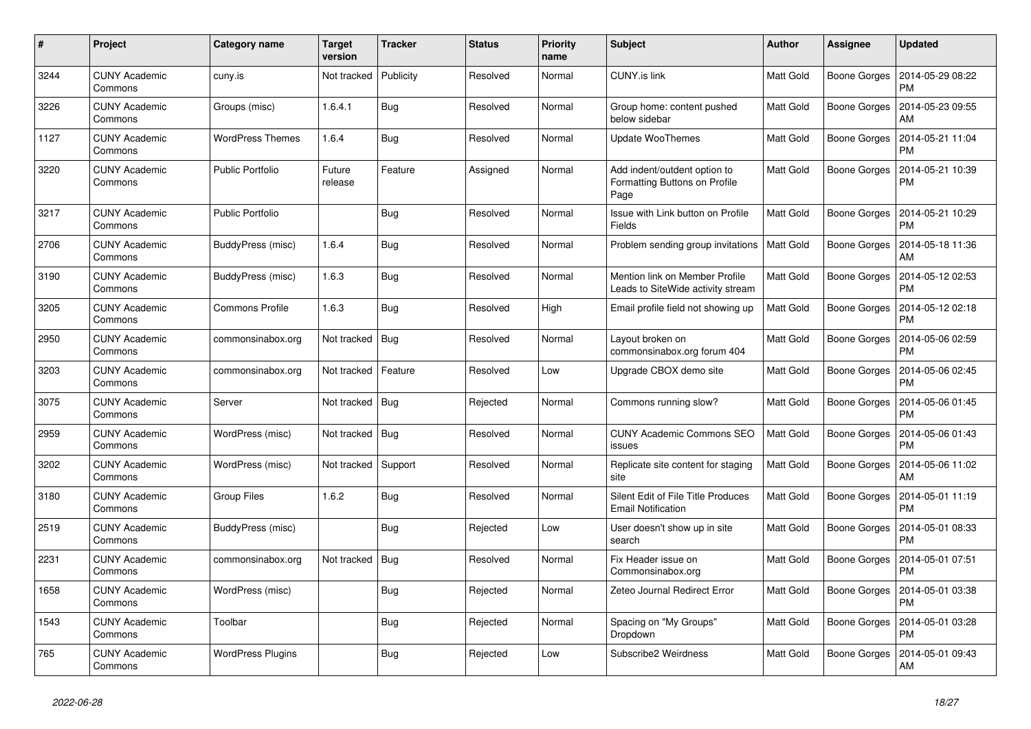| #    | Project                         | Category name            | Target<br>version | <b>Tracker</b> | <b>Status</b> | <b>Priority</b><br>name | <b>Subject</b>                                                        | <b>Author</b>    | Assignee            | <b>Updated</b>                |
|------|---------------------------------|--------------------------|-------------------|----------------|---------------|-------------------------|-----------------------------------------------------------------------|------------------|---------------------|-------------------------------|
| 3244 | <b>CUNY Academic</b><br>Commons | cuny.is                  | Not tracked       | Publicity      | Resolved      | Normal                  | <b>CUNY.is link</b>                                                   | <b>Matt Gold</b> | <b>Boone Gorges</b> | 2014-05-29 08:22<br><b>PM</b> |
| 3226 | <b>CUNY Academic</b><br>Commons | Groups (misc)            | 1.6.4.1           | <b>Bug</b>     | Resolved      | Normal                  | Group home: content pushed<br>below sidebar                           | <b>Matt Gold</b> | <b>Boone Gorges</b> | 2014-05-23 09:55<br>AM        |
| 1127 | <b>CUNY Academic</b><br>Commons | WordPress Themes         | 1.6.4             | Bug            | Resolved      | Normal                  | <b>Update WooThemes</b>                                               | <b>Matt Gold</b> | <b>Boone Gorges</b> | 2014-05-21 11:04<br><b>PM</b> |
| 3220 | <b>CUNY Academic</b><br>Commons | <b>Public Portfolio</b>  | Future<br>release | Feature        | Assigned      | Normal                  | Add indent/outdent option to<br>Formatting Buttons on Profile<br>Page | <b>Matt Gold</b> | <b>Boone Gorges</b> | 2014-05-21 10:39<br><b>PM</b> |
| 3217 | <b>CUNY Academic</b><br>Commons | <b>Public Portfolio</b>  |                   | Bug            | Resolved      | Normal                  | Issue with Link button on Profile<br>Fields                           | Matt Gold        | <b>Boone Gorges</b> | 2014-05-21 10:29<br><b>PM</b> |
| 2706 | <b>CUNY Academic</b><br>Commons | BuddyPress (misc)        | 1.6.4             | Bug            | Resolved      | Normal                  | Problem sending group invitations   Matt Gold                         |                  | <b>Boone Gorges</b> | 2014-05-18 11:36<br>AM        |
| 3190 | <b>CUNY Academic</b><br>Commons | BuddyPress (misc)        | 1.6.3             | Bug            | Resolved      | Normal                  | Mention link on Member Profile<br>Leads to SiteWide activity stream   | <b>Matt Gold</b> | <b>Boone Gorges</b> | 2014-05-12 02:53<br><b>PM</b> |
| 3205 | <b>CUNY Academic</b><br>Commons | <b>Commons Profile</b>   | 1.6.3             | Bug            | Resolved      | High                    | Email profile field not showing up                                    | <b>Matt Gold</b> | <b>Boone Gorges</b> | 2014-05-12 02:18<br><b>PM</b> |
| 2950 | <b>CUNY Academic</b><br>Commons | commonsinabox.org        | Not tracked       | Bug            | Resolved      | Normal                  | Layout broken on<br>commonsinabox.org forum 404                       | <b>Matt Gold</b> | Boone Gorges        | 2014-05-06 02:59<br><b>PM</b> |
| 3203 | <b>CUNY Academic</b><br>Commons | commonsinabox.org        | Not tracked       | Feature        | Resolved      | Low                     | Upgrade CBOX demo site                                                | <b>Matt Gold</b> | <b>Boone Gorges</b> | 2014-05-06 02:45<br><b>PM</b> |
| 3075 | <b>CUNY Academic</b><br>Commons | Server                   | Not tracked       | Bug            | Rejected      | Normal                  | Commons running slow?                                                 | Matt Gold        | <b>Boone Gorges</b> | 2014-05-06 01:45<br><b>PM</b> |
| 2959 | <b>CUNY Academic</b><br>Commons | WordPress (misc)         | Not tracked       | Bug            | Resolved      | Normal                  | <b>CUNY Academic Commons SEO</b><br>issues                            | <b>Matt Gold</b> | Boone Gorges        | 2014-05-06 01:43<br><b>PM</b> |
| 3202 | <b>CUNY Academic</b><br>Commons | WordPress (misc)         | Not tracked       | Support        | Resolved      | Normal                  | Replicate site content for staging<br>site                            | <b>Matt Gold</b> | <b>Boone Gorges</b> | 2014-05-06 11:02<br>AM        |
| 3180 | <b>CUNY Academic</b><br>Commons | <b>Group Files</b>       | 1.6.2             | <b>Bug</b>     | Resolved      | Normal                  | Silent Edit of File Title Produces<br><b>Email Notification</b>       | <b>Matt Gold</b> | <b>Boone Gorges</b> | 2014-05-01 11:19<br><b>PM</b> |
| 2519 | <b>CUNY Academic</b><br>Commons | BuddyPress (misc)        |                   | <b>Bug</b>     | Rejected      | Low                     | User doesn't show up in site<br>search                                | <b>Matt Gold</b> | <b>Boone Gorges</b> | 2014-05-01 08:33<br><b>PM</b> |
| 2231 | <b>CUNY Academic</b><br>Commons | commonsinabox.org        | Not tracked       | Bug            | Resolved      | Normal                  | Fix Header issue on<br>Commonsinabox.org                              | Matt Gold        | <b>Boone Gorges</b> | 2014-05-01 07:51<br><b>PM</b> |
| 1658 | <b>CUNY Academic</b><br>Commons | WordPress (misc)         |                   | Bug            | Rejected      | Normal                  | Zeteo Journal Redirect Error                                          | <b>Matt Gold</b> | <b>Boone Gorges</b> | 2014-05-01 03:38<br><b>PM</b> |
| 1543 | <b>CUNY Academic</b><br>Commons | Toolbar                  |                   | <b>Bug</b>     | Rejected      | Normal                  | Spacing on "My Groups"<br>Dropdown                                    | Matt Gold        | <b>Boone Gorges</b> | 2014-05-01 03:28<br><b>PM</b> |
| 765  | <b>CUNY Academic</b><br>Commons | <b>WordPress Plugins</b> |                   | <b>Bug</b>     | Rejected      | Low                     | Subscribe2 Weirdness                                                  | Matt Gold        | <b>Boone Gorges</b> | 2014-05-01 09:43<br>AM        |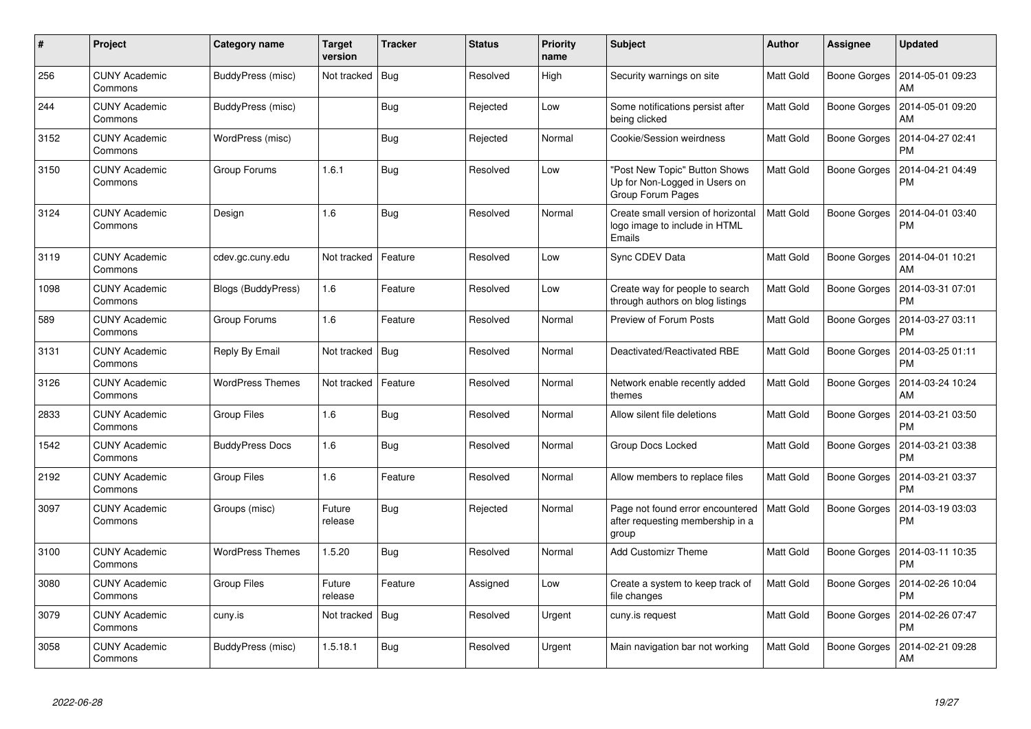| #    | <b>Project</b>                  | Category name           | Target<br>version | <b>Tracker</b> | <b>Status</b> | <b>Priority</b><br>name | <b>Subject</b>                                                                      | <b>Author</b>    | <b>Assignee</b>     | <b>Updated</b>                |
|------|---------------------------------|-------------------------|-------------------|----------------|---------------|-------------------------|-------------------------------------------------------------------------------------|------------------|---------------------|-------------------------------|
| 256  | <b>CUNY Academic</b><br>Commons | BuddyPress (misc)       | Not tracked       | Bug            | Resolved      | High                    | Security warnings on site                                                           | <b>Matt Gold</b> | Boone Gorges        | 2014-05-01 09:23<br>AM        |
| 244  | <b>CUNY Academic</b><br>Commons | BuddyPress (misc)       |                   | <b>Bug</b>     | Rejected      | Low                     | Some notifications persist after<br>being clicked                                   | <b>Matt Gold</b> | <b>Boone Gorges</b> | 2014-05-01 09:20<br>AM        |
| 3152 | <b>CUNY Academic</b><br>Commons | WordPress (misc)        |                   | <b>Bug</b>     | Rejected      | Normal                  | Cookie/Session weirdness                                                            | <b>Matt Gold</b> | Boone Gorges        | 2014-04-27 02:41<br><b>PM</b> |
| 3150 | <b>CUNY Academic</b><br>Commons | Group Forums            | 1.6.1             | <b>Bug</b>     | Resolved      | Low                     | 'Post New Topic" Button Shows<br>Up for Non-Logged in Users on<br>Group Forum Pages | <b>Matt Gold</b> | Boone Gorges        | 2014-04-21 04:49<br><b>PM</b> |
| 3124 | <b>CUNY Academic</b><br>Commons | Design                  | 1.6               | <b>Bug</b>     | Resolved      | Normal                  | Create small version of horizontal<br>logo image to include in HTML<br>Emails       | <b>Matt Gold</b> | Boone Gorges        | 2014-04-01 03:40<br><b>PM</b> |
| 3119 | <b>CUNY Academic</b><br>Commons | cdev.gc.cuny.edu        | Not tracked       | Feature        | Resolved      | Low                     | Sync CDEV Data                                                                      | <b>Matt Gold</b> | Boone Gorges        | 2014-04-01 10:21<br>AM        |
| 1098 | <b>CUNY Academic</b><br>Commons | Blogs (BuddyPress)      | 1.6               | Feature        | Resolved      | Low                     | Create way for people to search<br>through authors on blog listings                 | Matt Gold        | Boone Gorges        | 2014-03-31 07:01<br><b>PM</b> |
| 589  | <b>CUNY Academic</b><br>Commons | Group Forums            | 1.6               | Feature        | Resolved      | Normal                  | Preview of Forum Posts                                                              | <b>Matt Gold</b> | Boone Gorges        | 2014-03-27 03:11<br><b>PM</b> |
| 3131 | <b>CUNY Academic</b><br>Commons | Reply By Email          | Not tracked       | Bug            | Resolved      | Normal                  | Deactivated/Reactivated RBE                                                         | <b>Matt Gold</b> | Boone Gorges        | 2014-03-25 01:11<br><b>PM</b> |
| 3126 | <b>CUNY Academic</b><br>Commons | <b>WordPress Themes</b> | Not tracked       | Feature        | Resolved      | Normal                  | Network enable recently added<br>themes                                             | Matt Gold        | Boone Gorges        | 2014-03-24 10:24<br>AM        |
| 2833 | <b>CUNY Academic</b><br>Commons | <b>Group Files</b>      | 1.6               | <b>Bug</b>     | Resolved      | Normal                  | Allow silent file deletions                                                         | <b>Matt Gold</b> | Boone Gorges        | 2014-03-21 03:50<br><b>PM</b> |
| 1542 | <b>CUNY Academic</b><br>Commons | <b>BuddyPress Docs</b>  | 1.6               | <b>Bug</b>     | Resolved      | Normal                  | <b>Group Docs Locked</b>                                                            | Matt Gold        | Boone Gorges        | 2014-03-21 03:38<br><b>PM</b> |
| 2192 | <b>CUNY Academic</b><br>Commons | Group Files             | 1.6               | Feature        | Resolved      | Normal                  | Allow members to replace files                                                      | <b>Matt Gold</b> | <b>Boone Gorges</b> | 2014-03-21 03:37<br><b>PM</b> |
| 3097 | <b>CUNY Academic</b><br>Commons | Groups (misc)           | Future<br>release | Bug            | Rejected      | Normal                  | Page not found error encountered<br>after requesting membership in a<br>group       | <b>Matt Gold</b> | <b>Boone Gorges</b> | 2014-03-19 03:03<br><b>PM</b> |
| 3100 | <b>CUNY Academic</b><br>Commons | <b>WordPress Themes</b> | 1.5.20            | <b>Bug</b>     | Resolved      | Normal                  | <b>Add Customizr Theme</b>                                                          | <b>Matt Gold</b> | Boone Gorges        | 2014-03-11 10:35<br><b>PM</b> |
| 3080 | <b>CUNY Academic</b><br>Commons | <b>Group Files</b>      | Future<br>release | Feature        | Assigned      | Low                     | Create a system to keep track of<br>file changes                                    | Matt Gold        | Boone Gorges        | 2014-02-26 10:04<br><b>PM</b> |
| 3079 | <b>CUNY Academic</b><br>Commons | cuny.is                 | Not tracked       | <b>Bug</b>     | Resolved      | Urgent                  | cuny.is request                                                                     | Matt Gold        | Boone Gorges        | 2014-02-26 07:47<br><b>PM</b> |
| 3058 | <b>CUNY Academic</b><br>Commons | BuddyPress (misc)       | 1.5.18.1          | Bug            | Resolved      | Urgent                  | Main navigation bar not working                                                     | <b>Matt Gold</b> | Boone Gorges        | 2014-02-21 09:28<br><b>AM</b> |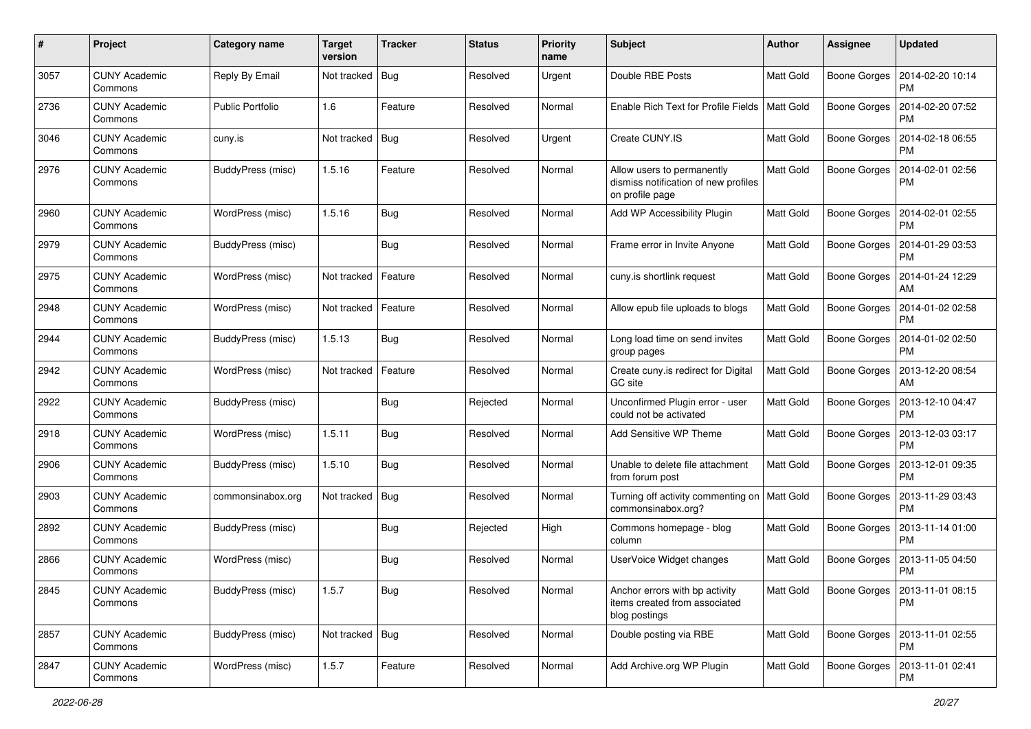| #    | Project                         | Category name           | <b>Target</b><br>version | <b>Tracker</b> | <b>Status</b> | Priority<br>name | <b>Subject</b>                                                                        | <b>Author</b>    | <b>Assignee</b>     | <b>Updated</b>                               |
|------|---------------------------------|-------------------------|--------------------------|----------------|---------------|------------------|---------------------------------------------------------------------------------------|------------------|---------------------|----------------------------------------------|
| 3057 | <b>CUNY Academic</b><br>Commons | Reply By Email          | Not tracked              | Bug            | Resolved      | Urgent           | Double RBE Posts                                                                      | Matt Gold        | <b>Boone Gorges</b> | 2014-02-20 10:14<br>PM                       |
| 2736 | <b>CUNY Academic</b><br>Commons | <b>Public Portfolio</b> | 1.6                      | Feature        | Resolved      | Normal           | Enable Rich Text for Profile Fields                                                   | <b>Matt Gold</b> | <b>Boone Gorges</b> | 2014-02-20 07:52<br><b>PM</b>                |
| 3046 | <b>CUNY Academic</b><br>Commons | cuny.is                 | Not tracked              | <b>Bug</b>     | Resolved      | Urgent           | Create CUNY.IS                                                                        | Matt Gold        | <b>Boone Gorges</b> | 2014-02-18 06:55<br><b>PM</b>                |
| 2976 | <b>CUNY Academic</b><br>Commons | BuddyPress (misc)       | 1.5.16                   | Feature        | Resolved      | Normal           | Allow users to permanently<br>dismiss notification of new profiles<br>on profile page | <b>Matt Gold</b> | <b>Boone Gorges</b> | 2014-02-01 02:56<br><b>PM</b>                |
| 2960 | <b>CUNY Academic</b><br>Commons | WordPress (misc)        | 1.5.16                   | Bug            | Resolved      | Normal           | Add WP Accessibility Plugin                                                           | <b>Matt Gold</b> | <b>Boone Gorges</b> | 2014-02-01 02:55<br><b>PM</b>                |
| 2979 | <b>CUNY Academic</b><br>Commons | BuddyPress (misc)       |                          | Bug            | Resolved      | Normal           | Frame error in Invite Anyone                                                          | <b>Matt Gold</b> | <b>Boone Gorges</b> | 2014-01-29 03:53<br><b>PM</b>                |
| 2975 | <b>CUNY Academic</b><br>Commons | WordPress (misc)        | Not tracked              | Feature        | Resolved      | Normal           | cuny.is shortlink request                                                             | <b>Matt Gold</b> | <b>Boone Gorges</b> | 2014-01-24 12:29<br>AM                       |
| 2948 | <b>CUNY Academic</b><br>Commons | WordPress (misc)        | Not tracked              | Feature        | Resolved      | Normal           | Allow epub file uploads to blogs                                                      | <b>Matt Gold</b> | <b>Boone Gorges</b> | 2014-01-02 02:58<br><b>PM</b>                |
| 2944 | <b>CUNY Academic</b><br>Commons | BuddyPress (misc)       | 1.5.13                   | Bug            | Resolved      | Normal           | Long load time on send invites<br>group pages                                         | Matt Gold        | <b>Boone Gorges</b> | 2014-01-02 02:50<br>PM                       |
| 2942 | <b>CUNY Academic</b><br>Commons | WordPress (misc)        | Not tracked              | Feature        | Resolved      | Normal           | Create cuny.is redirect for Digital<br>GC site                                        | <b>Matt Gold</b> | <b>Boone Gorges</b> | 2013-12-20 08:54<br>AM                       |
| 2922 | <b>CUNY Academic</b><br>Commons | BuddyPress (misc)       |                          | Bug            | Rejected      | Normal           | Unconfirmed Plugin error - user<br>could not be activated                             | Matt Gold        | Boone Gorges        | 2013-12-10 04:47<br><b>PM</b>                |
| 2918 | <b>CUNY Academic</b><br>Commons | WordPress (misc)        | 1.5.11                   | Bug            | Resolved      | Normal           | Add Sensitive WP Theme                                                                | <b>Matt Gold</b> | <b>Boone Gorges</b> | 2013-12-03 03:17<br><b>PM</b>                |
| 2906 | <b>CUNY Academic</b><br>Commons | BuddyPress (misc)       | 1.5.10                   | Bug            | Resolved      | Normal           | Unable to delete file attachment<br>from forum post                                   | <b>Matt Gold</b> | <b>Boone Gorges</b> | 2013-12-01 09:35<br>PM                       |
| 2903 | <b>CUNY Academic</b><br>Commons | commonsinabox.org       | Not tracked              | Bug            | Resolved      | Normal           | Turning off activity commenting on   Matt Gold<br>commonsinabox.org?                  |                  | <b>Boone Gorges</b> | 2013-11-29 03:43<br><b>PM</b>                |
| 2892 | <b>CUNY Academic</b><br>Commons | BuddyPress (misc)       |                          | Bug            | Rejected      | High             | Commons homepage - blog<br>column                                                     | <b>Matt Gold</b> | <b>Boone Gorges</b> | 2013-11-14 01:00<br><b>PM</b>                |
| 2866 | <b>CUNY Academic</b><br>Commons | WordPress (misc)        |                          | <b>Bug</b>     | Resolved      | Normal           | UserVoice Widget changes                                                              | <b>Matt Gold</b> | <b>Boone Gorges</b> | 2013-11-05 04:50<br><b>PM</b>                |
| 2845 | <b>CUNY Academic</b><br>Commons | BuddyPress (misc)       | 1.5.7                    | Bug            | Resolved      | Normal           | Anchor errors with bp activity<br>items created from associated<br>blog postings      | <b>Matt Gold</b> |                     | Boone Gorges   2013-11-01 08:15<br><b>PM</b> |
| 2857 | <b>CUNY Academic</b><br>Commons | BuddyPress (misc)       | Not tracked Bug          |                | Resolved      | Normal           | Double posting via RBE                                                                | <b>Matt Gold</b> | Boone Gorges        | 2013-11-01 02:55<br><b>PM</b>                |
| 2847 | <b>CUNY Academic</b><br>Commons | WordPress (misc)        | 1.5.7                    | Feature        | Resolved      | Normal           | Add Archive.org WP Plugin                                                             | Matt Gold        | <b>Boone Gorges</b> | 2013-11-01 02:41<br>PM                       |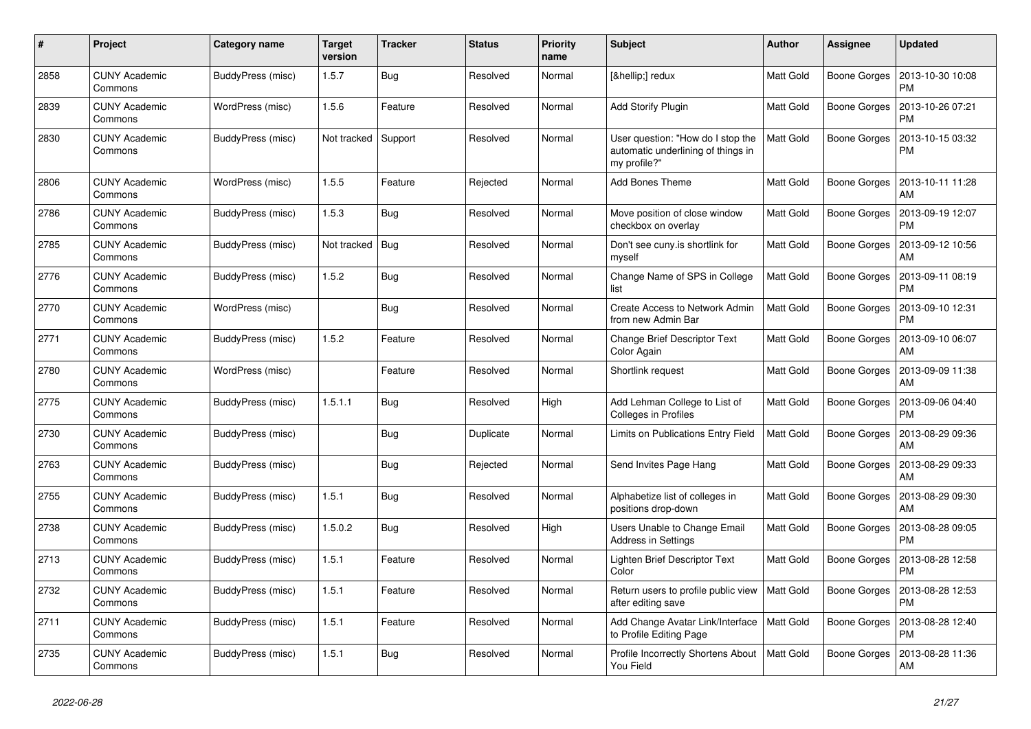| #    | Project                         | Category name     | Target<br>version | <b>Tracker</b> | <b>Status</b> | <b>Priority</b><br>name | <b>Subject</b>                                                                          | <b>Author</b>    | Assignee            | <b>Updated</b>                |
|------|---------------------------------|-------------------|-------------------|----------------|---------------|-------------------------|-----------------------------------------------------------------------------------------|------------------|---------------------|-------------------------------|
| 2858 | <b>CUNY Academic</b><br>Commons | BuddyPress (misc) | 1.5.7             | Bug            | Resolved      | Normal                  | […] redux                                                                               | <b>Matt Gold</b> | <b>Boone Gorges</b> | 2013-10-30 10:08<br><b>PM</b> |
| 2839 | <b>CUNY Academic</b><br>Commons | WordPress (misc)  | 1.5.6             | Feature        | Resolved      | Normal                  | <b>Add Storify Plugin</b>                                                               | Matt Gold        | <b>Boone Gorges</b> | 2013-10-26 07:21<br><b>PM</b> |
| 2830 | <b>CUNY Academic</b><br>Commons | BuddyPress (misc) | Not tracked       | Support        | Resolved      | Normal                  | User question: "How do I stop the<br>automatic underlining of things in<br>my profile?" | <b>Matt Gold</b> | <b>Boone Gorges</b> | 2013-10-15 03:32<br><b>PM</b> |
| 2806 | <b>CUNY Academic</b><br>Commons | WordPress (misc)  | 1.5.5             | Feature        | Rejected      | Normal                  | <b>Add Bones Theme</b>                                                                  | <b>Matt Gold</b> | <b>Boone Gorges</b> | 2013-10-11 11:28<br>AM        |
| 2786 | <b>CUNY Academic</b><br>Commons | BuddyPress (misc) | 1.5.3             | <b>Bug</b>     | Resolved      | Normal                  | Move position of close window<br>checkbox on overlay                                    | <b>Matt Gold</b> | <b>Boone Gorges</b> | 2013-09-19 12:07<br><b>PM</b> |
| 2785 | <b>CUNY Academic</b><br>Commons | BuddyPress (misc) | Not tracked       | Bug            | Resolved      | Normal                  | Don't see cuny.is shortlink for<br>myself                                               | Matt Gold        | <b>Boone Gorges</b> | 2013-09-12 10:56<br>AM        |
| 2776 | <b>CUNY Academic</b><br>Commons | BuddyPress (misc) | 1.5.2             | Bug            | Resolved      | Normal                  | Change Name of SPS in College<br>list                                                   | Matt Gold        | <b>Boone Gorges</b> | 2013-09-11 08:19<br><b>PM</b> |
| 2770 | <b>CUNY Academic</b><br>Commons | WordPress (misc)  |                   | Bug            | Resolved      | Normal                  | Create Access to Network Admin<br>from new Admin Bar                                    | <b>Matt Gold</b> | <b>Boone Gorges</b> | 2013-09-10 12:31<br><b>PM</b> |
| 2771 | <b>CUNY Academic</b><br>Commons | BuddyPress (misc) | 1.5.2             | Feature        | Resolved      | Normal                  | <b>Change Brief Descriptor Text</b><br>Color Again                                      | <b>Matt Gold</b> | <b>Boone Gorges</b> | 2013-09-10 06:07<br>AM        |
| 2780 | <b>CUNY Academic</b><br>Commons | WordPress (misc)  |                   | Feature        | Resolved      | Normal                  | Shortlink request                                                                       | <b>Matt Gold</b> | <b>Boone Gorges</b> | 2013-09-09 11:38<br>AM        |
| 2775 | <b>CUNY Academic</b><br>Commons | BuddyPress (misc) | 1.5.1.1           | Bug            | Resolved      | High                    | Add Lehman College to List of<br>Colleges in Profiles                                   | <b>Matt Gold</b> | <b>Boone Gorges</b> | 2013-09-06 04:40<br><b>PM</b> |
| 2730 | <b>CUNY Academic</b><br>Commons | BuddyPress (misc) |                   | <b>Bug</b>     | Duplicate     | Normal                  | Limits on Publications Entry Field                                                      | <b>Matt Gold</b> | <b>Boone Gorges</b> | 2013-08-29 09:36<br>AM        |
| 2763 | <b>CUNY Academic</b><br>Commons | BuddyPress (misc) |                   | Bug            | Rejected      | Normal                  | Send Invites Page Hang                                                                  | Matt Gold        | <b>Boone Gorges</b> | 2013-08-29 09:33<br>AM        |
| 2755 | <b>CUNY Academic</b><br>Commons | BuddyPress (misc) | 1.5.1             | <b>Bug</b>     | Resolved      | Normal                  | Alphabetize list of colleges in<br>positions drop-down                                  | Matt Gold        | Boone Gorges        | 2013-08-29 09:30<br>AM        |
| 2738 | <b>CUNY Academic</b><br>Commons | BuddyPress (misc) | 1.5.0.2           | Bug            | Resolved      | High                    | Users Unable to Change Email<br><b>Address in Settings</b>                              | Matt Gold        | <b>Boone Gorges</b> | 2013-08-28 09:05<br><b>PM</b> |
| 2713 | <b>CUNY Academic</b><br>Commons | BuddyPress (misc) | 1.5.1             | Feature        | Resolved      | Normal                  | Lighten Brief Descriptor Text<br>Color                                                  | Matt Gold        | <b>Boone Gorges</b> | 2013-08-28 12:58<br><b>PM</b> |
| 2732 | <b>CUNY Academic</b><br>Commons | BuddyPress (misc) | 1.5.1             | Feature        | Resolved      | Normal                  | Return users to profile public view<br>after editing save                               | <b>Matt Gold</b> | <b>Boone Gorges</b> | 2013-08-28 12:53<br><b>PM</b> |
| 2711 | <b>CUNY Academic</b><br>Commons | BuddyPress (misc) | 1.5.1             | Feature        | Resolved      | Normal                  | Add Change Avatar Link/Interface<br>to Profile Editing Page                             | <b>Matt Gold</b> | Boone Gorges        | 2013-08-28 12:40<br><b>PM</b> |
| 2735 | <b>CUNY Academic</b><br>Commons | BuddyPress (misc) | 1.5.1             | Bug            | Resolved      | Normal                  | Profile Incorrectly Shortens About<br>You Field                                         | <b>Matt Gold</b> | Boone Gorges        | 2013-08-28 11:36<br>AM        |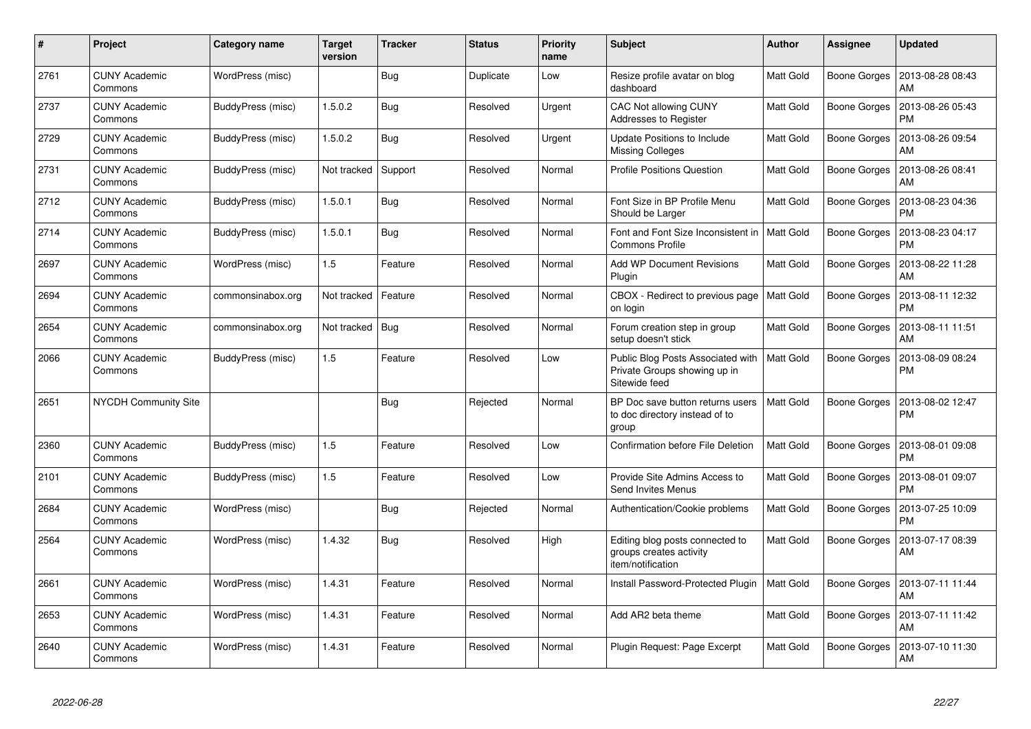| #    | Project                         | Category name     | Target<br>version | <b>Tracker</b> | <b>Status</b> | <b>Priority</b><br>name | <b>Subject</b>                                                                     | <b>Author</b>    | Assignee            | <b>Updated</b>                |
|------|---------------------------------|-------------------|-------------------|----------------|---------------|-------------------------|------------------------------------------------------------------------------------|------------------|---------------------|-------------------------------|
| 2761 | <b>CUNY Academic</b><br>Commons | WordPress (misc)  |                   | Bug            | Duplicate     | Low                     | Resize profile avatar on blog<br>dashboard                                         | <b>Matt Gold</b> | Boone Gorges        | 2013-08-28 08:43<br>AM        |
| 2737 | <b>CUNY Academic</b><br>Commons | BuddyPress (misc) | 1.5.0.2           | <b>Bug</b>     | Resolved      | Urgent                  | CAC Not allowing CUNY<br>Addresses to Register                                     | Matt Gold        | Boone Gorges        | 2013-08-26 05:43<br><b>PM</b> |
| 2729 | <b>CUNY Academic</b><br>Commons | BuddyPress (misc) | 1.5.0.2           | Bug            | Resolved      | Urgent                  | Update Positions to Include<br><b>Missing Colleges</b>                             | <b>Matt Gold</b> | <b>Boone Gorges</b> | 2013-08-26 09:54<br>AM        |
| 2731 | <b>CUNY Academic</b><br>Commons | BuddyPress (misc) | Not tracked       | Support        | Resolved      | Normal                  | <b>Profile Positions Question</b>                                                  | <b>Matt Gold</b> | Boone Gorges        | 2013-08-26 08:41<br>AM        |
| 2712 | <b>CUNY Academic</b><br>Commons | BuddyPress (misc) | 1.5.0.1           | Bug            | Resolved      | Normal                  | Font Size in BP Profile Menu<br>Should be Larger                                   | <b>Matt Gold</b> | Boone Gorges        | 2013-08-23 04:36<br><b>PM</b> |
| 2714 | <b>CUNY Academic</b><br>Commons | BuddyPress (misc) | 1.5.0.1           | Bug            | Resolved      | Normal                  | Font and Font Size Inconsistent in<br><b>Commons Profile</b>                       | <b>Matt Gold</b> | Boone Gorges        | 2013-08-23 04:17<br><b>PM</b> |
| 2697 | <b>CUNY Academic</b><br>Commons | WordPress (misc)  | 1.5               | Feature        | Resolved      | Normal                  | <b>Add WP Document Revisions</b><br>Plugin                                         | <b>Matt Gold</b> | Boone Gorges        | 2013-08-22 11:28<br>AM        |
| 2694 | <b>CUNY Academic</b><br>Commons | commonsinabox.org | Not tracked       | Feature        | Resolved      | Normal                  | CBOX - Redirect to previous page<br>on login                                       | <b>Matt Gold</b> | Boone Gorges        | 2013-08-11 12:32<br><b>PM</b> |
| 2654 | <b>CUNY Academic</b><br>Commons | commonsinabox.org | Not tracked       | Bug            | Resolved      | Normal                  | Forum creation step in group<br>setup doesn't stick                                | Matt Gold        | Boone Gorges        | 2013-08-11 11:51<br>AM        |
| 2066 | <b>CUNY Academic</b><br>Commons | BuddyPress (misc) | 1.5               | Feature        | Resolved      | Low                     | Public Blog Posts Associated with<br>Private Groups showing up in<br>Sitewide feed | <b>Matt Gold</b> | <b>Boone Gorges</b> | 2013-08-09 08:24<br><b>PM</b> |
| 2651 | <b>NYCDH Community Site</b>     |                   |                   | Bug            | Rejected      | Normal                  | BP Doc save button returns users<br>to doc directory instead of to<br>group        | <b>Matt Gold</b> | Boone Gorges        | 2013-08-02 12:47<br><b>PM</b> |
| 2360 | <b>CUNY Academic</b><br>Commons | BuddyPress (misc) | 1.5               | Feature        | Resolved      | Low                     | Confirmation before File Deletion                                                  | Matt Gold        | Boone Gorges        | 2013-08-01 09:08<br><b>PM</b> |
| 2101 | <b>CUNY Academic</b><br>Commons | BuddyPress (misc) | 1.5               | Feature        | Resolved      | Low                     | Provide Site Admins Access to<br>Send Invites Menus                                | Matt Gold        | <b>Boone Gorges</b> | 2013-08-01 09:07<br><b>PM</b> |
| 2684 | <b>CUNY Academic</b><br>Commons | WordPress (misc)  |                   | Bug            | Rejected      | Normal                  | Authentication/Cookie problems                                                     | <b>Matt Gold</b> | Boone Gorges        | 2013-07-25 10:09<br><b>PM</b> |
| 2564 | <b>CUNY Academic</b><br>Commons | WordPress (misc)  | 1.4.32            | Bug            | Resolved      | High                    | Editing blog posts connected to<br>groups creates activity<br>item/notification    | <b>Matt Gold</b> | <b>Boone Gorges</b> | 2013-07-17 08:39<br>AM        |
| 2661 | <b>CUNY Academic</b><br>Commons | WordPress (misc)  | 1.4.31            | Feature        | Resolved      | Normal                  | Install Password-Protected Plugin                                                  | <b>Matt Gold</b> | Boone Gorges        | 2013-07-11 11:44<br>AM        |
| 2653 | <b>CUNY Academic</b><br>Commons | WordPress (misc)  | 1.4.31            | Feature        | Resolved      | Normal                  | Add AR2 beta theme                                                                 | Matt Gold        | Boone Gorges        | 2013-07-11 11:42<br>AM        |
| 2640 | <b>CUNY Academic</b><br>Commons | WordPress (misc)  | 1.4.31            | Feature        | Resolved      | Normal                  | Plugin Request: Page Excerpt                                                       | Matt Gold        | <b>Boone Gorges</b> | 2013-07-10 11:30<br>AM        |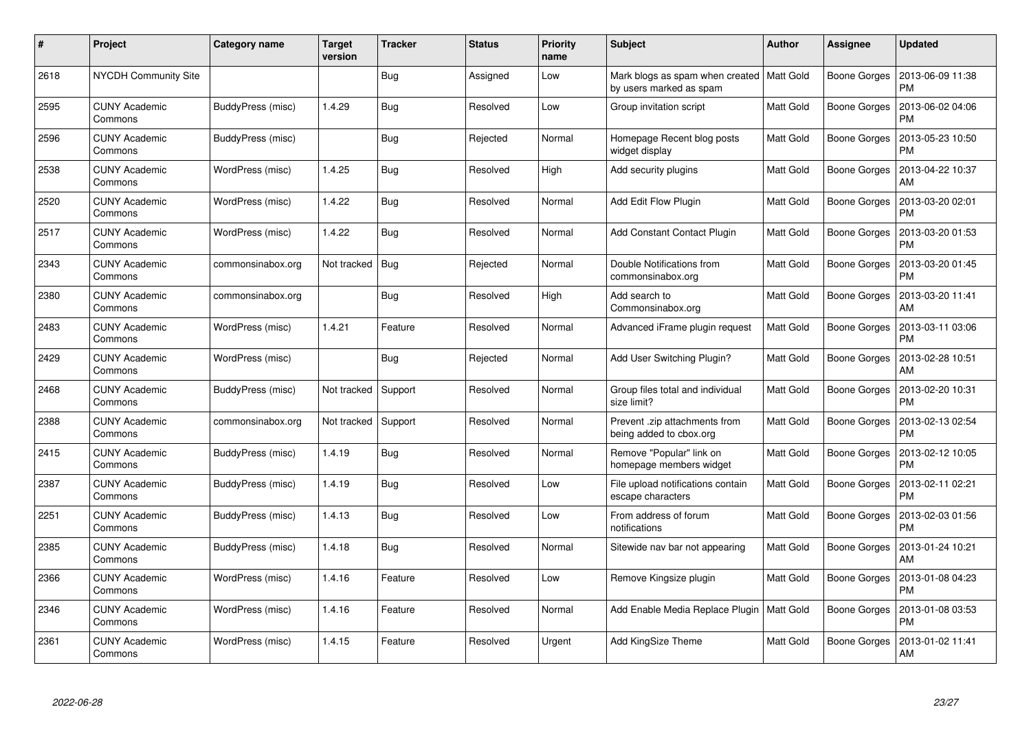| #    | Project                         | Category name     | <b>Target</b><br>version | <b>Tracker</b> | <b>Status</b> | <b>Priority</b><br>name | <b>Subject</b>                                             | <b>Author</b>    | Assignee            | <b>Updated</b>                |
|------|---------------------------------|-------------------|--------------------------|----------------|---------------|-------------------------|------------------------------------------------------------|------------------|---------------------|-------------------------------|
| 2618 | NYCDH Community Site            |                   |                          | <b>Bug</b>     | Assigned      | Low                     | Mark blogs as spam when created<br>by users marked as spam | Matt Gold        | <b>Boone Gorges</b> | 2013-06-09 11:38<br><b>PM</b> |
| 2595 | <b>CUNY Academic</b><br>Commons | BuddyPress (misc) | 1.4.29                   | Bug            | Resolved      | Low                     | Group invitation script                                    | Matt Gold        | <b>Boone Gorges</b> | 2013-06-02 04:06<br><b>PM</b> |
| 2596 | <b>CUNY Academic</b><br>Commons | BuddyPress (misc) |                          | Bug            | Rejected      | Normal                  | Homepage Recent blog posts<br>widget display               | Matt Gold        | <b>Boone Gorges</b> | 2013-05-23 10:50<br><b>PM</b> |
| 2538 | <b>CUNY Academic</b><br>Commons | WordPress (misc)  | 1.4.25                   | <b>Bug</b>     | Resolved      | High                    | Add security plugins                                       | Matt Gold        | Boone Gorges        | 2013-04-22 10:37<br>AM        |
| 2520 | <b>CUNY Academic</b><br>Commons | WordPress (misc)  | 1.4.22                   | Bug            | Resolved      | Normal                  | Add Edit Flow Plugin                                       | Matt Gold        | <b>Boone Gorges</b> | 2013-03-20 02:01<br><b>PM</b> |
| 2517 | <b>CUNY Academic</b><br>Commons | WordPress (misc)  | 1.4.22                   | Bug            | Resolved      | Normal                  | <b>Add Constant Contact Plugin</b>                         | Matt Gold        | <b>Boone Gorges</b> | 2013-03-20 01:53<br>PM        |
| 2343 | <b>CUNY Academic</b><br>Commons | commonsinabox.org | Not tracked              | Bug            | Rejected      | Normal                  | Double Notifications from<br>commonsinabox.org             | <b>Matt Gold</b> | <b>Boone Gorges</b> | 2013-03-20 01:45<br><b>PM</b> |
| 2380 | <b>CUNY Academic</b><br>Commons | commonsinabox.org |                          | <b>Bug</b>     | Resolved      | High                    | Add search to<br>Commonsinabox.org                         | Matt Gold        | <b>Boone Gorges</b> | 2013-03-20 11:41<br>AM        |
| 2483 | <b>CUNY Academic</b><br>Commons | WordPress (misc)  | 1.4.21                   | Feature        | Resolved      | Normal                  | Advanced iFrame plugin request                             | <b>Matt Gold</b> | <b>Boone Gorges</b> | 2013-03-11 03:06<br><b>PM</b> |
| 2429 | <b>CUNY Academic</b><br>Commons | WordPress (misc)  |                          | Bug            | Rejected      | Normal                  | Add User Switching Plugin?                                 | Matt Gold        | <b>Boone Gorges</b> | 2013-02-28 10:51<br>AM        |
| 2468 | <b>CUNY Academic</b><br>Commons | BuddyPress (misc) | Not tracked              | Support        | Resolved      | Normal                  | Group files total and individual<br>size limit?            | Matt Gold        | <b>Boone Gorges</b> | 2013-02-20 10:31<br><b>PM</b> |
| 2388 | <b>CUNY Academic</b><br>Commons | commonsinabox.org | Not tracked              | Support        | Resolved      | Normal                  | Prevent .zip attachments from<br>being added to cbox.org   | Matt Gold        | <b>Boone Gorges</b> | 2013-02-13 02:54<br><b>PM</b> |
| 2415 | <b>CUNY Academic</b><br>Commons | BuddyPress (misc) | 1.4.19                   | Bug            | Resolved      | Normal                  | Remove "Popular" link on<br>homepage members widget        | <b>Matt Gold</b> | <b>Boone Gorges</b> | 2013-02-12 10:05<br>PM        |
| 2387 | <b>CUNY Academic</b><br>Commons | BuddyPress (misc) | 1.4.19                   | Bug            | Resolved      | Low                     | File upload notifications contain<br>escape characters     | Matt Gold        | <b>Boone Gorges</b> | 2013-02-11 02:21<br><b>PM</b> |
| 2251 | <b>CUNY Academic</b><br>Commons | BuddyPress (misc) | 1.4.13                   | <b>Bug</b>     | Resolved      | Low                     | From address of forum<br>notifications                     | Matt Gold        | <b>Boone Gorges</b> | 2013-02-03 01:56<br><b>PM</b> |
| 2385 | <b>CUNY Academic</b><br>Commons | BuddyPress (misc) | 1.4.18                   | Bug            | Resolved      | Normal                  | Sitewide nav bar not appearing                             | <b>Matt Gold</b> | <b>Boone Gorges</b> | 2013-01-24 10:21<br>AM        |
| 2366 | <b>CUNY Academic</b><br>Commons | WordPress (misc)  | 1.4.16                   | Feature        | Resolved      | Low                     | Remove Kingsize plugin                                     | Matt Gold        | Boone Gorges        | 2013-01-08 04:23<br><b>PM</b> |
| 2346 | <b>CUNY Academic</b><br>Commons | WordPress (misc)  | 1.4.16                   | Feature        | Resolved      | Normal                  | Add Enable Media Replace Plugin                            | <b>Matt Gold</b> | <b>Boone Gorges</b> | 2013-01-08 03:53<br><b>PM</b> |
| 2361 | <b>CUNY Academic</b><br>Commons | WordPress (misc)  | 1.4.15                   | Feature        | Resolved      | Urgent                  | Add KingSize Theme                                         | Matt Gold        | Boone Gorges        | 2013-01-02 11:41<br>AM        |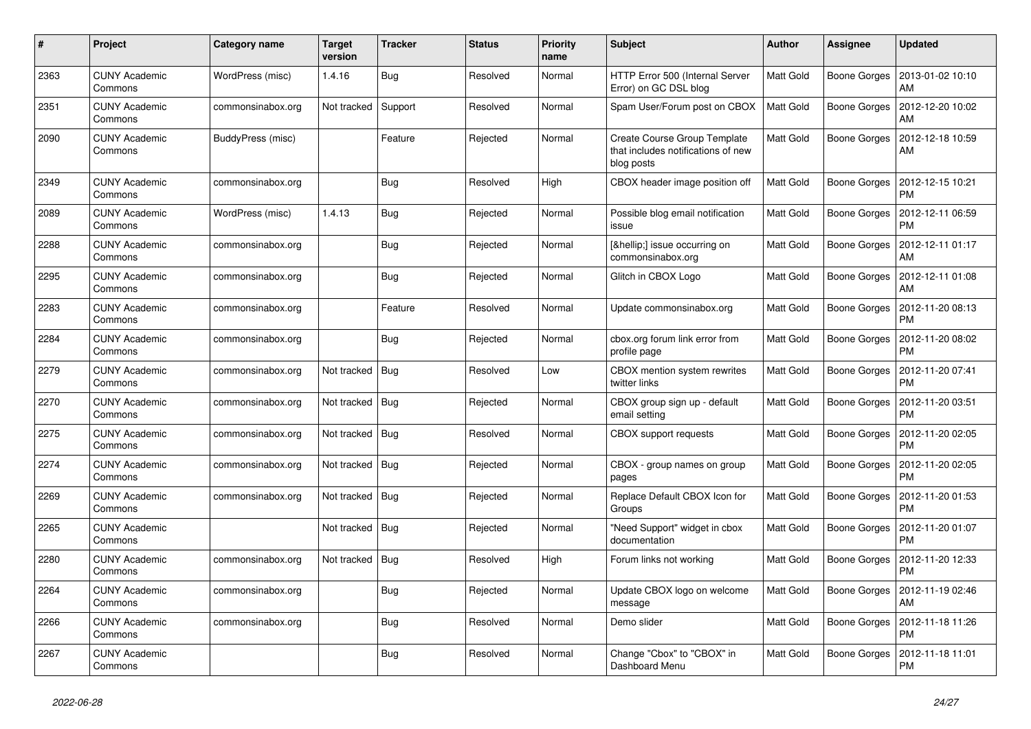| #    | Project                         | Category name     | Target<br>version | <b>Tracker</b> | <b>Status</b> | <b>Priority</b><br>name | <b>Subject</b>                                                                   | <b>Author</b>    | Assignee            | <b>Updated</b>                |
|------|---------------------------------|-------------------|-------------------|----------------|---------------|-------------------------|----------------------------------------------------------------------------------|------------------|---------------------|-------------------------------|
| 2363 | <b>CUNY Academic</b><br>Commons | WordPress (misc)  | 1.4.16            | Bug            | Resolved      | Normal                  | HTTP Error 500 (Internal Server<br>Error) on GC DSL blog                         | <b>Matt Gold</b> | <b>Boone Gorges</b> | 2013-01-02 10:10<br>AM        |
| 2351 | <b>CUNY Academic</b><br>Commons | commonsinabox.org | Not tracked       | Support        | Resolved      | Normal                  | Spam User/Forum post on CBOX                                                     | <b>Matt Gold</b> | <b>Boone Gorges</b> | 2012-12-20 10:02<br>AM        |
| 2090 | <b>CUNY Academic</b><br>Commons | BuddyPress (misc) |                   | Feature        | Rejected      | Normal                  | Create Course Group Template<br>that includes notifications of new<br>blog posts | Matt Gold        | <b>Boone Gorges</b> | 2012-12-18 10:59<br>AM        |
| 2349 | <b>CUNY Academic</b><br>Commons | commonsinabox.org |                   | Bug            | Resolved      | High                    | CBOX header image position off                                                   | <b>Matt Gold</b> | <b>Boone Gorges</b> | 2012-12-15 10:21<br><b>PM</b> |
| 2089 | <b>CUNY Academic</b><br>Commons | WordPress (misc)  | 1.4.13            | Bug            | Rejected      | Normal                  | Possible blog email notification<br>issue                                        | <b>Matt Gold</b> | <b>Boone Gorges</b> | 2012-12-11 06:59<br><b>PM</b> |
| 2288 | <b>CUNY Academic</b><br>Commons | commonsinabox.org |                   | Bug            | Rejected      | Normal                  | […] issue occurring on<br>commonsinabox.org                                      | Matt Gold        | Boone Gorges        | 2012-12-11 01:17<br>AM        |
| 2295 | <b>CUNY Academic</b><br>Commons | commonsinabox.org |                   | Bug            | Rejected      | Normal                  | Glitch in CBOX Logo                                                              | Matt Gold        | <b>Boone Gorges</b> | 2012-12-11 01:08<br>AM        |
| 2283 | <b>CUNY Academic</b><br>Commons | commonsinabox.org |                   | Feature        | Resolved      | Normal                  | Update commonsinabox.org                                                         | <b>Matt Gold</b> | <b>Boone Gorges</b> | 2012-11-20 08:13<br><b>PM</b> |
| 2284 | <b>CUNY Academic</b><br>Commons | commonsinabox.org |                   | Bug            | Rejected      | Normal                  | cbox.org forum link error from<br>profile page                                   | <b>Matt Gold</b> | <b>Boone Gorges</b> | 2012-11-20 08:02<br><b>PM</b> |
| 2279 | <b>CUNY Academic</b><br>Commons | commonsinabox.org | Not tracked       | Bug            | Resolved      | Low                     | CBOX mention system rewrites<br>twitter links                                    | Matt Gold        | <b>Boone Gorges</b> | 2012-11-20 07:41<br><b>PM</b> |
| 2270 | <b>CUNY Academic</b><br>Commons | commonsinabox.org | Not tracked       | Bua            | Rejected      | Normal                  | CBOX group sign up - default<br>email setting                                    | Matt Gold        | <b>Boone Gorges</b> | 2012-11-20 03:51<br><b>PM</b> |
| 2275 | <b>CUNY Academic</b><br>Commons | commonsinabox.org | Not tracked       | Bug            | Resolved      | Normal                  | <b>CBOX</b> support requests                                                     | <b>Matt Gold</b> | <b>Boone Gorges</b> | 2012-11-20 02:05<br><b>PM</b> |
| 2274 | <b>CUNY Academic</b><br>Commons | commonsinabox.org | Not tracked       | Bug            | Rejected      | Normal                  | CBOX - group names on group<br>pages                                             | <b>Matt Gold</b> | <b>Boone Gorges</b> | 2012-11-20 02:05<br><b>PM</b> |
| 2269 | <b>CUNY Academic</b><br>Commons | commonsinabox.org | Not tracked       | Bug            | Rejected      | Normal                  | Replace Default CBOX Icon for<br>Groups                                          | Matt Gold        | Boone Gorges        | 2012-11-20 01:53<br><b>PM</b> |
| 2265 | <b>CUNY Academic</b><br>Commons |                   | Not tracked       | Bug            | Rejected      | Normal                  | "Need Support" widget in cbox<br>documentation                                   | <b>Matt Gold</b> | <b>Boone Gorges</b> | 2012-11-20 01:07<br><b>PM</b> |
| 2280 | <b>CUNY Academic</b><br>Commons | commonsinabox.org | Not tracked       | Bug            | Resolved      | High                    | Forum links not working                                                          | Matt Gold        | <b>Boone Gorges</b> | 2012-11-20 12:33<br><b>PM</b> |
| 2264 | <b>CUNY Academic</b><br>Commons | commonsinabox.org |                   | Bug            | Rejected      | Normal                  | Update CBOX logo on welcome<br>message                                           | Matt Gold        | Boone Gorges        | 2012-11-19 02:46<br>AM        |
| 2266 | <b>CUNY Academic</b><br>Commons | commonsinabox.org |                   | <b>Bug</b>     | Resolved      | Normal                  | Demo slider                                                                      | <b>Matt Gold</b> | Boone Gorges        | 2012-11-18 11:26<br><b>PM</b> |
| 2267 | <b>CUNY Academic</b><br>Commons |                   |                   | Bug            | Resolved      | Normal                  | Change "Cbox" to "CBOX" in<br>Dashboard Menu                                     | <b>Matt Gold</b> | <b>Boone Gorges</b> | 2012-11-18 11:01<br><b>PM</b> |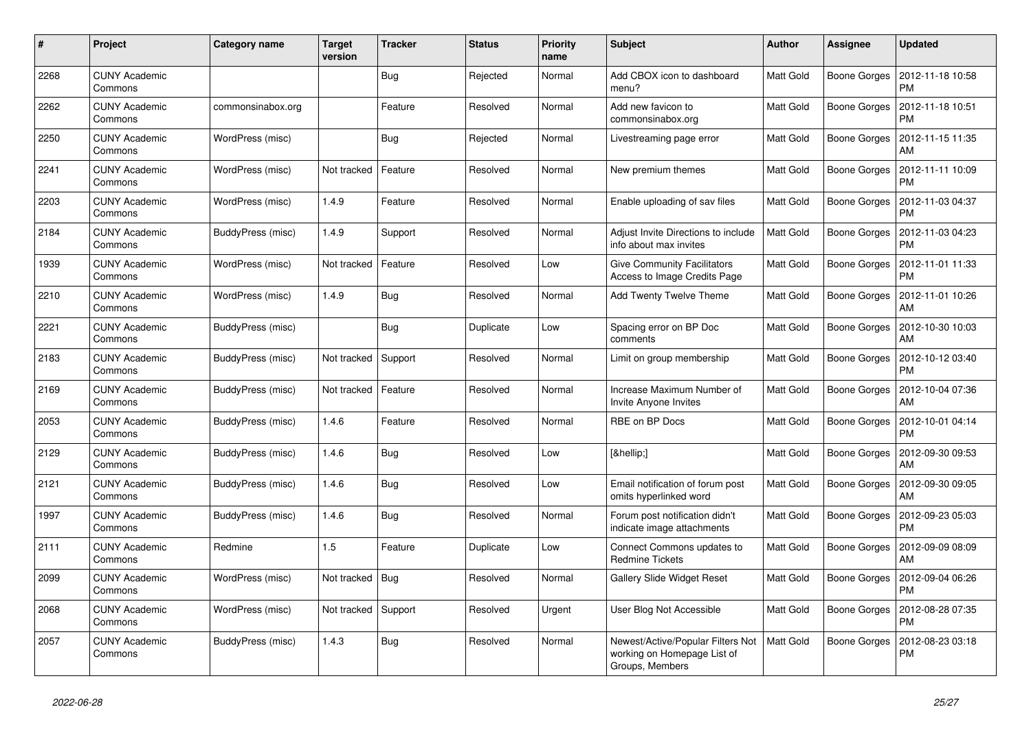| #    | <b>Project</b>                  | Category name     | Target<br>version | <b>Tracker</b> | <b>Status</b> | <b>Priority</b><br>name | <b>Subject</b>                                                                      | <b>Author</b>    | Assignee            | <b>Updated</b>                |
|------|---------------------------------|-------------------|-------------------|----------------|---------------|-------------------------|-------------------------------------------------------------------------------------|------------------|---------------------|-------------------------------|
| 2268 | <b>CUNY Academic</b><br>Commons |                   |                   | <b>Bug</b>     | Rejected      | Normal                  | Add CBOX icon to dashboard<br>menu?                                                 | <b>Matt Gold</b> | <b>Boone Gorges</b> | 2012-11-18 10:58<br><b>PM</b> |
| 2262 | <b>CUNY Academic</b><br>Commons | commonsinabox.org |                   | Feature        | Resolved      | Normal                  | Add new favicon to<br>commonsinabox.org                                             | <b>Matt Gold</b> | <b>Boone Gorges</b> | 2012-11-18 10:51<br><b>PM</b> |
| 2250 | <b>CUNY Academic</b><br>Commons | WordPress (misc)  |                   | Bug            | Rejected      | Normal                  | Livestreaming page error                                                            | Matt Gold        | Boone Gorges        | 2012-11-15 11:35<br>AM        |
| 2241 | <b>CUNY Academic</b><br>Commons | WordPress (misc)  | Not tracked       | Feature        | Resolved      | Normal                  | New premium themes                                                                  | <b>Matt Gold</b> | <b>Boone Gorges</b> | 2012-11-11 10:09<br><b>PM</b> |
| 2203 | <b>CUNY Academic</b><br>Commons | WordPress (misc)  | 1.4.9             | Feature        | Resolved      | Normal                  | Enable uploading of say files                                                       | <b>Matt Gold</b> | Boone Gorges        | 2012-11-03 04:37<br><b>PM</b> |
| 2184 | <b>CUNY Academic</b><br>Commons | BuddyPress (misc) | 1.4.9             | Support        | Resolved      | Normal                  | Adjust Invite Directions to include<br>info about max invites                       | <b>Matt Gold</b> | Boone Gorges        | 2012-11-03 04:23<br><b>PM</b> |
| 1939 | <b>CUNY Academic</b><br>Commons | WordPress (misc)  | Not tracked       | Feature        | Resolved      | Low                     | <b>Give Community Facilitators</b><br>Access to Image Credits Page                  | <b>Matt Gold</b> | <b>Boone Gorges</b> | 2012-11-01 11:33<br><b>PM</b> |
| 2210 | <b>CUNY Academic</b><br>Commons | WordPress (misc)  | 1.4.9             | Bug            | Resolved      | Normal                  | <b>Add Twenty Twelve Theme</b>                                                      | <b>Matt Gold</b> | <b>Boone Gorges</b> | 2012-11-01 10:26<br>AM        |
| 2221 | <b>CUNY Academic</b><br>Commons | BuddyPress (misc) |                   | <b>Bug</b>     | Duplicate     | Low                     | Spacing error on BP Doc<br>comments                                                 | Matt Gold        | Boone Gorges        | 2012-10-30 10:03<br>AM        |
| 2183 | <b>CUNY Academic</b><br>Commons | BuddyPress (misc) | Not tracked       | Support        | Resolved      | Normal                  | Limit on group membership                                                           | <b>Matt Gold</b> | Boone Gorges        | 2012-10-12 03:40<br><b>PM</b> |
| 2169 | <b>CUNY Academic</b><br>Commons | BuddyPress (misc) | Not tracked       | Feature        | Resolved      | Normal                  | Increase Maximum Number of<br>Invite Anyone Invites                                 | <b>Matt Gold</b> | Boone Gorges        | 2012-10-04 07:36<br>AM        |
| 2053 | <b>CUNY Academic</b><br>Commons | BuddyPress (misc) | 1.4.6             | Feature        | Resolved      | Normal                  | RBE on BP Docs                                                                      | Matt Gold        | Boone Gorges        | 2012-10-01 04:14<br><b>PM</b> |
| 2129 | <b>CUNY Academic</b><br>Commons | BuddyPress (misc) | 1.4.6             | Bug            | Resolved      | Low                     | […]                                                                                 | <b>Matt Gold</b> | Boone Gorges        | 2012-09-30 09:53<br>AM        |
| 2121 | <b>CUNY Academic</b><br>Commons | BuddyPress (misc) | 1.4.6             | Bug            | Resolved      | Low                     | Email notification of forum post<br>omits hyperlinked word                          | Matt Gold        | Boone Gorges        | 2012-09-30 09:05<br>AM        |
| 1997 | <b>CUNY Academic</b><br>Commons | BuddyPress (misc) | 1.4.6             | Bug            | Resolved      | Normal                  | Forum post notification didn't<br>indicate image attachments                        | <b>Matt Gold</b> | <b>Boone Gorges</b> | 2012-09-23 05:03<br><b>PM</b> |
| 2111 | <b>CUNY Academic</b><br>Commons | Redmine           | 1.5               | Feature        | Duplicate     | Low                     | Connect Commons updates to<br><b>Redmine Tickets</b>                                | <b>Matt Gold</b> | Boone Gorges        | 2012-09-09 08:09<br>AM        |
| 2099 | <b>CUNY Academic</b><br>Commons | WordPress (misc)  | Not tracked       | Bug            | Resolved      | Normal                  | Gallery Slide Widget Reset                                                          | <b>Matt Gold</b> | Boone Gorges        | 2012-09-04 06:26<br><b>PM</b> |
| 2068 | <b>CUNY Academic</b><br>Commons | WordPress (misc)  | Not tracked       | Support        | Resolved      | Urgent                  | User Blog Not Accessible                                                            | <b>Matt Gold</b> | <b>Boone Gorges</b> | 2012-08-28 07:35<br><b>PM</b> |
| 2057 | <b>CUNY Academic</b><br>Commons | BuddyPress (misc) | 1.4.3             | Bug            | Resolved      | Normal                  | Newest/Active/Popular Filters Not<br>working on Homepage List of<br>Groups, Members | <b>Matt Gold</b> | Boone Gorges        | 2012-08-23 03:18<br><b>PM</b> |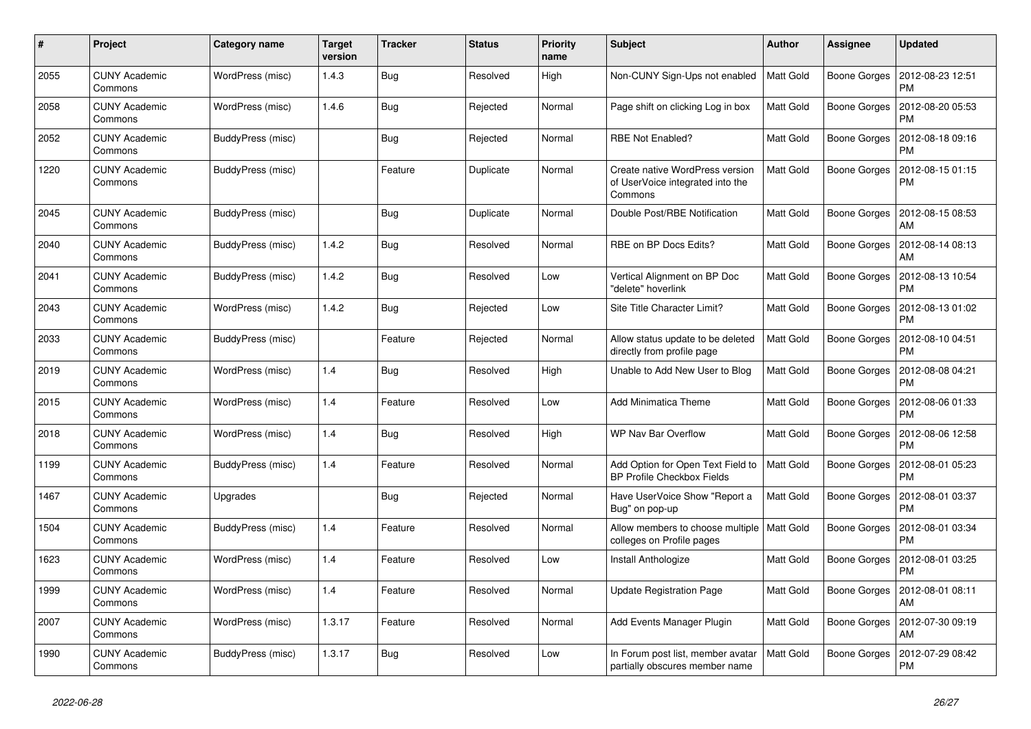| #    | Project                         | Category name     | Target<br>version | <b>Tracker</b> | <b>Status</b> | <b>Priority</b><br>name | <b>Subject</b>                                                                 | <b>Author</b>    | Assignee            | <b>Updated</b>                |
|------|---------------------------------|-------------------|-------------------|----------------|---------------|-------------------------|--------------------------------------------------------------------------------|------------------|---------------------|-------------------------------|
| 2055 | <b>CUNY Academic</b><br>Commons | WordPress (misc)  | 1.4.3             | Bug            | Resolved      | High                    | Non-CUNY Sign-Ups not enabled                                                  | <b>Matt Gold</b> | <b>Boone Gorges</b> | 2012-08-23 12:51<br><b>PM</b> |
| 2058 | <b>CUNY Academic</b><br>Commons | WordPress (misc)  | 1.4.6             | <b>Bug</b>     | Rejected      | Normal                  | Page shift on clicking Log in box                                              | Matt Gold        | <b>Boone Gorges</b> | 2012-08-20 05:53<br><b>PM</b> |
| 2052 | <b>CUNY Academic</b><br>Commons | BuddyPress (misc) |                   | Bug            | Rejected      | Normal                  | RBE Not Enabled?                                                               | Matt Gold        | Boone Gorges        | 2012-08-18 09:16<br><b>PM</b> |
| 1220 | <b>CUNY Academic</b><br>Commons | BuddyPress (misc) |                   | Feature        | Duplicate     | Normal                  | Create native WordPress version<br>of UserVoice integrated into the<br>Commons | Matt Gold        | Boone Gorges        | 2012-08-15 01:15<br><b>PM</b> |
| 2045 | <b>CUNY Academic</b><br>Commons | BuddyPress (misc) |                   | Bug            | Duplicate     | Normal                  | Double Post/RBE Notification                                                   | <b>Matt Gold</b> | Boone Gorges        | 2012-08-15 08:53<br>AM        |
| 2040 | <b>CUNY Academic</b><br>Commons | BuddyPress (misc) | 1.4.2             | <b>Bug</b>     | Resolved      | Normal                  | RBE on BP Docs Edits?                                                          | <b>Matt Gold</b> | <b>Boone Gorges</b> | 2012-08-14 08:13<br>AM        |
| 2041 | <b>CUNY Academic</b><br>Commons | BuddyPress (misc) | 1.4.2             | Bug            | Resolved      | Low                     | Vertical Alignment on BP Doc<br>"delete" hoverlink                             | <b>Matt Gold</b> | <b>Boone Gorges</b> | 2012-08-13 10:54<br><b>PM</b> |
| 2043 | <b>CUNY Academic</b><br>Commons | WordPress (misc)  | 1.4.2             | <b>Bug</b>     | Rejected      | Low                     | Site Title Character Limit?                                                    | <b>Matt Gold</b> | Boone Gorges        | 2012-08-13 01:02<br><b>PM</b> |
| 2033 | <b>CUNY Academic</b><br>Commons | BuddyPress (misc) |                   | Feature        | Rejected      | Normal                  | Allow status update to be deleted<br>directly from profile page                | <b>Matt Gold</b> | Boone Gorges        | 2012-08-10 04:51<br><b>PM</b> |
| 2019 | <b>CUNY Academic</b><br>Commons | WordPress (misc)  | 1.4               | <b>Bug</b>     | Resolved      | High                    | Unable to Add New User to Blog                                                 | Matt Gold        | Boone Gorges        | 2012-08-08 04:21<br><b>PM</b> |
| 2015 | <b>CUNY Academic</b><br>Commons | WordPress (misc)  | 1.4               | Feature        | Resolved      | Low                     | <b>Add Minimatica Theme</b>                                                    | <b>Matt Gold</b> | Boone Gorges        | 2012-08-06 01:33<br><b>PM</b> |
| 2018 | <b>CUNY Academic</b><br>Commons | WordPress (misc)  | 1.4               | <b>Bug</b>     | Resolved      | High                    | WP Nav Bar Overflow                                                            | Matt Gold        | Boone Gorges        | 2012-08-06 12:58<br><b>PM</b> |
| 1199 | <b>CUNY Academic</b><br>Commons | BuddyPress (misc) | 1.4               | Feature        | Resolved      | Normal                  | Add Option for Open Text Field to<br>BP Profile Checkbox Fields                | <b>Matt Gold</b> | Boone Gorges        | 2012-08-01 05:23<br><b>PM</b> |
| 1467 | <b>CUNY Academic</b><br>Commons | Upgrades          |                   | <b>Bug</b>     | Rejected      | Normal                  | Have UserVoice Show "Report a<br>Bug" on pop-up                                | <b>Matt Gold</b> | Boone Gorges        | 2012-08-01 03:37<br><b>PM</b> |
| 1504 | <b>CUNY Academic</b><br>Commons | BuddyPress (misc) | 1.4               | Feature        | Resolved      | Normal                  | Allow members to choose multiple<br>colleges on Profile pages                  | Matt Gold        | Boone Gorges        | 2012-08-01 03:34<br><b>PM</b> |
| 1623 | <b>CUNY Academic</b><br>Commons | WordPress (misc)  | 1.4               | Feature        | Resolved      | Low                     | Install Anthologize                                                            | <b>Matt Gold</b> | <b>Boone Gorges</b> | 2012-08-01 03:25<br><b>PM</b> |
| 1999 | <b>CUNY Academic</b><br>Commons | WordPress (misc)  | 1.4               | Feature        | Resolved      | Normal                  | <b>Update Registration Page</b>                                                | <b>Matt Gold</b> | Boone Gorges        | 2012-08-01 08:11<br>AM        |
| 2007 | <b>CUNY Academic</b><br>Commons | WordPress (misc)  | 1.3.17            | Feature        | Resolved      | Normal                  | Add Events Manager Plugin                                                      | <b>Matt Gold</b> | Boone Gorges        | 2012-07-30 09:19<br>AM        |
| 1990 | <b>CUNY Academic</b><br>Commons | BuddyPress (misc) | 1.3.17            | Bug            | Resolved      | Low                     | In Forum post list, member avatar<br>partially obscures member name            | <b>Matt Gold</b> | Boone Gorges        | 2012-07-29 08:42<br><b>PM</b> |